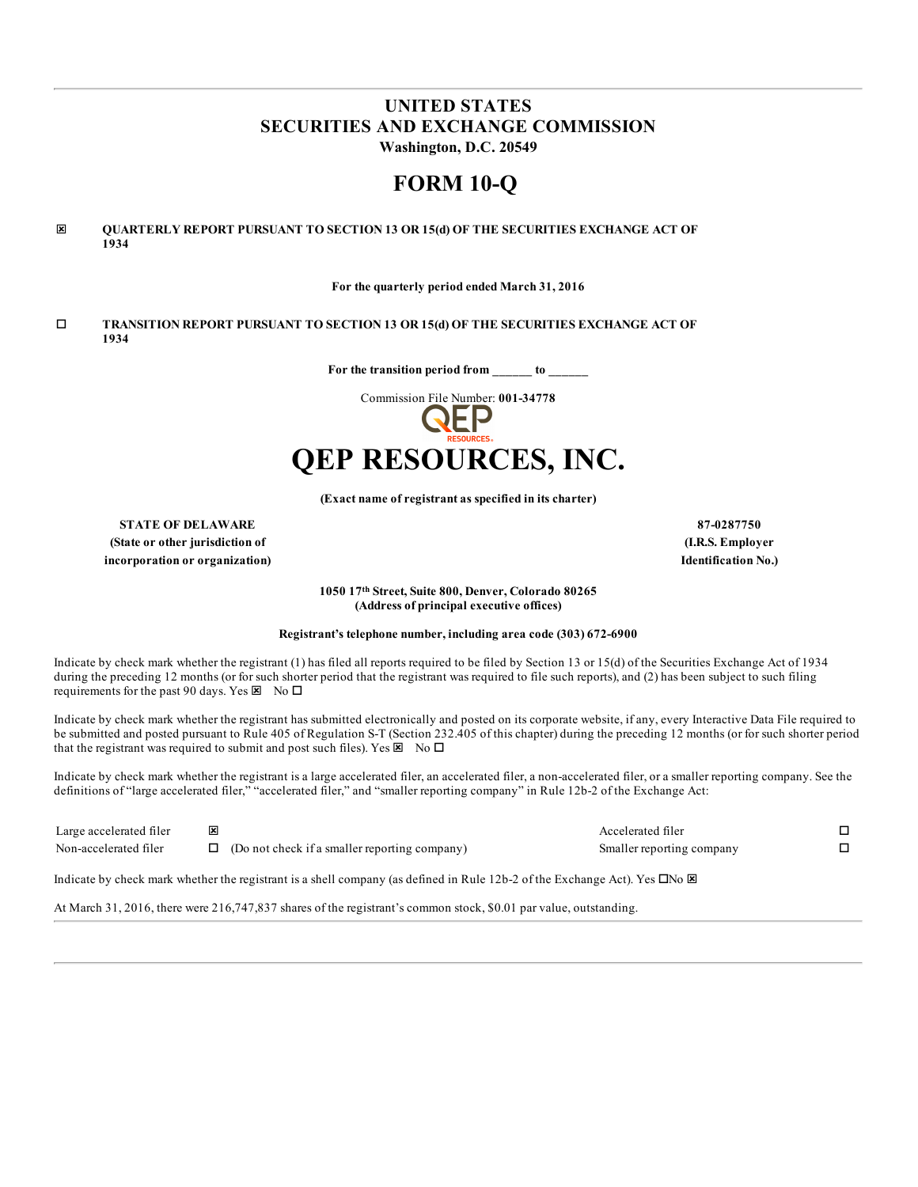# **UNITED STATES SECURITIES AND EXCHANGE COMMISSION Washington, D.C. 20549**

# **FORM 10-Q**

ý **QUARTERLY REPORT PURSUANT TO SECTION 13 OR 15(d) OF THE SECURITIES EXCHANGE ACT OF 1934**

**For the quarterly period ended March 31, 2016**

o **TRANSITION REPORT PURSUANT TO SECTION 13 OR 15(d) OF THE SECURITIES EXCHANGE ACT OF 1934**

**For the transition period from \_\_\_\_\_\_ to \_\_\_\_\_\_**

Commission File Number: **001-34778**

# **QEP RESOURCES, INC.**

**(Exact name of registrant as specified in its charter)**

**STATE OF DELAWARE 87-0287750 (State or other jurisdiction of (I.R.S. Employer incorporation or organization) Identification No.)**

**1050 17th Street, Suite 800, Denver, Colorado 80265 (Address of principal executive offices)**

#### **Registrant's telephone number, including area code (303) 672-6900**

Indicate by check mark whether the registrant (1) has filed all reports required to be filed by Section 13 or 15(d) of the Securities Exchange Act of 1934 during the preceding 12 months (or for such shorter period that the registrant was required to file such reports), and (2) has been subject to such filing requirements for the past 90 days. Yes  $\boxtimes$  No  $\square$ 

Indicate by check mark whether the registrant has submitted electronically and posted on its corporate website, if any, every Interactive Data File required to be submitted and posted pursuant to Rule 405 of Regulation S-T (Section 232.405 of this chapter) during the preceding 12 months (or for such shorter period that the registrant was required to submit and post such files). Yes  $\boxtimes$  No  $\square$ 

Indicate by check mark whether the registrant is a large accelerated filer, an accelerated filer, a non-accelerated filer, or a smaller reporting company. See the definitions of "large accelerated filer," "accelerated filer," and "smaller reporting company" in Rule 12b-2 of the Exchange Act:

Large accelerated filer  $\Box$ Non-accelerated filer  $\Box$  (Do not check if a smaller reporting company) Smaller reporting company  $\Box$ 

Indicate by check mark whether the registrant is a shell company (as defined in Rule 12b-2 of the Exchange Act). Yes  $\Box$ No  $\boxtimes$ 

At March 31, 2016, there were 216,747,837 shares of the registrant's common stock, \$0.01 par value, outstanding.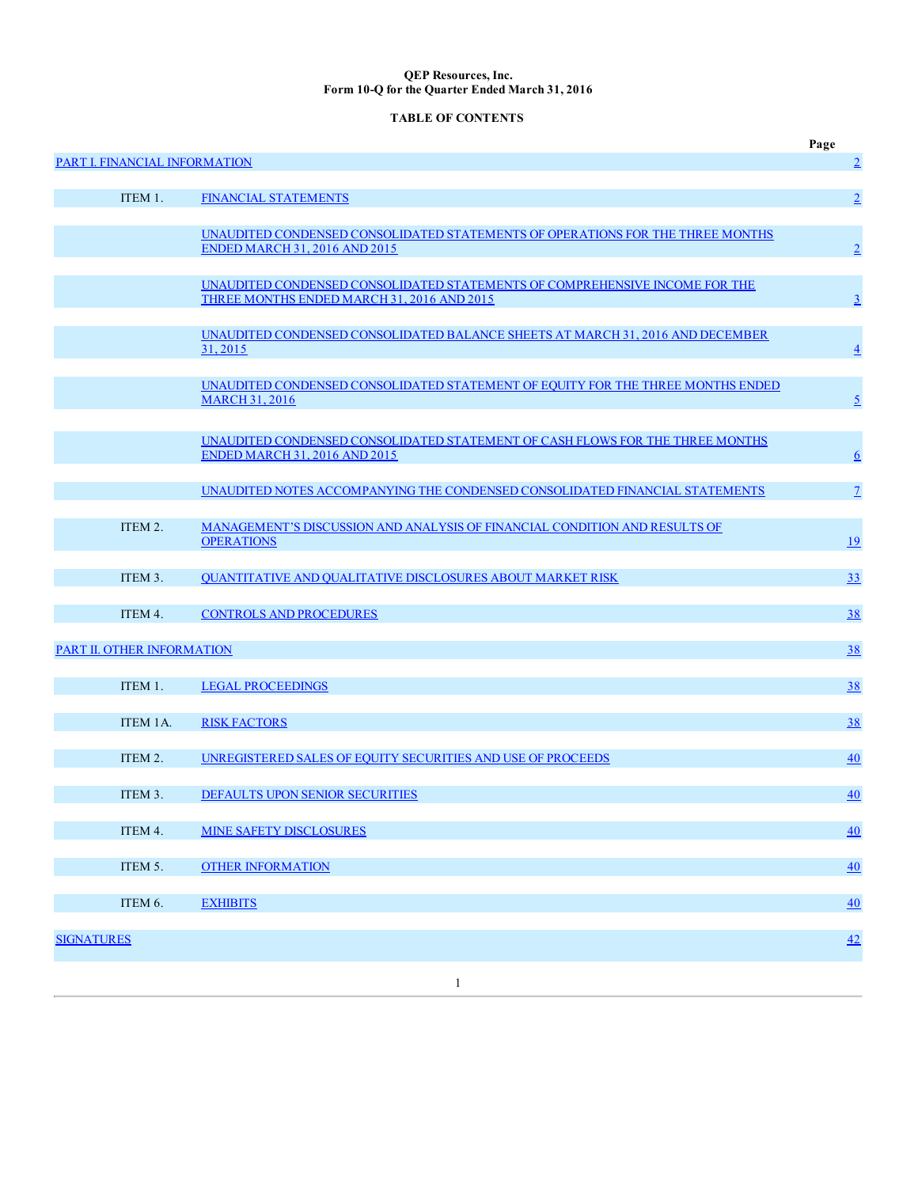# **QEP Resources, Inc. Form 10-Q for the Quarter Ended March 31, 2016**

# **TABLE OF CONTENTS**

|                               |                                                                                                                           | Page             |
|-------------------------------|---------------------------------------------------------------------------------------------------------------------------|------------------|
| PART I. FINANCIAL INFORMATION |                                                                                                                           | $\overline{2}$   |
| ITEM 1.                       | <b>FINANCIAL STATEMENTS</b>                                                                                               | $\overline{2}$   |
|                               | UNAUDITED CONDENSED CONSOLIDATED STATEMENTS OF OPERATIONS FOR THE THREE MONTHS<br><b>ENDED MARCH 31, 2016 AND 2015</b>    | $\overline{2}$   |
|                               | UNAUDITED CONDENSED CONSOLIDATED STATEMENTS OF COMPREHENSIVE INCOME FOR THE<br>THREE MONTHS ENDED MARCH 31, 2016 AND 2015 | $\underline{3}$  |
|                               | UNAUDITED CONDENSED CONSOLIDATED BALANCE SHEETS AT MARCH 31, 2016 AND DECEMBER<br>31,2015                                 | $\overline{4}$   |
|                               | UNAUDITED CONDENSED CONSOLIDATED STATEMENT OF EQUITY FOR THE THREE MONTHS ENDED<br><b>MARCH 31, 2016</b>                  | $\overline{2}$   |
|                               | UNAUDITED CONDENSED CONSOLIDATED STATEMENT OF CASH FLOWS FOR THE THREE MONTHS<br><b>ENDED MARCH 31, 2016 AND 2015</b>     | $6 \overline{6}$ |
|                               | UNAUDITED NOTES ACCOMPANYING THE CONDENSED CONSOLIDATED FINANCIAL STATEMENTS                                              | $\overline{1}$   |
| ITEM 2.                       | MANAGEMENT'S DISCUSSION AND ANALYSIS OF FINANCIAL CONDITION AND RESULTS OF<br><b>OPERATIONS</b>                           | 19               |
| ITEM 3.                       | <b>OUANTITATIVE AND OUALITATIVE DISCLOSURES ABOUT MARKET RISK</b>                                                         | 33               |
| ITEM 4.                       | <b>CONTROLS AND PROCEDURES</b>                                                                                            | <u>38</u>        |
| PART II. OTHER INFORMATION    |                                                                                                                           | 38               |
| ITEM 1.                       | <b>LEGAL PROCEEDINGS</b>                                                                                                  | 38               |
| ITEM 1A.                      | <b>RISK FACTORS</b>                                                                                                       | 38               |
| ITEM 2.                       | UNREGISTERED SALES OF EQUITY SECURITIES AND USE OF PROCEEDS                                                               | 40               |
| ITEM 3.                       | DEFAULTS UPON SENIOR SECURITIES                                                                                           | 40               |
| ITEM 4.                       | <b>MINE SAFETY DISCLOSURES</b>                                                                                            | 40               |
| ITEM 5.                       | <b>OTHER INFORMATION</b>                                                                                                  | 40               |
| ITEM 6.                       | <b>EXHIBITS</b>                                                                                                           | 40               |
| <b>SIGNATURES</b>             |                                                                                                                           | 42               |
|                               | $\mathbf{1}$                                                                                                              |                  |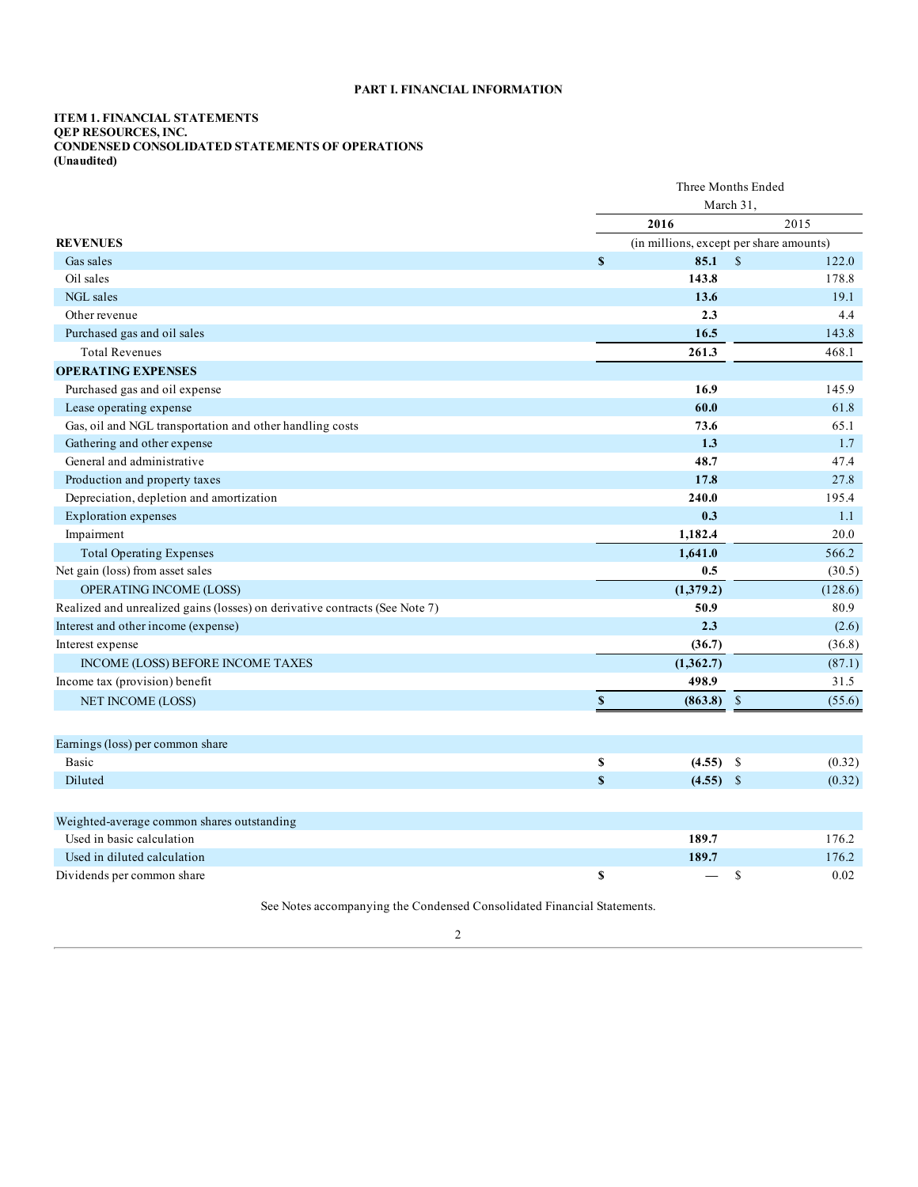# **PART I. FINANCIAL INFORMATION**

# <span id="page-2-0"></span>**ITEM 1. FINANCIAL STATEMENTS QEP RESOURCES, INC. CONDENSED CONSOLIDATED STATEMENTS OF OPERATIONS (Unaudited)**

|                                                                             |              | Three Months Ended<br>March 31, |                                         |         |  |  |
|-----------------------------------------------------------------------------|--------------|---------------------------------|-----------------------------------------|---------|--|--|
|                                                                             |              | 2016                            | 2015                                    |         |  |  |
| <b>REVENUES</b>                                                             |              |                                 | (in millions, except per share amounts) |         |  |  |
| Gas sales                                                                   | $\mathbf{s}$ | 85.1                            | $\mathcal{S}$                           | 122.0   |  |  |
| Oil sales                                                                   |              | 143.8                           |                                         | 178.8   |  |  |
| NGL sales                                                                   |              | 13.6                            |                                         | 19.1    |  |  |
| Other revenue                                                               |              | 2.3                             |                                         | 4.4     |  |  |
| Purchased gas and oil sales                                                 |              | 16.5                            |                                         | 143.8   |  |  |
| <b>Total Revenues</b>                                                       |              | 261.3                           |                                         | 468.1   |  |  |
| <b>OPERATING EXPENSES</b>                                                   |              |                                 |                                         |         |  |  |
| Purchased gas and oil expense                                               |              | 16.9                            |                                         | 145.9   |  |  |
| Lease operating expense                                                     |              | 60.0                            |                                         | 61.8    |  |  |
| Gas, oil and NGL transportation and other handling costs                    |              | 73.6                            |                                         | 65.1    |  |  |
| Gathering and other expense                                                 |              | 1.3                             |                                         | 1.7     |  |  |
| General and administrative                                                  |              | 48.7                            |                                         | 47.4    |  |  |
| Production and property taxes                                               |              | 17.8                            |                                         | 27.8    |  |  |
| Depreciation, depletion and amortization                                    |              | 240.0                           |                                         | 195.4   |  |  |
| <b>Exploration</b> expenses                                                 |              | 0.3                             |                                         | 1.1     |  |  |
| Impairment                                                                  |              | 1,182.4                         |                                         | 20.0    |  |  |
| <b>Total Operating Expenses</b>                                             |              | 1,641.0                         |                                         | 566.2   |  |  |
| Net gain (loss) from asset sales                                            |              | 0.5                             |                                         | (30.5)  |  |  |
| OPERATING INCOME (LOSS)                                                     |              | (1,379.2)                       |                                         | (128.6) |  |  |
| Realized and unrealized gains (losses) on derivative contracts (See Note 7) |              | 50.9                            |                                         | 80.9    |  |  |
| Interest and other income (expense)                                         |              | 2.3                             |                                         | (2.6)   |  |  |
| Interest expense                                                            |              | (36.7)                          |                                         | (36.8)  |  |  |
| INCOME (LOSS) BEFORE INCOME TAXES                                           |              | (1,362.7)                       |                                         | (87.1)  |  |  |
| Income tax (provision) benefit                                              |              | 498.9                           |                                         | 31.5    |  |  |
| NET INCOME (LOSS)                                                           | $\mathbb S$  | (863.8)                         | $\mathcal{S}$                           | (55.6)  |  |  |
|                                                                             |              |                                 |                                         |         |  |  |
| Earnings (loss) per common share                                            |              |                                 |                                         |         |  |  |
| Basic                                                                       | \$           | (4.55)                          | \$                                      | (0.32)  |  |  |
| Diluted                                                                     | $\mathbf S$  | $(4.55)$ \$                     |                                         | (0.32)  |  |  |
|                                                                             |              |                                 |                                         |         |  |  |
| Weighted-average common shares outstanding                                  |              |                                 |                                         |         |  |  |
| Used in basic calculation                                                   |              | 189.7                           |                                         | 176.2   |  |  |
| Used in diluted calculation                                                 |              | 189.7                           |                                         | 176.2   |  |  |
| Dividends per common share                                                  | \$           |                                 | $\mathbb{S}$                            | 0.02    |  |  |

See Notes accompanying the Condensed Consolidated Financial Statements.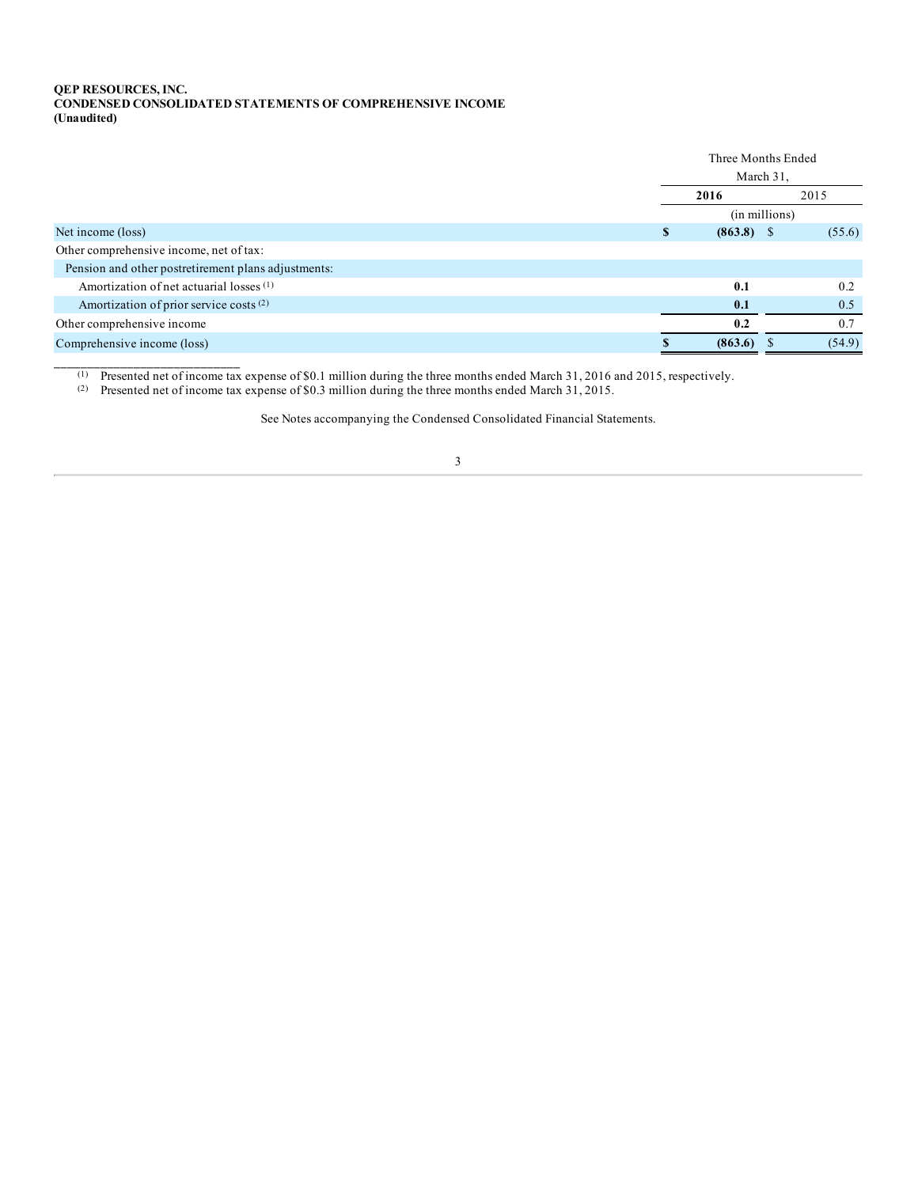# **QEP RESOURCES, INC. CONDENSED CONSOLIDATED STATEMENTS OF COMPREHENSIVE INCOME (Unaudited)**

**\_\_\_\_\_\_\_\_\_\_\_\_\_\_\_\_\_\_\_\_\_\_\_\_\_\_\_\_**

|                                                     |    | Three Months Ended |  |        |  |  |
|-----------------------------------------------------|----|--------------------|--|--------|--|--|
|                                                     |    | March 31,          |  |        |  |  |
|                                                     |    | 2016               |  | 2015   |  |  |
|                                                     |    |                    |  |        |  |  |
| Net income (loss)                                   | \$ | $(863.8)$ \$       |  | (55.6) |  |  |
| Other comprehensive income, net of tax:             |    |                    |  |        |  |  |
| Pension and other postretirement plans adjustments: |    |                    |  |        |  |  |
| Amortization of net actuarial losses (1)            |    | 0.1                |  | 0.2    |  |  |
| Amortization of prior service costs <sup>(2)</sup>  |    | 0.1                |  | 0.5    |  |  |
| Other comprehensive income                          |    | 0.2                |  | 0.7    |  |  |
| Comprehensive income (loss)                         |    | (863.6)            |  | (54.9) |  |  |

(1) Presented net of income tax expense of \$0.1 million during the three months ended March 31, 2016 and 2015, respectively.

(2) Presented net of income tax expense of \$0.3 million during the three months ended March 31, 2015.

See Notes accompanying the Condensed Consolidated Financial Statements.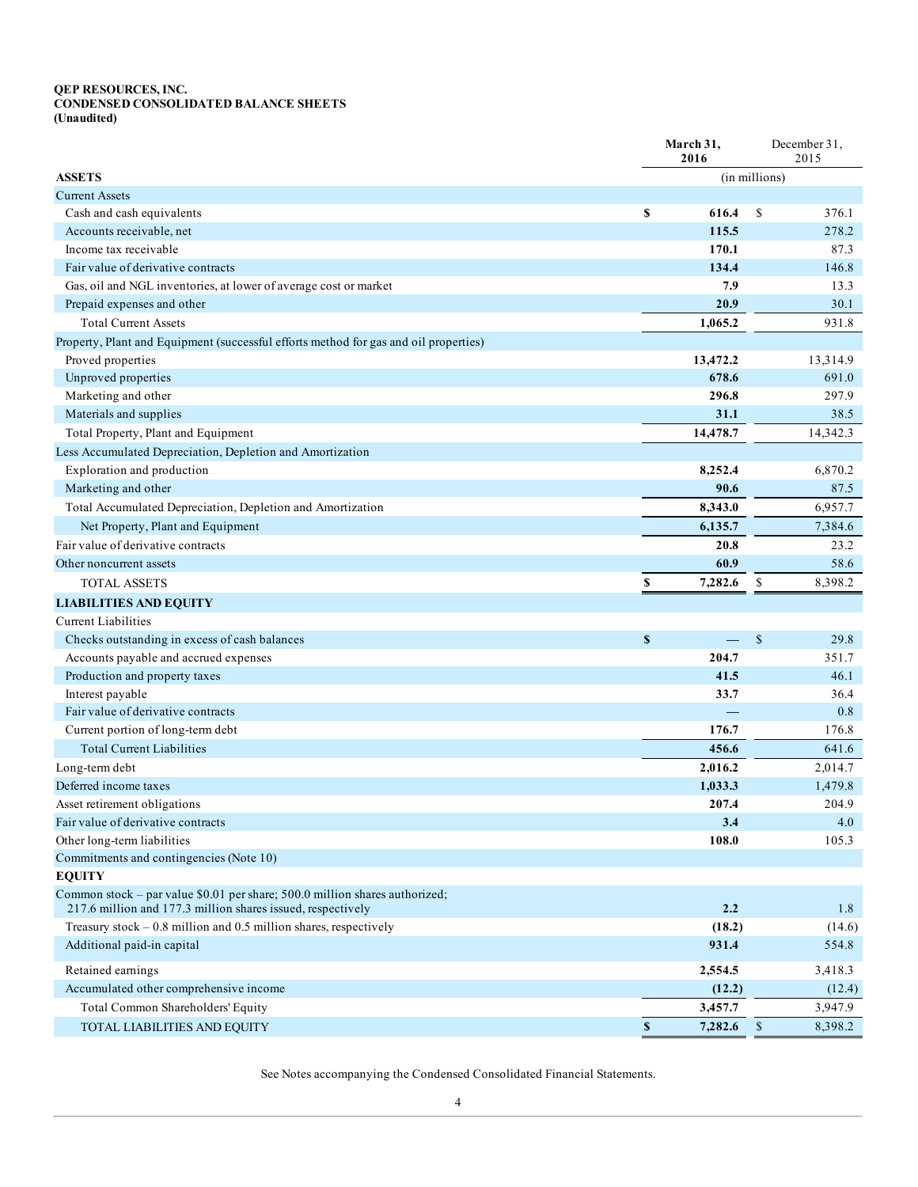#### <span id="page-4-0"></span>**QEP RESOURCES, INC. CONDENSED CONSOLIDATED BALANCE SHEETS (Unaudited)**

|                                                                                      |              | March 31,<br>2016 | December 31,<br>2015 |          |
|--------------------------------------------------------------------------------------|--------------|-------------------|----------------------|----------|
| <b>ASSETS</b>                                                                        |              |                   | (in millions)        |          |
| <b>Current Assets</b>                                                                |              |                   |                      |          |
| Cash and cash equivalents                                                            | \$           | 616.4             | \$                   | 376.1    |
| Accounts receivable, net                                                             |              | 115.5             |                      | 278.2    |
| Income tax receivable                                                                |              | 170.1             |                      | 87.3     |
| Fair value of derivative contracts                                                   |              | 134.4             |                      | 146.8    |
| Gas, oil and NGL inventories, at lower of average cost or market                     |              | 7.9               |                      | 13.3     |
| Prepaid expenses and other                                                           |              | 20.9              |                      | 30.1     |
| <b>Total Current Assets</b>                                                          |              | 1,065.2           |                      | 931.8    |
| Property, Plant and Equipment (successful efforts method for gas and oil properties) |              |                   |                      |          |
| Proved properties                                                                    |              | 13,472.2          |                      | 13,314.9 |
| Unproved properties                                                                  |              | 678.6             |                      | 691.0    |
| Marketing and other                                                                  |              | 296.8             |                      | 297.9    |
| Materials and supplies                                                               |              | 31.1              |                      | 38.5     |
| Total Property, Plant and Equipment                                                  |              | 14,478.7          |                      | 14,342.3 |
| Less Accumulated Depreciation, Depletion and Amortization                            |              |                   |                      |          |
| Exploration and production                                                           |              | 8,252.4           |                      | 6,870.2  |
| Marketing and other                                                                  |              | 90.6              |                      | 87.5     |
| Total Accumulated Depreciation, Depletion and Amortization                           |              | 8,343.0           |                      | 6,957.7  |
| Net Property, Plant and Equipment                                                    |              | 6,135.7           |                      | 7,384.6  |
| Fair value of derivative contracts                                                   |              | 20.8              |                      | 23.2     |
| Other noncurrent assets                                                              |              | 60.9              |                      | 58.6     |
| <b>TOTAL ASSETS</b>                                                                  | \$           | 7,282.6           | \$                   | 8,398.2  |
| <b>LIABILITIES AND EQUITY</b>                                                        |              |                   |                      |          |
| <b>Current Liabilities</b>                                                           |              |                   |                      |          |
| Checks outstanding in excess of cash balances                                        | $\mathbf{s}$ | $\equiv$          | $\mathbb{S}$         | 29.8     |
| Accounts payable and accrued expenses                                                |              | 204.7             |                      | 351.7    |
| Production and property taxes                                                        |              | 41.5              |                      | 46.1     |
| Interest payable                                                                     |              | 33.7              |                      | 36.4     |
| Fair value of derivative contracts                                                   |              |                   |                      | 0.8      |
| Current portion of long-term debt                                                    |              | 176.7             |                      | 176.8    |
| <b>Total Current Liabilities</b>                                                     |              | 456.6             |                      | 641.6    |
| Long-term debt                                                                       |              | 2,016.2           |                      | 2,014.7  |
| Deferred income taxes                                                                |              | 1,033.3           |                      | 1,479.8  |
| Asset retirement obligations                                                         |              | 207.4             |                      | 204.9    |
| Fair value of derivative contracts                                                   |              | 3.4               |                      | 4.0      |
| Other long-term liabilities                                                          |              | 108.0             |                      | 105.3    |
| Commitments and contingencies (Note 10)                                              |              |                   |                      |          |
| <b>EQUITY</b>                                                                        |              |                   |                      |          |
| Common stock – par value \$0.01 per share; 500.0 million shares authorized;          |              |                   |                      |          |
| 217.6 million and 177.3 million shares issued, respectively                          |              | 2.2               |                      | 1.8      |
| Treasury stock $-0.8$ million and 0.5 million shares, respectively                   |              | (18.2)            |                      | (14.6)   |
| Additional paid-in capital                                                           |              | 931.4             |                      | 554.8    |
| Retained earnings                                                                    |              | 2,554.5           |                      | 3,418.3  |
| Accumulated other comprehensive income                                               |              | (12.2)            |                      | (12.4)   |
| Total Common Shareholders' Equity                                                    |              | 3,457.7           |                      | 3,947.9  |
| TOTAL LIABILITIES AND EQUITY                                                         | $\mathbf{s}$ | 7,282.6           | $\mathbb{S}$         | 8,398.2  |

See Notes accompanying the Condensed Consolidated Financial Statements.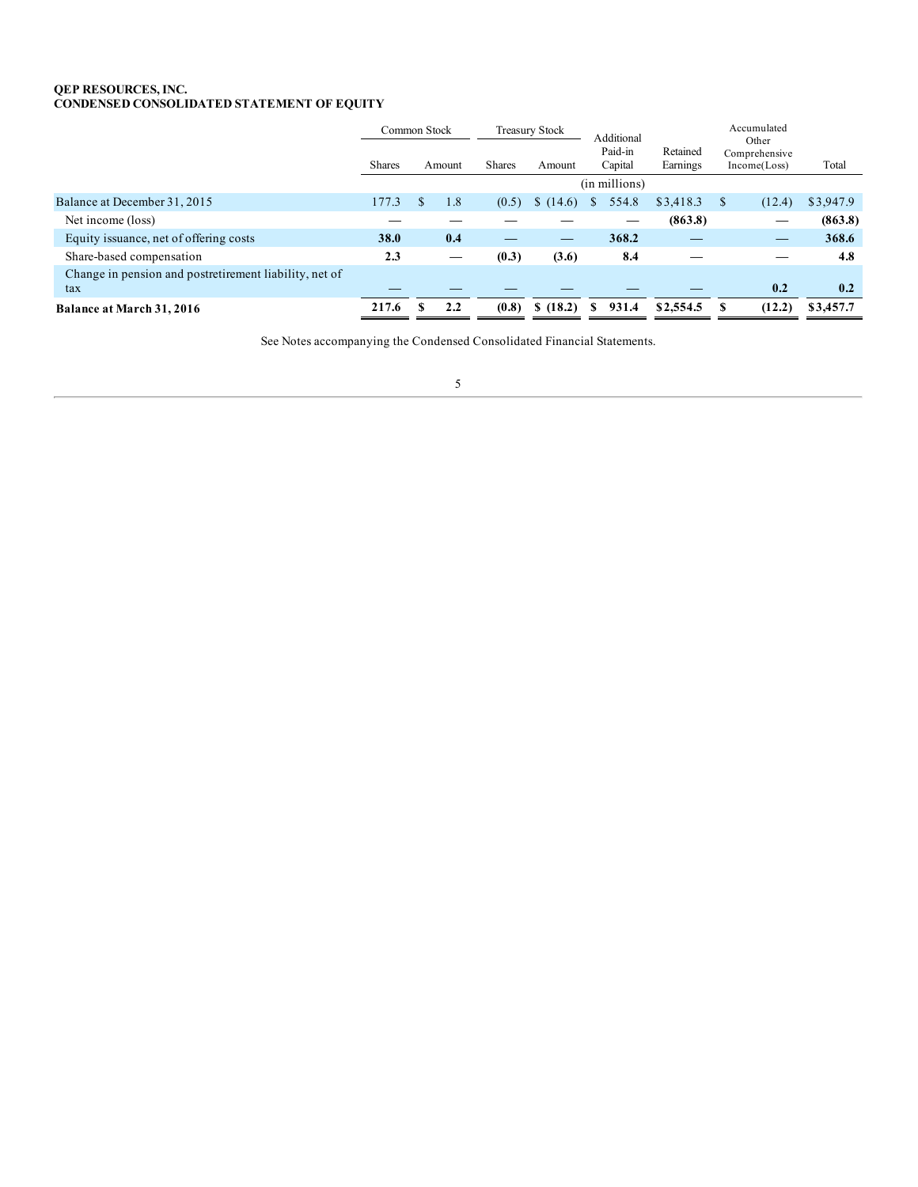# <span id="page-5-0"></span>**QEP RESOURCES, INC. CONDENSED CONSOLIDATED STATEMENT OF EQUITY**

|                                                        | Common Stock            |    |               | <b>Treasury Stock</b> |                    | Additional            |                               |   | Accumulated<br>Other |           |
|--------------------------------------------------------|-------------------------|----|---------------|-----------------------|--------------------|-----------------------|-------------------------------|---|----------------------|-----------|
|                                                        | <b>Shares</b><br>Amount |    | <b>Shares</b> | Amount                | Paid-in<br>Capital | Retained<br>Earnings  | Comprehensive<br>Income(Loss) |   | Total                |           |
|                                                        |                         |    |               |                       |                    | (in millions)         |                               |   |                      |           |
| Balance at December 31, 2015                           | 177.3                   | \$ | 1.8           | (0.5)                 | (14.6)             | 554.8<br><sup>S</sup> | \$3,418.3                     | S | (12.4)               | \$3,947.9 |
| Net income (loss)                                      |                         |    |               |                       |                    |                       | (863.8)                       |   |                      | (863.8)   |
| Equity issuance, net of offering costs                 | 38.0                    |    | 0.4           |                       |                    | 368.2                 |                               |   |                      | 368.6     |
| Share-based compensation                               | 2.3                     |    | —             | (0.3)                 | (3.6)              | 8.4                   |                               |   |                      | 4.8       |
| Change in pension and postretirement liability, net of |                         |    |               |                       |                    |                       |                               |   |                      |           |
| tax                                                    |                         |    |               |                       |                    |                       |                               |   | 0.2                  | 0.2       |
| <b>Balance at March 31, 2016</b>                       | 217.6                   | S  | 2.2           | (0.8)                 | \$(18.2)           | 931.4<br>- \$         | \$2,554.5                     |   | (12.2)               | \$3,457.7 |
|                                                        |                         |    |               |                       |                    |                       |                               |   |                      |           |

See Notes accompanying the Condensed Consolidated Financial Statements.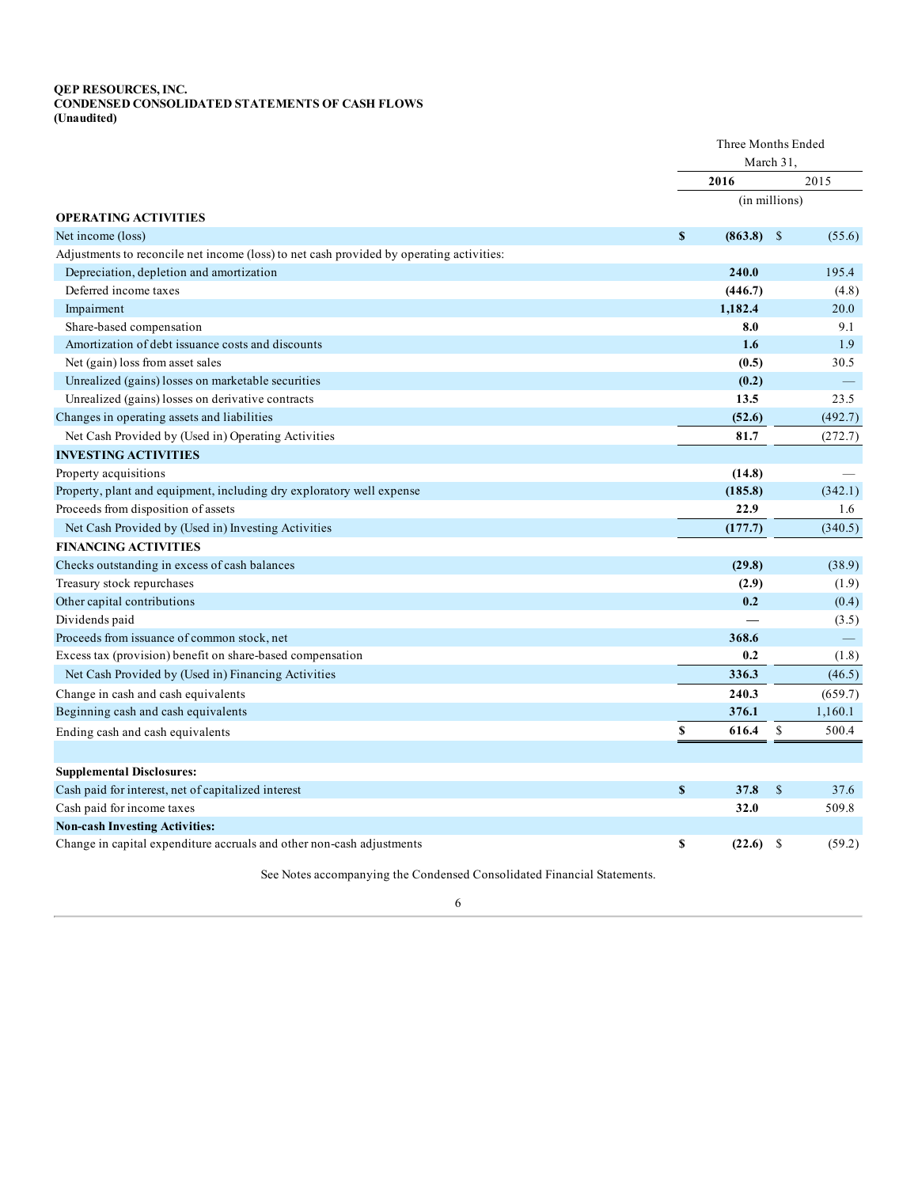#### **QEP RESOURCES, INC. CONDENSED CONSOLIDATED STATEMENTS OF CASH FLOWS (Unaudited)**

|                                                                                          | Three Months Ended<br>March 31. |               |              |                   |
|------------------------------------------------------------------------------------------|---------------------------------|---------------|--------------|-------------------|
|                                                                                          |                                 | 2016          |              | 2015              |
|                                                                                          |                                 | (in millions) |              |                   |
| <b>OPERATING ACTIVITIES</b>                                                              |                                 |               |              |                   |
| Net income (loss)                                                                        | S                               | $(863.8)$ \$  |              | (55.6)            |
| Adjustments to reconcile net income (loss) to net cash provided by operating activities: |                                 |               |              |                   |
| Depreciation, depletion and amortization                                                 |                                 | 240.0         |              | 195.4             |
| Deferred income taxes                                                                    |                                 | (446.7)       |              | (4.8)             |
| Impairment                                                                               |                                 | 1,182.4       |              | 20.0              |
| Share-based compensation                                                                 |                                 | 8.0           |              | 9.1               |
| Amortization of debt issuance costs and discounts                                        |                                 | 1.6           |              | 1.9               |
| Net (gain) loss from asset sales                                                         |                                 | (0.5)         |              | 30.5              |
| Unrealized (gains) losses on marketable securities                                       |                                 | (0.2)         |              | $\qquad \qquad -$ |
| Unrealized (gains) losses on derivative contracts                                        |                                 | 13.5          |              | 23.5              |
| Changes in operating assets and liabilities                                              |                                 | (52.6)        |              | (492.7)           |
| Net Cash Provided by (Used in) Operating Activities                                      |                                 | 81.7          |              | (272.7)           |
| <b>INVESTING ACTIVITIES</b>                                                              |                                 |               |              |                   |
| Property acquisitions                                                                    |                                 | (14.8)        |              |                   |
| Property, plant and equipment, including dry exploratory well expense                    |                                 | (185.8)       |              | (342.1)           |
| Proceeds from disposition of assets                                                      |                                 | 22.9          |              | 1.6               |
| Net Cash Provided by (Used in) Investing Activities                                      |                                 | (177.7)       |              | (340.5)           |
| <b>FINANCING ACTIVITIES</b>                                                              |                                 |               |              |                   |
| Checks outstanding in excess of cash balances                                            |                                 | (29.8)        |              | (38.9)            |
| Treasury stock repurchases                                                               |                                 | (2.9)         |              | (1.9)             |
| Other capital contributions                                                              |                                 | 0.2           |              | (0.4)             |
| Dividends paid                                                                           |                                 |               |              | (3.5)             |
| Proceeds from issuance of common stock, net                                              |                                 | 368.6         |              |                   |
| Excess tax (provision) benefit on share-based compensation                               |                                 | 0.2           |              | (1.8)             |
| Net Cash Provided by (Used in) Financing Activities                                      |                                 | 336.3         |              | (46.5)            |
| Change in cash and cash equivalents                                                      |                                 | 240.3         |              | (659.7)           |
| Beginning cash and cash equivalents                                                      |                                 | 376.1         |              | 1,160.1           |
| Ending cash and cash equivalents                                                         | \$                              | 616.4         | \$           | 500.4             |
|                                                                                          |                                 |               |              |                   |
| <b>Supplemental Disclosures:</b>                                                         |                                 |               |              |                   |
| Cash paid for interest, net of capitalized interest                                      | $\mathbf{s}$                    | 37.8          | $\mathbb{S}$ | 37.6              |
| Cash paid for income taxes                                                               |                                 | 32.0          |              | 509.8             |
| <b>Non-cash Investing Activities:</b>                                                    |                                 |               |              |                   |
| Change in capital expenditure accruals and other non-cash adjustments                    | \$                              | $(22.6)$ \$   |              | (59.2)            |

See Notes accompanying the Condensed Consolidated Financial Statements.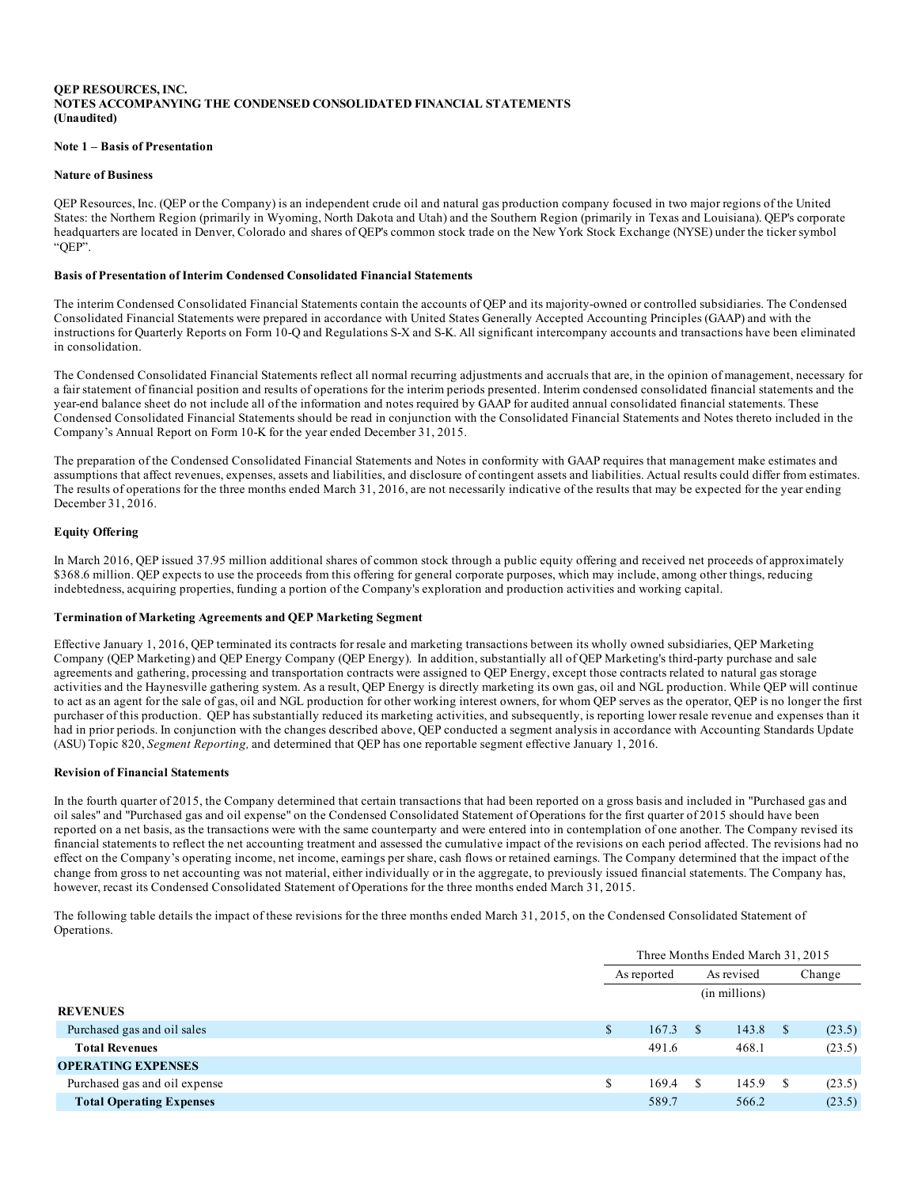#### <span id="page-7-0"></span>**QEP RESOURCES, INC. NOTES ACCOMPANYING THE CONDENSED CONSOLIDATED FINANCIAL STATEMENTS (Unaudited)**

# **Note 1 – Basis of Presentation**

#### **Nature of Business**

QEP Resources, Inc. (QEP or the Company) is an independent crude oil and natural gas production company focused in two major regions of the United States: the Northern Region (primarily in Wyoming, North Dakota and Utah) and the Southern Region (primarily in Texas and Louisiana). QEP's corporate headquarters are located in Denver, Colorado and shares of QEP's common stock trade on the New York Stock Exchange (NYSE) under the ticker symbol "QEP".

#### **Basis of Presentation of Interim Condensed Consolidated Financial Statements**

The interim Condensed Consolidated Financial Statements contain the accounts of QEP and its majority-owned or controlled subsidiaries. The Condensed Consolidated Financial Statements were prepared in accordance with United States Generally Accepted Accounting Principles (GAAP) and with the instructions for Quarterly Reports on Form 10-Q and Regulations S-X and S-K. All significant intercompany accounts and transactions have been eliminated in consolidation.

The Condensed Consolidated Financial Statements reflect all normal recurring adjustments and accruals that are, in the opinion of management, necessary for a fair statement of financial position and results of operations for the interim periods presented. Interim condensed consolidated financial statements and the year-end balance sheet do not include all of the information and notes required by GAAP for audited annual consolidated financial statements. These Condensed Consolidated Financial Statements should be read in conjunction with the Consolidated Financial Statements and Notes thereto included in the Company's Annual Report on Form 10-K for the year ended December 31, 2015.

The preparation of the Condensed Consolidated Financial Statements and Notes in conformity with GAAP requires that management make estimates and assumptions that affect revenues, expenses, assets and liabilities, and disclosure of contingent assets and liabilities. Actual results could differ from estimates. The results of operations for the three months ended March 31, 2016, are not necessarily indicative of the results that may be expected for the year ending December 31, 2016.

# **Equity Offering**

In March 2016, QEP issued 37.95 million additional shares of common stock through a public equity offering and received net proceeds of approximately \$368.6 million. QEP expects to use the proceeds from this offering for general corporate purposes, which may include, among other things, reducing indebtedness, acquiring properties, funding a portion of the Company's exploration and production activities and working capital.

# **Termination of Marketing Agreements and QEP Marketing Segment**

Effective January 1, 2016, QEP terminated its contracts for resale and marketing transactions between its wholly owned subsidiaries, QEP Marketing Company (QEP Marketing) and QEP Energy Company (QEP Energy). In addition, substantially all of QEP Marketing's third-party purchase and sale agreements and gathering, processing and transportation contracts were assigned to QEP Energy, except those contracts related to natural gas storage activities and the Haynesville gathering system. As a result, QEP Energy is directly marketing its own gas, oil and NGL production. While QEP will continue to act as an agent for the sale of gas, oil and NGL production for other working interest owners, for whom QEP serves as the operator, QEP is no longer the first purchaser of this production. QEP has substantially reduced its marketing activities, and subsequently, is reporting lower resale revenue and expenses than it had in prior periods. In conjunction with the changes described above, QEP conducted a segment analysis in accordance with Accounting Standards Update (ASU) Topic 820, *Segment Reporting,* and determined that QEP has one reportable segment effective January 1, 2016.

#### **Revision of Financial Statements**

In the fourth quarter of 2015, the Company determined that certain transactions that had been reported on a gross basis and included in "Purchased gas and oil sales" and "Purchased gas and oil expense" on the Condensed Consolidated Statement of Operations for the first quarter of 2015 should have been reported on a net basis, as the transactions were with the same counterparty and were entered into in contemplation of one another. The Company revised its financial statements to reflect the net accounting treatment and assessed the cumulative impact of the revisions on each period affected. The revisions had no effect on the Company's operating income, net income, earnings per share, cash flows or retained earnings. The Company determined that the impact of the change from gross to net accounting was not material, either individually or in the aggregate, to previously issued financial statements. The Company has, however, recast its Condensed Consolidated Statement of Operations for the three months ended March 31, 2015.

The following table details the impact of these revisions for the three months ended March 31, 2015, on the Condensed Consolidated Statement of Operations.

|                                 | Three Months Ended March 31, 2015 |    |            |      |        |  |  |
|---------------------------------|-----------------------------------|----|------------|------|--------|--|--|
|                                 | As reported                       |    | As revised |      | Change |  |  |
|                                 | (in millions)                     |    |            |      |        |  |  |
| <b>REVENUES</b>                 |                                   |    |            |      |        |  |  |
| Purchased gas and oil sales     | \$<br>167.3                       | -S | 143.8      | - \$ | (23.5) |  |  |
| <b>Total Revenues</b>           | 491.6                             |    | 468.1      |      | (23.5) |  |  |
| <b>OPERATING EXPENSES</b>       |                                   |    |            |      |        |  |  |
| Purchased gas and oil expense   | \$<br>169.4                       | -S | 145.9      | -S   | (23.5) |  |  |
| <b>Total Operating Expenses</b> | 589.7                             |    | 566.2      |      | (23.5) |  |  |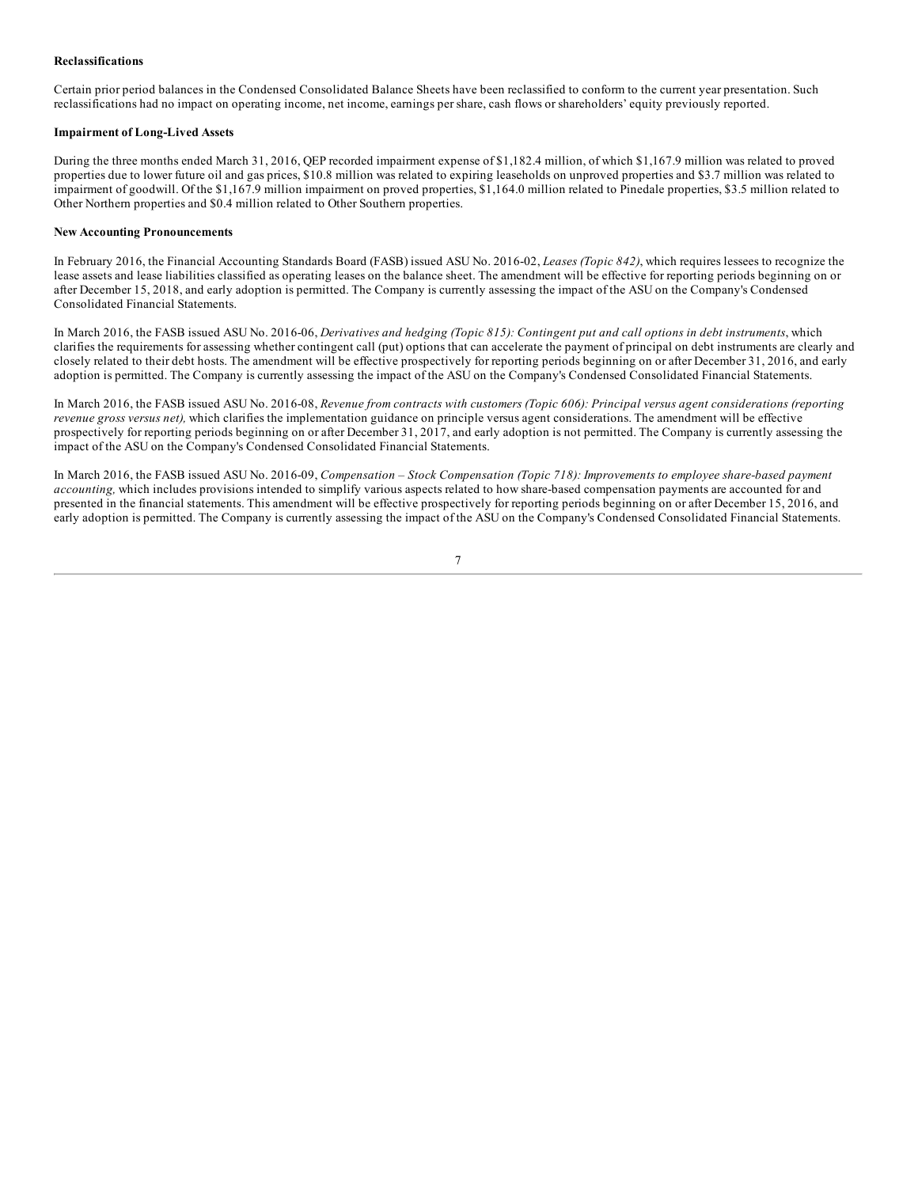#### **Reclassifications**

Certain prior period balances in the Condensed Consolidated Balance Sheets have been reclassified to conform to the current year presentation. Such reclassifications had no impact on operating income, net income, earnings per share, cash flows or shareholders' equity previously reported.

#### **Impairment of Long-Lived Assets**

During the three months ended March 31, 2016, QEP recorded impairment expense of \$1,182.4 million, of which \$1,167.9 million was related to proved properties due to lower future oil and gas prices, \$10.8 million was related to expiring leaseholds on unproved properties and \$3.7 million was related to impairment of goodwill. Of the \$1,167.9 million impairment on proved properties, \$1,164.0 million related to Pinedale properties, \$3.5 million related to Other Northern properties and \$0.4 million related to Other Southern properties.

#### **New Accounting Pronouncements**

In February 2016, the Financial Accounting Standards Board (FASB) issued ASU No. 2016-02, *Leases (Topic 842)*, which requires lessees to recognize the lease assets and lease liabilities classified as operating leases on the balance sheet. The amendment will be effective for reporting periods beginning on or after December 15, 2018, and early adoption is permitted. The Company is currently assessing the impact of the ASU on the Company's Condensed Consolidated Financial Statements.

In March 2016, the FASB issued ASU No. 2016-06, Derivatives and hedging (Topic 815): Contingent put and call options in debt instruments, which clarifies the requirements for assessing whether contingent call (put) options that can accelerate the payment of principal on debt instruments are clearly and closely related to their debt hosts. The amendment will be effective prospectively for reporting periods beginning on or after December 31, 2016, and early adoption is permitted. The Company is currently assessing the impact of the ASU on the Company's Condensed Consolidated Financial Statements.

In March 2016, the FASB issued ASU No. 2016-08, Revenue from contracts with customers (Topic 606): Principal versus agent considerations (reporting *revenue gross versus net),* which clarifies the implementation guidance on principle versus agent considerations. The amendment will be effective prospectively for reporting periods beginning on or after December 31, 2017, and early adoption is not permitted. The Company is currently assessing the impact of the ASU on the Company's Condensed Consolidated Financial Statements.

In March 2016, the FASB issued ASU No. 2016-09, *Compensation – Stock Compensation (Topic 718): Improvements to employee share-based payment accounting,* which includes provisions intended to simplify various aspects related to how share-based compensation payments are accounted for and presented in the financial statements. This amendment will be effective prospectively for reporting periods beginning on or after December 15, 2016, and early adoption is permitted. The Company is currently assessing the impact of the ASU on the Company's Condensed Consolidated Financial Statements.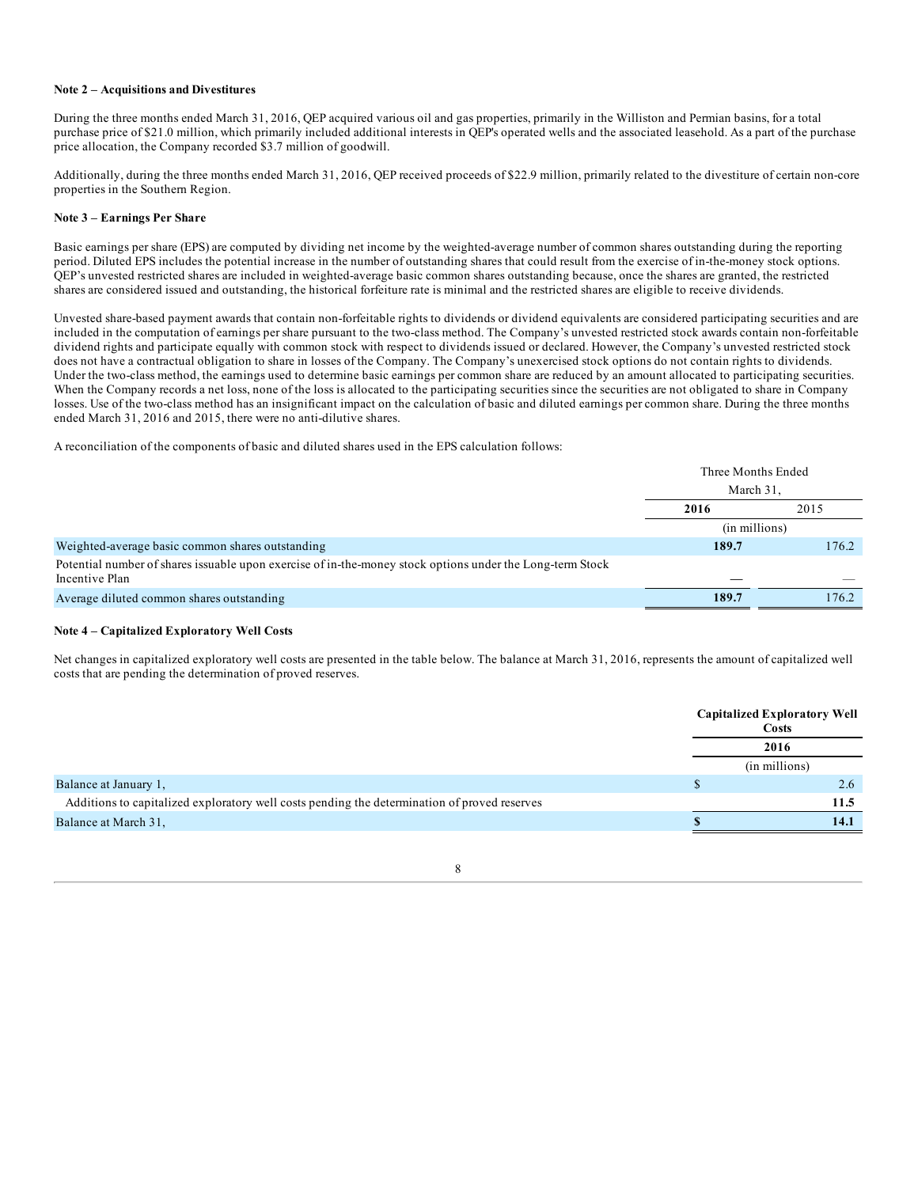#### **Note 2 – Acquisitions and Divestitures**

During the three months ended March 31, 2016, QEP acquired various oil and gas properties, primarily in the Williston and Permian basins, for a total purchase price of \$21.0 million, which primarily included additional interests in QEP's operated wells and the associated leasehold. As a part of the purchase price allocation, the Company recorded \$3.7 million of goodwill.

Additionally, during the three months ended March 31, 2016, QEP received proceeds of \$22.9 million, primarily related to the divestiture of certain non-core properties in the Southern Region.

#### **Note 3 – Earnings Per Share**

Basic earnings per share (EPS) are computed by dividing net income by the weighted-average number of common shares outstanding during the reporting period. Diluted EPS includes the potential increase in the number of outstanding shares that could result from the exercise of in-the-money stock options. QEP's unvested restricted shares are included in weighted-average basic common shares outstanding because, once the shares are granted, the restricted shares are considered issued and outstanding, the historical forfeiture rate is minimal and the restricted shares are eligible to receive dividends.

Unvested share-based payment awards that contain non-forfeitable rights to dividends or dividend equivalents are considered participating securities and are included in the computation of earnings per share pursuant to the two-class method. The Company's unvested restricted stock awards contain non-forfeitable dividend rights and participate equally with common stock with respect to dividends issued or declared. However, the Company's unvested restricted stock does not have a contractual obligation to share in losses of the Company. The Company's unexercised stock options do not contain rights to dividends. Under the two-class method, the earnings used to determine basic earnings per common share are reduced by an amount allocated to participating securities. When the Company records a net loss, none of the loss is allocated to the participating securities since the securities are not obligated to share in Company losses. Use of the two-class method has an insignificant impact on the calculation of basic and diluted earnings per common share. During the three months ended March 31, 2016 and 2015, there were no anti-dilutive shares.

A reconciliation of the components of basic and diluted shares used in the EPS calculation follows:

|                                                                                                                             | Three Months Ended |               |  |  |
|-----------------------------------------------------------------------------------------------------------------------------|--------------------|---------------|--|--|
|                                                                                                                             | March 31,          |               |  |  |
|                                                                                                                             | 2016               | 2015          |  |  |
|                                                                                                                             |                    | (in millions) |  |  |
| Weighted-average basic common shares outstanding                                                                            | 189.7              | 176.2         |  |  |
| Potential number of shares issuable upon exercise of in-the-money stock options under the Long-term Stock<br>Incentive Plan |                    |               |  |  |
| Average diluted common shares outstanding                                                                                   | 189.7              | 176.2         |  |  |

# **Note 4 – Capitalized Exploratory Well Costs**

Net changes in capitalized exploratory well costs are presented in the table below. The balance at March 31, 2016, represents the amount of capitalized well costs that are pending the determination of proved reserves.

| 2016<br>(in millions)<br>2.6<br>.D<br>Additions to capitalized exploratory well costs pending the determination of proved reserves<br>11.5<br>14.1 |  | <b>Capitalized Exploratory Well</b><br>Costs |
|----------------------------------------------------------------------------------------------------------------------------------------------------|--|----------------------------------------------|
|                                                                                                                                                    |  |                                              |
| Balance at January 1,<br>Balance at March 31,                                                                                                      |  |                                              |
|                                                                                                                                                    |  |                                              |
|                                                                                                                                                    |  |                                              |
|                                                                                                                                                    |  |                                              |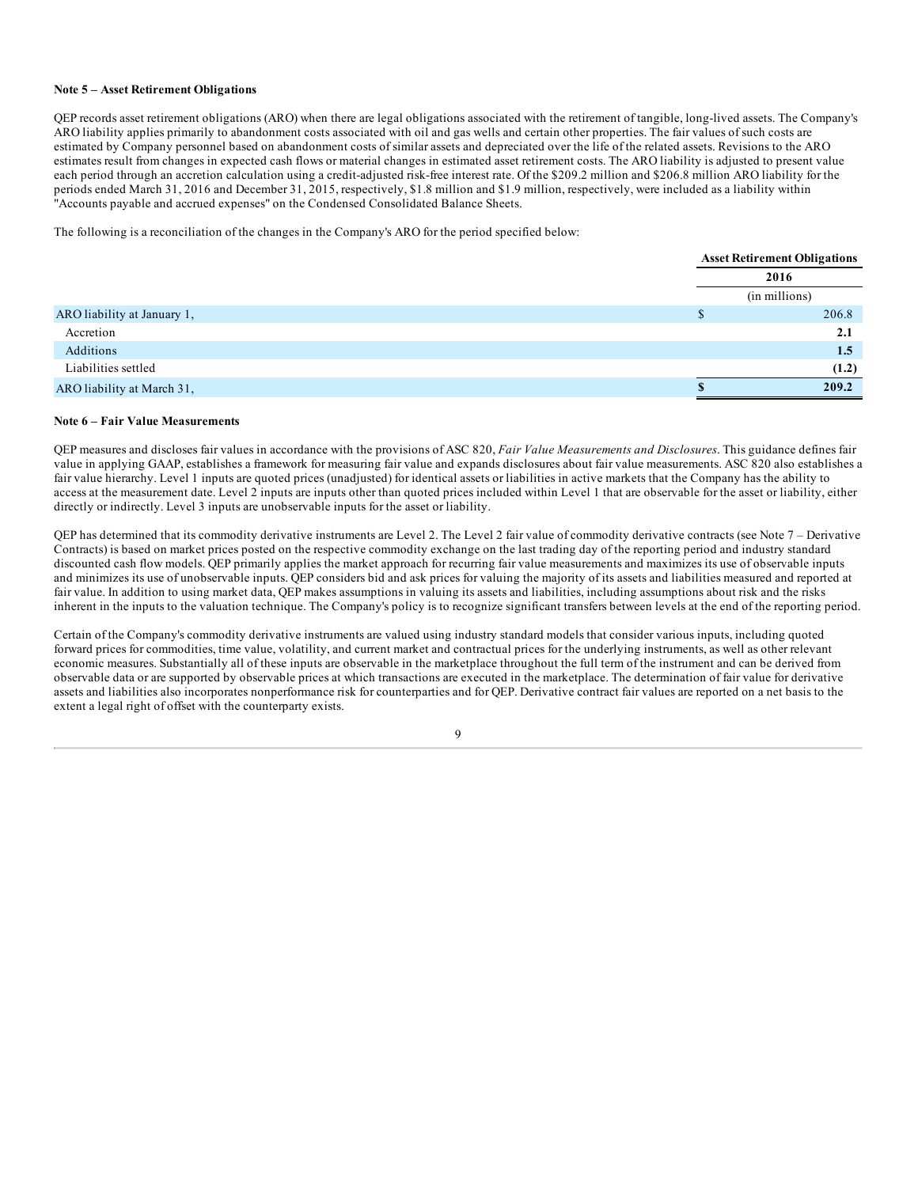#### **Note 5 – Asset Retirement Obligations**

QEP records asset retirement obligations (ARO) when there are legal obligations associated with the retirement of tangible, long-lived assets. The Company's ARO liability applies primarily to abandonment costs associated with oil and gas wells and certain other properties. The fair values of such costs are estimated by Company personnel based on abandonment costs of similar assets and depreciated over the life of the related assets. Revisions to the ARO estimates result from changes in expected cash flows or material changes in estimated asset retirement costs. The ARO liability is adjusted to present value each period through an accretion calculation using a credit-adjusted risk-free interest rate. Of the \$209.2 million and \$206.8 million ARO liability for the periods ended March 31, 2016 and December 31, 2015, respectively, \$1.8 million and \$1.9 million, respectively, were included as a liability within "Accounts payable and accrued expenses" on the Condensed Consolidated Balance Sheets.

The following is a reconciliation of the changes in the Company's ARO for the period specified below:

| 206.8         |
|---------------|
| 2.1           |
| 1.5           |
| (1.2)         |
| 209.2         |
| (in millions) |

# **Note 6 – Fair Value Measurements**

QEP measures and discloses fair values in accordance with the provisions of ASC 820, *Fair Value Measurements and Disclosures*. This guidance defines fair value in applying GAAP, establishes a framework for measuring fair value and expands disclosures about fair value measurements. ASC 820 also establishes a fair value hierarchy. Level 1 inputs are quoted prices (unadjusted) for identical assets or liabilities in active markets that the Company has the ability to access at the measurement date. Level 2 inputs are inputs other than quoted prices included within Level 1 that are observable for the asset or liability, either directly or indirectly. Level 3 inputs are unobservable inputs for the asset or liability.

QEP has determined that its commodity derivative instruments are Level 2. The Level 2 fair value of commodity derivative contracts (see Note 7 – Derivative Contracts) is based on market prices posted on the respective commodity exchange on the last trading day of the reporting period and industry standard discounted cash flow models. QEP primarily applies the market approach for recurring fair value measurements and maximizes its use of observable inputs and minimizes its use of unobservable inputs. QEP considers bid and ask prices for valuing the majority of its assets and liabilities measured and reported at fair value. In addition to using market data, QEP makes assumptions in valuing its assets and liabilities, including assumptions about risk and the risks inherent in the inputs to the valuation technique. The Company's policy is to recognize significant transfers between levels at the end of the reporting period.

Certain of the Company's commodity derivative instruments are valued using industry standard models that consider various inputs, including quoted forward prices for commodities, time value, volatility, and current market and contractual prices for the underlying instruments, as well as other relevant economic measures. Substantially all of these inputs are observable in the marketplace throughout the full term of the instrument and can be derived from observable data or are supported by observable prices at which transactions are executed in the marketplace. The determination of fair value for derivative assets and liabilities also incorporates nonperformance risk for counterparties and for QEP. Derivative contract fair values are reported on a net basis to the extent a legal right of offset with the counterparty exists.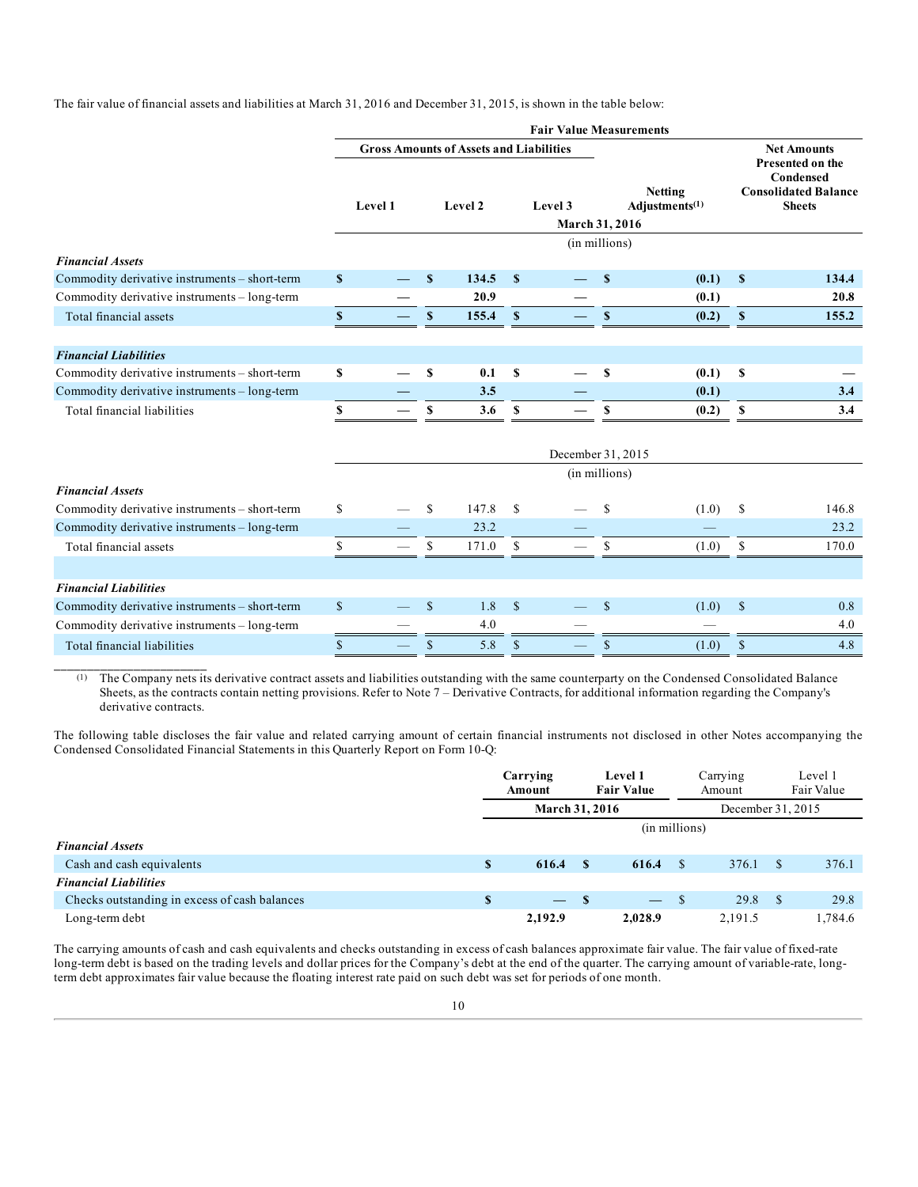The fair value of financial assets and liabilities at March 31, 2016 and December 31, 2015, is shown in the table below:

|                                               |                                                |  |               |       |                           | <b>Fair Value Measurements</b> |                                       |       |               |                                                                               |
|-----------------------------------------------|------------------------------------------------|--|---------------|-------|---------------------------|--------------------------------|---------------------------------------|-------|---------------|-------------------------------------------------------------------------------|
|                                               | <b>Gross Amounts of Assets and Liabilities</b> |  |               |       |                           |                                |                                       |       |               | <b>Net Amounts</b>                                                            |
|                                               | Level 1                                        |  | Level 2       |       | Level 3<br>March 31, 2016 |                                | Netting<br>Adjustments <sup>(1)</sup> |       |               | Presented on the<br>Condensed<br><b>Consolidated Balance</b><br><b>Sheets</b> |
|                                               |                                                |  |               |       |                           |                                | (in millions)                         |       |               |                                                                               |
| <b>Financial Assets</b>                       |                                                |  |               |       |                           |                                |                                       |       |               |                                                                               |
| Commodity derivative instruments - short-term | \$                                             |  | $\mathbf s$   | 134.5 | $\mathbf{s}$              |                                | \$                                    | (0.1) | $\mathbf{s}$  | 134.4                                                                         |
| Commodity derivative instruments - long-term  |                                                |  |               | 20.9  |                           |                                |                                       | (0.1) |               | 20.8                                                                          |
| Total financial assets                        | \$                                             |  | \$            | 155.4 | \$                        |                                | \$                                    | (0.2) | \$            | 155.2                                                                         |
| <b>Financial Liabilities</b>                  |                                                |  |               |       |                           |                                |                                       |       |               |                                                                               |
| Commodity derivative instruments - short-term | \$                                             |  | \$            | 0.1   | \$                        |                                | \$                                    | (0.1) | \$            |                                                                               |
| Commodity derivative instruments - long-term  |                                                |  |               | 3.5   |                           |                                |                                       | (0.1) |               | 3.4                                                                           |
| Total financial liabilities                   | \$                                             |  | S             | 3.6   | S                         |                                | \$                                    | (0.2) | \$            | 3.4                                                                           |
|                                               |                                                |  |               |       |                           |                                | December 31, 2015                     |       |               |                                                                               |
|                                               |                                                |  |               |       |                           |                                | (in millions)                         |       |               |                                                                               |
| <b>Financial Assets</b>                       |                                                |  |               |       |                           |                                |                                       |       |               |                                                                               |
| Commodity derivative instruments - short-term | \$                                             |  | <sup>\$</sup> | 147.8 | <sup>\$</sup>             |                                | \$                                    | (1.0) | <sup>\$</sup> | 146.8                                                                         |
| Commodity derivative instruments - long-term  |                                                |  |               | 23.2  |                           |                                |                                       |       |               | 23.2                                                                          |
| Total financial assets                        | \$                                             |  | $\mathbb{S}$  | 171.0 | \$                        |                                | \$                                    | (1.0) | \$            | 170.0                                                                         |
|                                               |                                                |  |               |       |                           |                                |                                       |       |               |                                                                               |
| <b>Financial Liabilities</b>                  |                                                |  |               |       |                           |                                |                                       |       |               |                                                                               |
| Commodity derivative instruments - short-term | $\mathbb{S}$                                   |  | $\mathcal{S}$ | 1.8   | $\mathcal{S}$             |                                | $\mathbb{S}$                          | (1.0) | $\mathbb{S}$  | 0.8                                                                           |
| Commodity derivative instruments - long-term  |                                                |  |               | 4.0   |                           |                                |                                       |       |               | 4.0                                                                           |
| Total financial liabilities                   | $\mathbb{S}$                                   |  | $\mathbb{S}$  | 5.8   | $\mathcal{S}$             |                                | \$                                    | (1.0) | $\$$          | 4.8                                                                           |

(1) The Company nets its derivative contract assets and liabilities outstanding with the same counterparty on the Condensed Consolidated Balance Sheets, as the contracts contain netting provisions. Refer to Note 7 – Derivative Contracts, for additional information regarding the Company's derivative contracts.

**\_\_\_\_\_\_\_\_\_\_\_\_\_\_\_\_\_\_\_\_\_\_\_**

The following table discloses the fair value and related carrying amount of certain financial instruments not disclosed in other Notes accompanying the Condensed Consolidated Financial Statements in this Quarterly Report on Form 10-Q:

|                                               | Carrying<br>Amount |          | Level 1<br><b>Fair Value</b> |      | Carrying<br>Amount |               | Level 1<br>Fair Value |  |
|-----------------------------------------------|--------------------|----------|------------------------------|------|--------------------|---------------|-----------------------|--|
|                                               | March 31, 2016     |          |                              |      | December 31, 2015  |               |                       |  |
|                                               | (in millions)      |          |                              |      |                    |               |                       |  |
| <b>Financial Assets</b>                       |                    |          |                              |      |                    |               |                       |  |
| Cash and cash equivalents                     | \$<br>616.4        | <b>S</b> | 616.4                        | - \$ | 376.1              | <sup>\$</sup> | 376.1                 |  |
| <b>Financial Liabilities</b>                  |                    |          |                              |      |                    |               |                       |  |
| Checks outstanding in excess of cash balances | \$<br>$-$ s        |          | $-$ \$                       |      | 29.8               | -S            | 29.8                  |  |
| Long-term debt                                | 2,192.9            |          | 2,028.9                      |      | 2,191.5            |               | 1,784.6               |  |

The carrying amounts of cash and cash equivalents and checks outstanding in excess of cash balances approximate fair value. The fair value of fixed-rate long-term debt is based on the trading levels and dollar prices for the Company's debt at the end of the quarter. The carrying amount of variable-rate, longterm debt approximates fair value because the floating interest rate paid on such debt was set for periods of one month.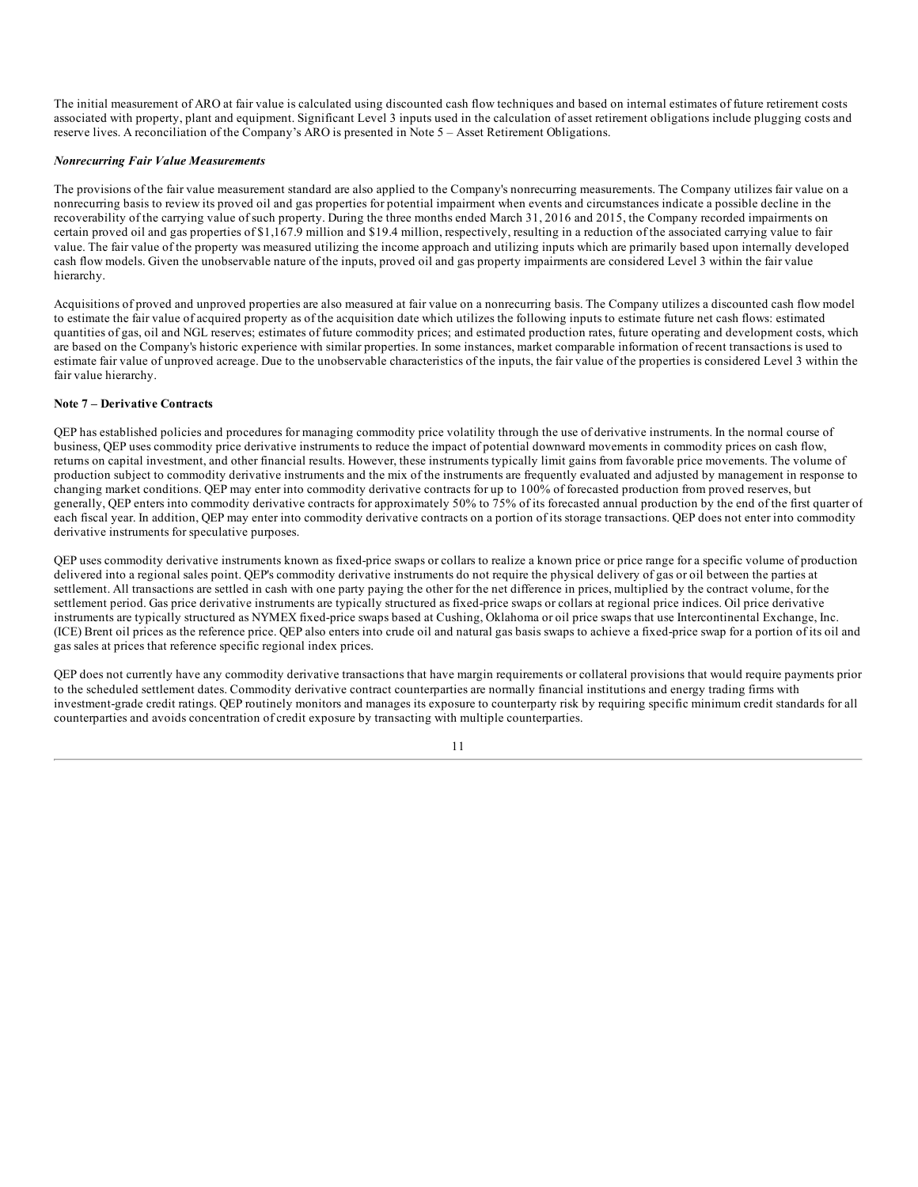The initial measurement of ARO at fair value is calculated using discounted cash flow techniques and based on internal estimates of future retirement costs associated with property, plant and equipment. Significant Level 3 inputs used in the calculation of asset retirement obligations include plugging costs and reserve lives. A reconciliation of the Company's ARO is presented in Note 5 – Asset Retirement Obligations.

#### *Nonrecurring Fair Value Measurements*

The provisions of the fair value measurement standard are also applied to the Company's nonrecurring measurements. The Company utilizes fair value on a nonrecurring basis to review its proved oil and gas properties for potential impairment when events and circumstances indicate a possible decline in the recoverability of the carrying value of such property. During the three months ended March 31, 2016 and 2015, the Company recorded impairments on certain proved oil and gas properties of \$1,167.9 million and \$19.4 million, respectively, resulting in a reduction of the associated carrying value to fair value. The fair value of the property was measured utilizing the income approach and utilizing inputs which are primarily based upon internally developed cash flow models. Given the unobservable nature of the inputs, proved oil and gas property impairments are considered Level 3 within the fair value hierarchy.

Acquisitions of proved and unproved properties are also measured at fair value on a nonrecurring basis. The Company utilizes a discounted cash flow model to estimate the fair value of acquired property as of the acquisition date which utilizes the following inputs to estimate future net cash flows: estimated quantities of gas, oil and NGL reserves; estimates of future commodity prices; and estimated production rates, future operating and development costs, which are based on the Company's historic experience with similar properties. In some instances, market comparable information of recent transactions is used to estimate fair value of unproved acreage. Due to the unobservable characteristics of the inputs, the fair value of the properties is considered Level 3 within the fair value hierarchy.

#### **Note 7 – Derivative Contracts**

QEP has established policies and procedures for managing commodity price volatility through the use of derivative instruments. In the normal course of business, QEP uses commodity price derivative instruments to reduce the impact of potential downward movements in commodity prices on cash flow, returns on capital investment, and other financial results. However, these instruments typically limit gains from favorable price movements. The volume of production subject to commodity derivative instruments and the mix of the instruments are frequently evaluated and adjusted by management in response to changing market conditions. QEP may enter into commodity derivative contracts for up to 100% of forecasted production from proved reserves, but generally, QEP enters into commodity derivative contracts for approximately 50% to 75% of its forecasted annual production by the end of the first quarter of each fiscal year. In addition, QEP may enter into commodity derivative contracts on a portion of its storage transactions. QEP does not enter into commodity derivative instruments for speculative purposes.

QEP uses commodity derivative instruments known as fixed-price swaps or collars to realize a known price or price range for a specific volume of production delivered into a regional sales point. QEP's commodity derivative instruments do not require the physical delivery of gas or oil between the parties at settlement. All transactions are settled in cash with one party paying the other for the net difference in prices, multiplied by the contract volume, for the settlement period. Gas price derivative instruments are typically structured as fixed-price swaps or collars at regional price indices. Oil price derivative instruments are typically structured as NYMEX fixed-price swaps based at Cushing, Oklahoma or oil price swaps that use Intercontinental Exchange, Inc. (ICE) Brent oil prices as the reference price. QEP also enters into crude oil and natural gas basis swaps to achieve a fixed-price swap for a portion of its oil and gas sales at prices that reference specific regional index prices.

QEP does not currently have any commodity derivative transactions that have margin requirements or collateral provisions that would require payments prior to the scheduled settlement dates. Commodity derivative contract counterparties are normally financial institutions and energy trading firms with investment-grade credit ratings. QEP routinely monitors and manages its exposure to counterparty risk by requiring specific minimum credit standards for all counterparties and avoids concentration of credit exposure by transacting with multiple counterparties.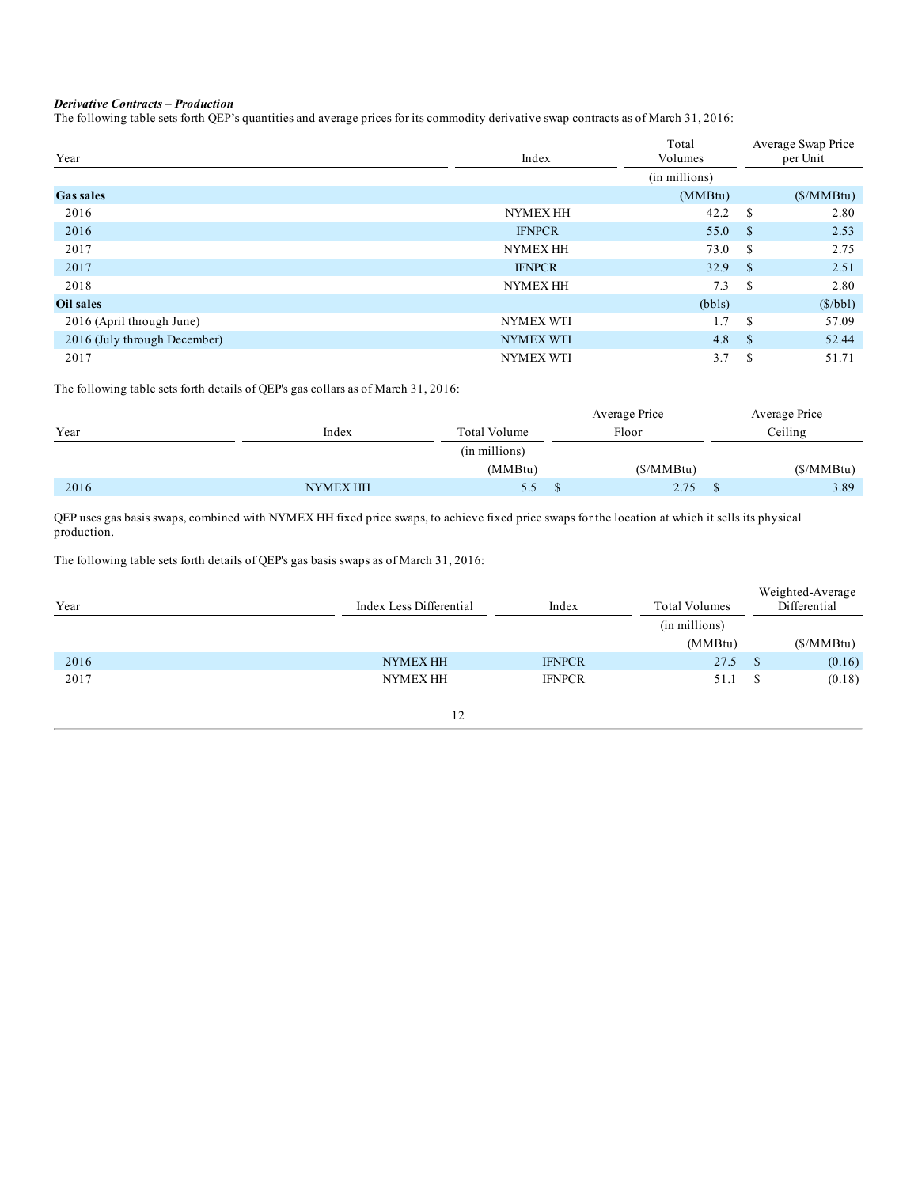# *Derivative Contracts* – *Production*

The following table sets forth QEP's quantities and average prices for its commodity derivative swap contracts as of March 31, 2016:

| Year                         | Index            | Total<br>Volumes | Average Swap Price<br>per Unit |                        |  |
|------------------------------|------------------|------------------|--------------------------------|------------------------|--|
|                              |                  | (in millions)    |                                |                        |  |
| <b>Gas sales</b>             |                  | (MMBtu)          |                                | (S/MMBtu)              |  |
| 2016                         | <b>NYMEX HH</b>  | 42.2             | <sup>\$</sup>                  | 2.80                   |  |
| 2016                         | <b>IFNPCR</b>    | 55.0             | -S                             | 2.53                   |  |
| 2017                         | <b>NYMEX HH</b>  | 73.0             | -S                             | 2.75                   |  |
| 2017                         | <b>IFNPCR</b>    | 32.9             | <b>S</b>                       | 2.51                   |  |
| 2018                         | <b>NYMEX HH</b>  | 7.3              | <sup>\$</sup>                  | 2.80                   |  |
| <b>Oil</b> sales             |                  | (bbls)           |                                | $(\frac{\sqrt{6}}{b})$ |  |
| 2016 (April through June)    | <b>NYMEX WTI</b> | 1.7              | S                              | 57.09                  |  |
| 2016 (July through December) | <b>NYMEX WTI</b> | 4.8              | <sup>S</sup>                   | 52.44                  |  |
| 2017                         | <b>NYMEX WTI</b> | 3.7              | S                              | 51.71                  |  |

The following table sets forth details of QEP's gas collars as of March 31, 2016:

|      |                 |               | Average Price | Average Price       |
|------|-----------------|---------------|---------------|---------------------|
| Year | Index           | Total Volume  | Floor         | Ceiling             |
|      |                 | (in millions) |               |                     |
|      |                 | (MMBtu)       | (S/MM)        | $(\frac{S}{MMBtu})$ |
| 2016 | <b>NYMEX HH</b> | 5.5           | 2.75          | 3.89                |

QEP uses gas basis swaps, combined with NYMEX HH fixed price swaps, to achieve fixed price swaps for the location at which it sells its physical production.

The following table sets forth details of QEP's gas basis swaps as of March 31, 2016:

| Year | Index Less Differential | Index         | Total Volumes | Weighted-Average<br>Differential |
|------|-------------------------|---------------|---------------|----------------------------------|
|      |                         |               | (in millions) |                                  |
|      |                         |               | (MMBtu)       | $(\frac{S}{MMBtu})$              |
| 2016 | NYMEX HH                | <b>IFNPCR</b> | 27.5          | (0.16)                           |
| 2017 | NYMEX HH                | <b>IFNPCR</b> | 51.1          | (0.18)                           |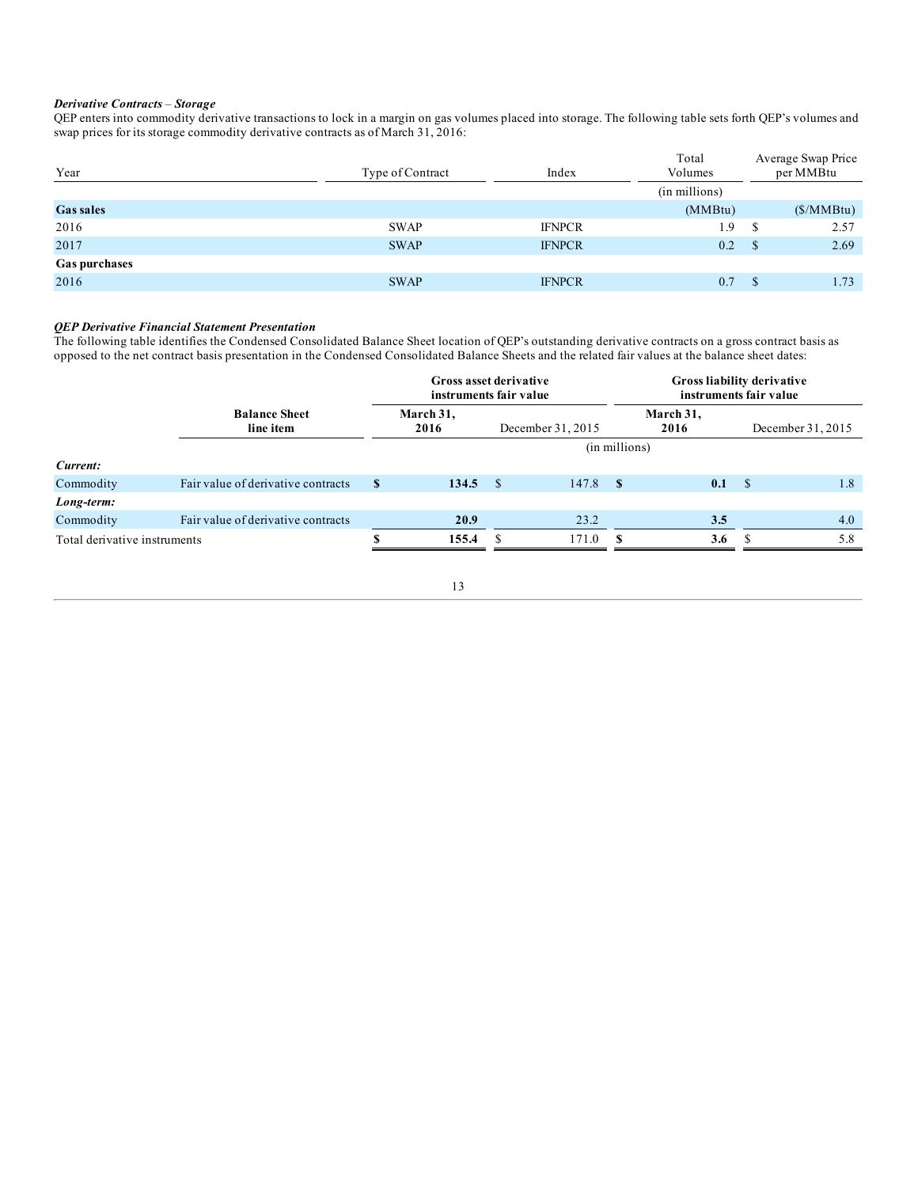# *Derivative Contracts* – *Storage*

QEP enters into commodity derivative transactions to lock in a margin on gas volumes placed into storage. The following table sets forth QEP's volumes and swap prices for its storage commodity derivative contracts as of March 31, 2016:

| Year                 | Type of Contract | Index         | Total<br>Volumes |      | Average Swap Price<br>per MMBtu |
|----------------------|------------------|---------------|------------------|------|---------------------------------|
|                      |                  |               | (in millions)    |      |                                 |
| <b>Gas sales</b>     |                  |               | (MMBtu)          |      | $(\frac{S}{MMBtu})$             |
| 2016                 | <b>SWAP</b>      | <b>IFNPCR</b> | 1.9              | - \$ | 2.57                            |
| 2017                 | <b>SWAP</b>      | <b>IFNPCR</b> | 0.2              | - \$ | 2.69                            |
| <b>Gas purchases</b> |                  |               |                  |      |                                 |
| 2016                 | <b>SWAP</b>      | <b>IFNPCR</b> | 0.7              |      | 1.73                            |

# *QEP Derivative Financial Statement Presentation*

The following table identifies the Condensed Consolidated Balance Sheet location of QEP's outstanding derivative contracts on a gross contract basis as opposed to the net contract basis presentation in the Condensed Consolidated Balance Sheets and the related fair values at the balance sheet dates:

|                              |                                    |    | Gross asset derivative<br>instruments fair value |                   |               | Gross liability derivative<br>instruments fair value |      |                   |
|------------------------------|------------------------------------|----|--------------------------------------------------|-------------------|---------------|------------------------------------------------------|------|-------------------|
|                              | <b>Balance Sheet</b><br>line item  |    | March 31,<br>2016                                | December 31, 2015 |               | March 31,<br>2016                                    |      | December 31, 2015 |
|                              |                                    |    |                                                  |                   | (in millions) |                                                      |      |                   |
| Current:                     |                                    |    |                                                  |                   |               |                                                      |      |                   |
| Commodity                    | Fair value of derivative contracts | S. | $134.5$ \$                                       | $147.8$ <b>S</b>  |               | 0.1                                                  | - \$ | 1.8               |
| Long-term:                   |                                    |    |                                                  |                   |               |                                                      |      |                   |
| Commodity                    | Fair value of derivative contracts |    | 20.9                                             | 23.2              |               | 3.5                                                  |      | 4.0               |
| Total derivative instruments |                                    |    | 155.4                                            | 171.0             | -S            | 3.6                                                  | - 8  | 5.8               |

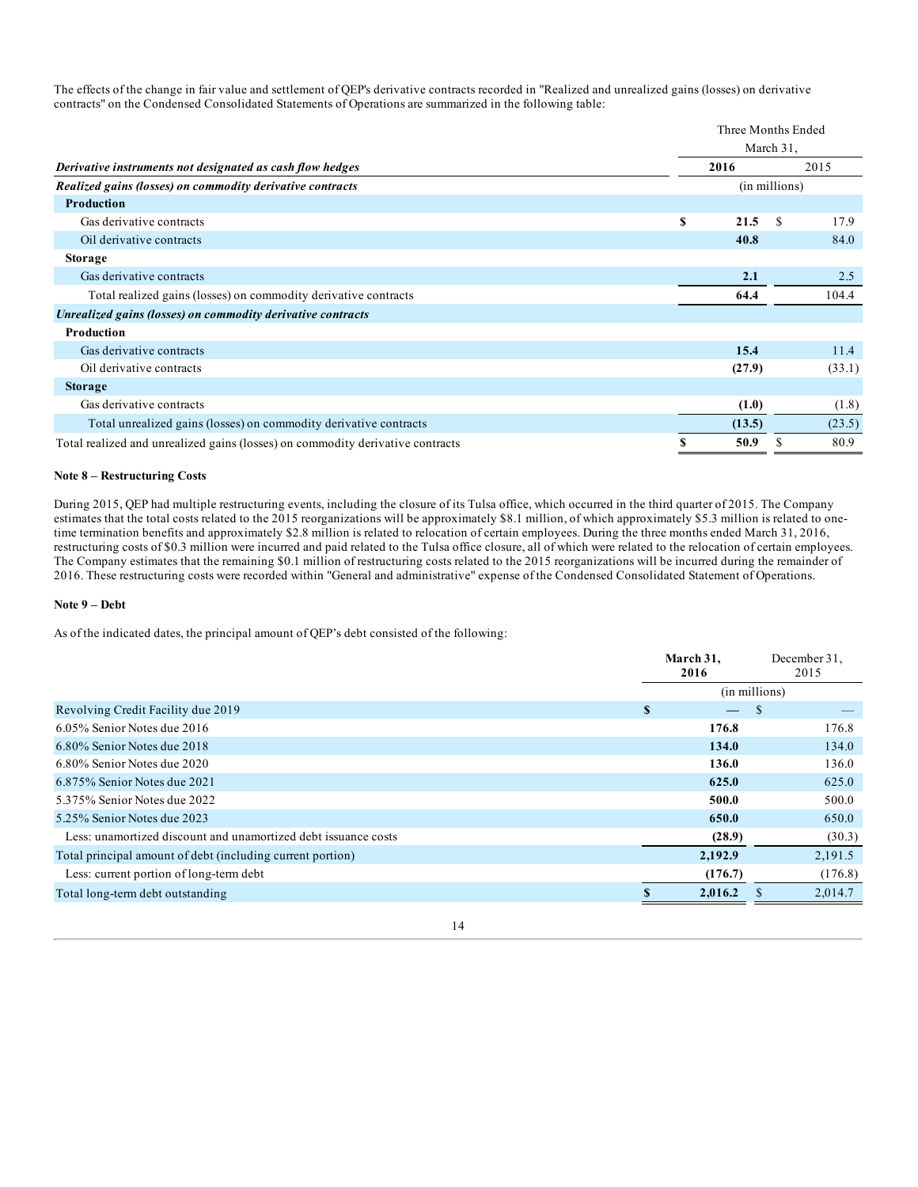The effects of the change in fair value and settlement of QEP's derivative contracts recorded in "Realized and unrealized gains (losses) on derivative contracts" on the Condensed Consolidated Statements of Operations are summarized in the following table:

|                                                                                |      | Three Months Ended |               |        |  |  |  |
|--------------------------------------------------------------------------------|------|--------------------|---------------|--------|--|--|--|
|                                                                                |      |                    | March 31,     |        |  |  |  |
| Derivative instruments not designated as cash flow hedges                      | 2016 |                    |               | 2015   |  |  |  |
| Realized gains (losses) on commodity derivative contracts                      |      |                    | (in millions) |        |  |  |  |
| Production                                                                     |      |                    |               |        |  |  |  |
| Gas derivative contracts                                                       | \$   | 21.5               | S             | 17.9   |  |  |  |
| Oil derivative contracts                                                       |      | 40.8               |               | 84.0   |  |  |  |
| <b>Storage</b>                                                                 |      |                    |               |        |  |  |  |
| Gas derivative contracts                                                       |      | 2.1                |               | 2.5    |  |  |  |
| Total realized gains (losses) on commodity derivative contracts                |      | 64.4               |               | 104.4  |  |  |  |
| Unrealized gains (losses) on commodity derivative contracts                    |      |                    |               |        |  |  |  |
| Production                                                                     |      |                    |               |        |  |  |  |
| Gas derivative contracts                                                       |      | 15.4               |               | 11.4   |  |  |  |
| Oil derivative contracts                                                       |      | (27.9)             |               | (33.1) |  |  |  |
| <b>Storage</b>                                                                 |      |                    |               |        |  |  |  |
| Gas derivative contracts                                                       |      | (1.0)              |               | (1.8)  |  |  |  |
| Total unrealized gains (losses) on commodity derivative contracts              |      | (13.5)             |               | (23.5) |  |  |  |
| Total realized and unrealized gains (losses) on commodity derivative contracts | S    | 50.9               | S             | 80.9   |  |  |  |

#### **Note 8 – Restructuring Costs**

During 2015, QEP had multiple restructuring events, including the closure of its Tulsa office, which occurred in the third quarter of 2015. The Company estimates that the total costs related to the 2015 reorganizations will be approximately \$8.1 million, of which approximately \$5.3 million is related to onetime termination benefits and approximately \$2.8 million is related to relocation of certain employees. During the three months ended March 31, 2016, restructuring costs of \$0.3 million were incurred and paid related to the Tulsa office closure, all of which were related to the relocation of certain employees. The Company estimates that the remaining \$0.1 million of restructuring costs related to the 2015 reorganizations will be incurred during the remainder of 2016. These restructuring costs were recorded within "General and administrative" expense of the Condensed Consolidated Statement of Operations.

#### **Note 9 – Debt**

As of the indicated dates, the principal amount of QEP's debt consisted of the following:

|                                                                | March 31.<br>2016 | December 31.<br>2015 |
|----------------------------------------------------------------|-------------------|----------------------|
|                                                                |                   | (in millions)        |
| Revolving Credit Facility due 2019                             | S                 | -S                   |
| 6.05% Senior Notes due 2016                                    | 176.8             | 176.8                |
| 6.80% Senior Notes due 2018                                    | 134.0             | 134.0                |
| 6.80% Senior Notes due 2020                                    | 136.0             | 136.0                |
| 6.875% Senior Notes due 2021                                   | 625.0             | 625.0                |
| 5.375% Senior Notes due 2022                                   | 500.0             | 500.0                |
| 5.25% Senior Notes due 2023                                    | 650.0             | 650.0                |
| Less: unamortized discount and unamortized debt issuance costs |                   | (28.9)<br>(30.3)     |
| Total principal amount of debt (including current portion)     | 2,192.9           | 2,191.5              |
| Less: current portion of long-term debt                        | (176.7)           | (176.8)              |
| Total long-term debt outstanding                               | 2,016.2           | 2,014.7              |
|                                                                |                   |                      |

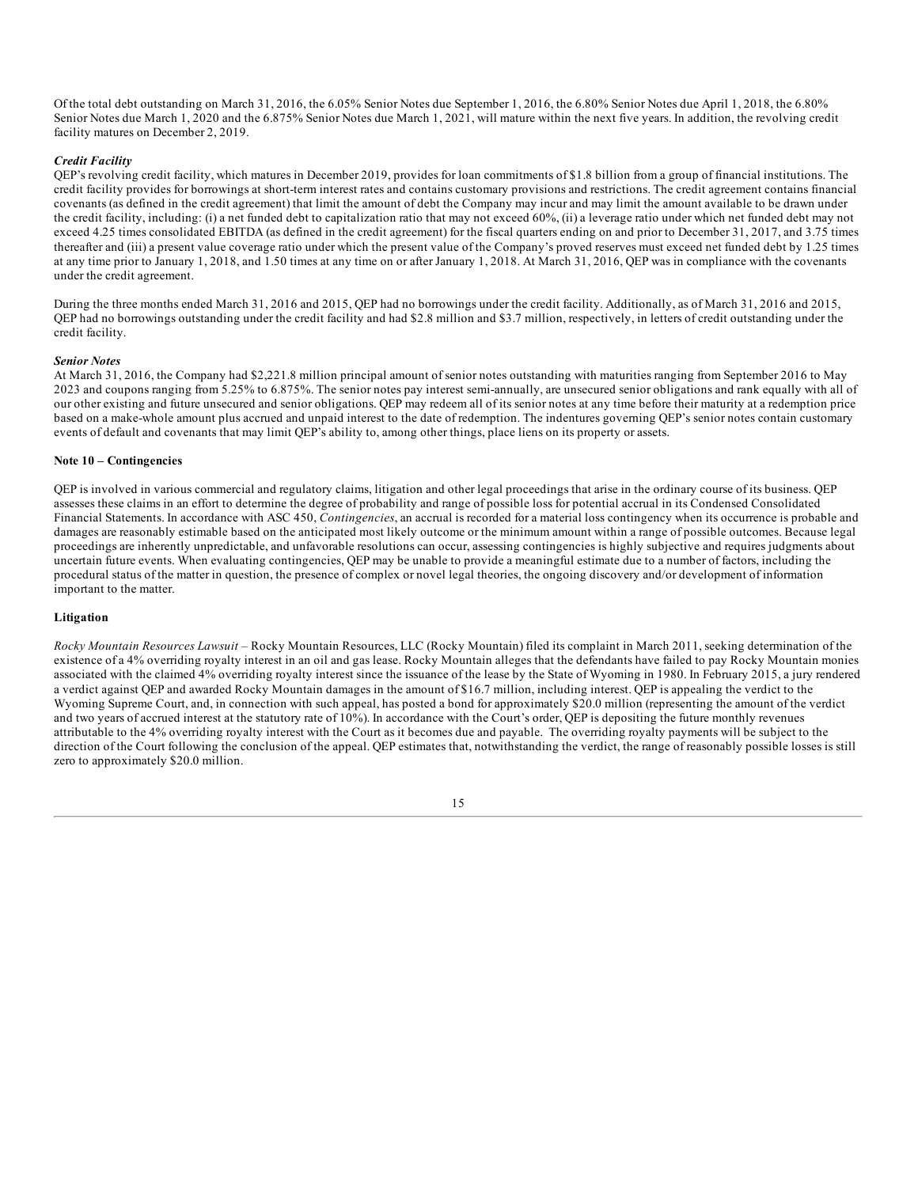Of the total debt outstanding on March 31, 2016, the 6.05% Senior Notes due September 1, 2016, the 6.80% Senior Notes due April 1, 2018, the 6.80% Senior Notes due March 1, 2020 and the 6.875% Senior Notes due March 1, 2021, will mature within the next five years. In addition, the revolving credit facility matures on December 2, 2019.

#### *Credit Facility*

QEP's revolving credit facility, which matures in December 2019, provides for loan commitments of \$1.8 billion from a group of financial institutions. The credit facility provides for borrowings at short-term interest rates and contains customary provisions and restrictions. The credit agreement contains financial covenants (as defined in the credit agreement) that limit the amount of debt the Company may incur and may limit the amount available to be drawn under the credit facility, including: (i) a net funded debt to capitalization ratio that may not exceed  $60\%$ , (ii) a leverage ratio under which net funded debt may not exceed 4.25 times consolidated EBITDA (as defined in the credit agreement) for the fiscal quarters ending on and prior to December 31, 2017, and 3.75 times thereafter and (iii) a present value coverage ratio under which the present value of the Company's proved reserves must exceed net funded debt by 1.25 times at any time prior to January 1, 2018, and 1.50 times at any time on or after January 1, 2018. At March 31, 2016, QEP was in compliance with the covenants under the credit agreement.

During the three months ended March 31, 2016 and 2015, QEP had no borrowings under the credit facility. Additionally, as of March 31, 2016 and 2015, QEP had no borrowings outstanding under the credit facility and had \$2.8 million and \$3.7 million, respectively, in letters of credit outstanding under the credit facility.

#### *Senior Notes*

At March 31, 2016, the Company had \$2,221.8 million principal amount of senior notes outstanding with maturities ranging from September 2016 to May 2023 and coupons ranging from 5.25% to 6.875%. The senior notes pay interest semi-annually, are unsecured senior obligations and rank equally with all of our other existing and future unsecured and senior obligations. QEP may redeem all of its senior notes at any time before their maturity at a redemption price based on a make-whole amount plus accrued and unpaid interest to the date of redemption. The indentures governing QEP's senior notes contain customary events of default and covenants that may limit QEP's ability to, among other things, place liens on its property or assets.

#### **Note 10 – Contingencies**

QEP is involved in various commercial and regulatory claims, litigation and other legal proceedings that arise in the ordinary course of its business. QEP assesses these claims in an effort to determine the degree of probability and range of possible loss for potential accrual in its Condensed Consolidated Financial Statements. In accordance with ASC 450, *Contingencies*, an accrual is recorded for a material loss contingency when its occurrence is probable and damages are reasonably estimable based on the anticipated most likely outcome or the minimum amount within a range of possible outcomes. Because legal proceedings are inherently unpredictable, and unfavorable resolutions can occur, assessing contingencies is highly subjective and requires judgments about uncertain future events. When evaluating contingencies, QEP may be unable to provide a meaningful estimate due to a number of factors, including the procedural status of the matter in question, the presence of complex or novel legal theories, the ongoing discovery and/or development of information important to the matter.

#### **Litigation**

*Rocky Mountain Resources Lawsuit* – Rocky Mountain Resources, LLC (Rocky Mountain) filed its complaint in March 2011, seeking determination of the existence of a 4% overriding royalty interest in an oil and gas lease. Rocky Mountain alleges that the defendants have failed to pay Rocky Mountain monies associated with the claimed 4% overriding royalty interest since the issuance of the lease by the State of Wyoming in 1980. In February 2015, a jury rendered a verdict against QEP and awarded Rocky Mountain damages in the amount of \$16.7 million, including interest. QEP is appealing the verdict to the Wyoming Supreme Court, and, in connection with such appeal, has posted a bond for approximately \$20.0 million (representing the amount of the verdict and two years of accrued interest at the statutory rate of 10%). In accordance with the Court's order, QEP is depositing the future monthly revenues attributable to the 4% overriding royalty interest with the Court as it becomes due and payable. The overriding royalty payments will be subject to the direction of the Court following the conclusion of the appeal. QEP estimates that, notwithstanding the verdict, the range of reasonably possible losses is still zero to approximately \$20.0 million.

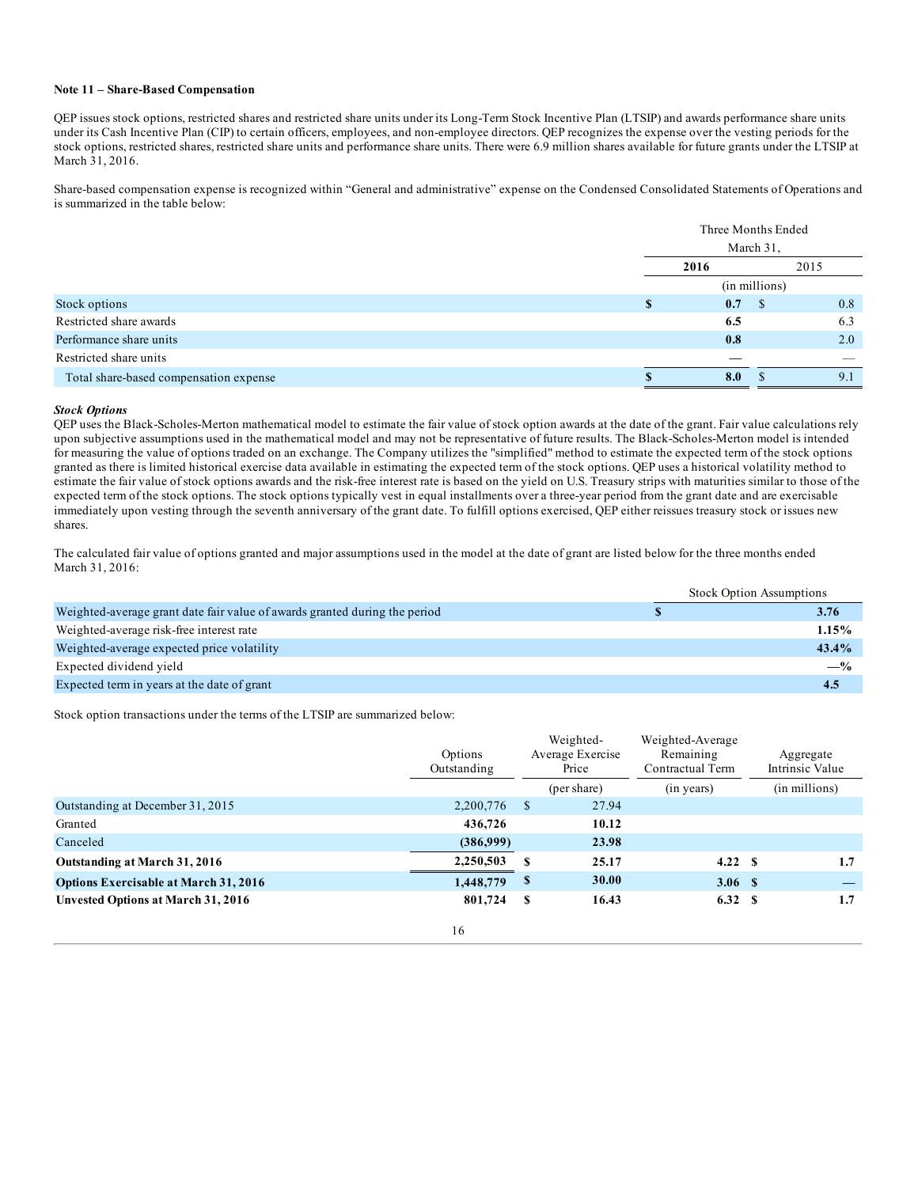#### **Note 11 – Share-Based Compensation**

QEP issues stock options, restricted shares and restricted share units under its Long-Term Stock Incentive Plan (LTSIP) and awards performance share units under its Cash Incentive Plan (CIP) to certain officers, employees, and non-employee directors. QEP recognizes the expense over the vesting periods for the stock options, restricted shares, restricted share units and performance share units. There were 6.9 million shares available for future grants under the LTSIP at March 31, 2016.

Share-based compensation expense is recognized within "General and administrative" expense on the Condensed Consolidated Statements of Operations and is summarized in the table below:

|                                        |      | Three Months Ended |               |     |
|----------------------------------------|------|--------------------|---------------|-----|
|                                        |      |                    | March 31,     |     |
|                                        | 2016 | 2015               |               |     |
|                                        |      |                    | (in millions) |     |
| Stock options                          |      | 0.7                | <sup>\$</sup> | 0.8 |
| Restricted share awards                |      | 6.5                |               | 6.3 |
| Performance share units                |      | 0.8                |               | 2.0 |
| Restricted share units                 |      |                    |               |     |
| Total share-based compensation expense |      | 8.0                |               | 9.1 |

#### *Stock Options*

QEP uses the Black-Scholes-Merton mathematical model to estimate the fair value of stock option awards at the date of the grant. Fair value calculations rely upon subjective assumptions used in the mathematical model and may not be representative of future results. The Black-Scholes-Merton model is intended for measuring the value of options traded on an exchange. The Company utilizes the "simplified" method to estimate the expected term of the stock options granted as there is limited historical exercise data available in estimating the expected term of the stock options. QEP uses a historical volatility method to estimate the fair value of stock options awards and the risk-free interest rate is based on the yield on U.S. Treasury strips with maturities similar to those of the expected term of the stock options. The stock options typically vest in equal installments over a three-year period from the grant date and are exercisable immediately upon vesting through the seventh anniversary of the grant date. To fulfill options exercised, QEP either reissues treasury stock or issues new shares.

The calculated fair value of options granted and major assumptions used in the model at the date of grant are listed below for the three months ended March 31, 2016:

|                                                                            | <b>Stock Option Assumptions</b> |  |  |
|----------------------------------------------------------------------------|---------------------------------|--|--|
| Weighted-average grant date fair value of awards granted during the period | 3.76                            |  |  |
| Weighted-average risk-free interest rate                                   | 1.15%                           |  |  |
| Weighted-average expected price volatility                                 | 43.4%                           |  |  |
| Expected dividend yield                                                    | $-$ %                           |  |  |
| Expected term in years at the date of grant                                | 4.5                             |  |  |

Stock option transactions under the terms of the LTSIP are summarized below:

|                                       | Options<br>Outstanding | Weighted-<br>Average Exercise<br>Price |             | Weighted-Average<br>Remaining<br>Contractual Term |  | Aggregate<br>Intrinsic Value |
|---------------------------------------|------------------------|----------------------------------------|-------------|---------------------------------------------------|--|------------------------------|
|                                       |                        |                                        | (per share) | (in years)                                        |  | (in millions)                |
| Outstanding at December 31, 2015      | 2,200,776              | - S                                    | 27.94       |                                                   |  |                              |
| Granted                               | 436,726                |                                        | 10.12       |                                                   |  |                              |
| Canceled                              | (386,999)              |                                        | 23.98       |                                                   |  |                              |
| Outstanding at March 31, 2016         | 2,250,503              | -S                                     | 25.17       | 4.22 S                                            |  | 1.7                          |
| Options Exercisable at March 31, 2016 | 1,448,779              | -S                                     | 30.00       | 3.06 S                                            |  |                              |
| Unvested Options at March 31, 2016    | 801,724                | -S                                     | 16.43       | 6.32 S                                            |  | 1.7                          |
|                                       | 16                     |                                        |             |                                                   |  |                              |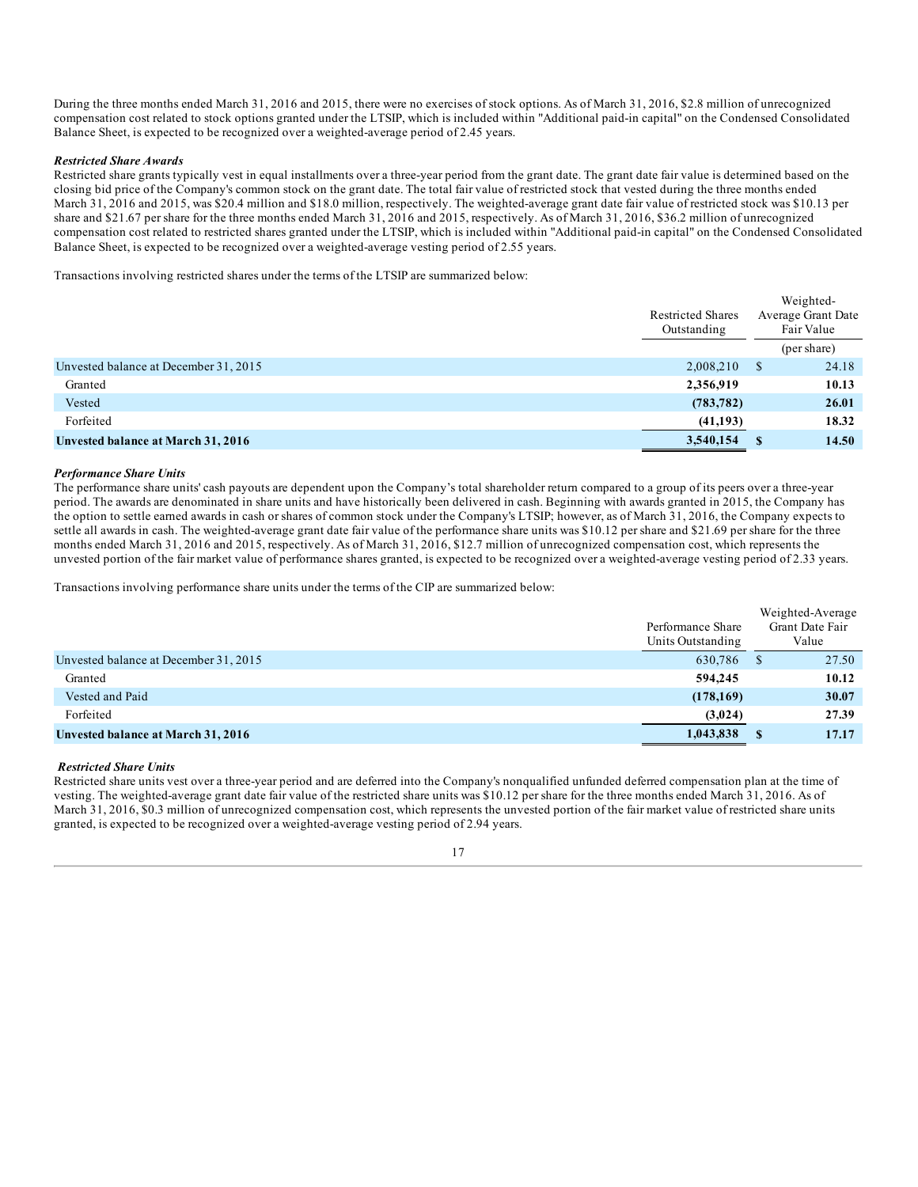During the three months ended March 31, 2016 and 2015, there were no exercises of stock options. As of March 31, 2016, \$2.8 million of unrecognized compensation cost related to stock options granted under the LTSIP, which is included within "Additional paid-in capital" on the Condensed Consolidated Balance Sheet, is expected to be recognized over a weighted-average period of 2.45 years.

#### *Restricted Share Awards*

Restricted share grants typically vest in equal installments over a three-year period from the grant date. The grant date fair value is determined based on the closing bid price of the Company's common stock on the grant date. The total fair value of restricted stock that vested during the three months ended March 31, 2016 and 2015, was \$20.4 million and \$18.0 million, respectively. The weighted-average grant date fair value of restricted stock was \$10.13 per share and \$21.67 per share for the three months ended March 31, 2016 and 2015, respectively. As of March 31, 2016, \$36.2 million of unrecognized compensation cost related to restricted shares granted under the LTSIP, which is included within "Additional paid-in capital" on the Condensed Consolidated Balance Sheet, is expected to be recognized over a weighted-average vesting period of 2.55 years.

Transactions involving restricted shares under the terms of the LTSIP are summarized below:

|                                       | <b>Restricted Shares</b><br>Outstanding |          | Weighted-<br>Average Grant Date<br>Fair Value |  |
|---------------------------------------|-----------------------------------------|----------|-----------------------------------------------|--|
|                                       |                                         |          | (per share)                                   |  |
| Unvested balance at December 31, 2015 | 2,008,210                               | \$       | 24.18                                         |  |
| Granted                               | 2,356,919                               |          | 10.13                                         |  |
| Vested                                | (783, 782)                              |          | 26.01                                         |  |
| Forfeited                             | (41,193)                                |          | 18.32                                         |  |
| Unvested balance at March 31, 2016    | 3,540,154                               | <b>S</b> | 14.50                                         |  |

#### *Performance Share Units*

The performance share units' cash payouts are dependent upon the Company's total shareholder return compared to a group of its peers over a three-year period. The awards are denominated in share units and have historically been delivered in cash. Beginning with awards granted in 2015, the Company has the option to settle earned awards in cash or shares of common stock under the Company's LTSIP; however, as of March 31, 2016, the Company expects to settle all awards in cash. The weighted-average grant date fair value of the performance share units was \$10.12 per share and \$21.69 per share for the three months ended March 31, 2016 and 2015, respectively. As of March 31, 2016, \$12.7 million of unrecognized compensation cost, which represents the unvested portion of the fair market value of performance shares granted, is expected to be recognized over a weighted-average vesting period of 2.33 years.

Transactions involving performance share units under the terms of the CIP are summarized below:

|                                       | Performance Share<br>Units Outstanding |   | Weighted-Average<br>Grant Date Fair<br>Value |
|---------------------------------------|----------------------------------------|---|----------------------------------------------|
| Unvested balance at December 31, 2015 | 630,786                                | S | 27.50                                        |
| Granted                               | 594,245                                |   | 10.12                                        |
| Vested and Paid                       | (178,169)                              |   | 30.07                                        |
| Forfeited                             | (3,024)                                |   | 27.39                                        |
| Unvested balance at March 31, 2016    | 1,043,838                              | S | 17.17                                        |

# *Restricted Share Units*

Restricted share units vest over a three-year period and are deferred into the Company's nonqualified unfunded deferred compensation plan at the time of vesting. The weighted-average grant date fair value of the restricted share units was \$10.12 per share for the three months ended March 31, 2016. As of March 31, 2016, \$0.3 million of unrecognized compensation cost, which represents the unvested portion of the fair market value of restricted share units granted, is expected to be recognized over a weighted-average vesting period of 2.94 years.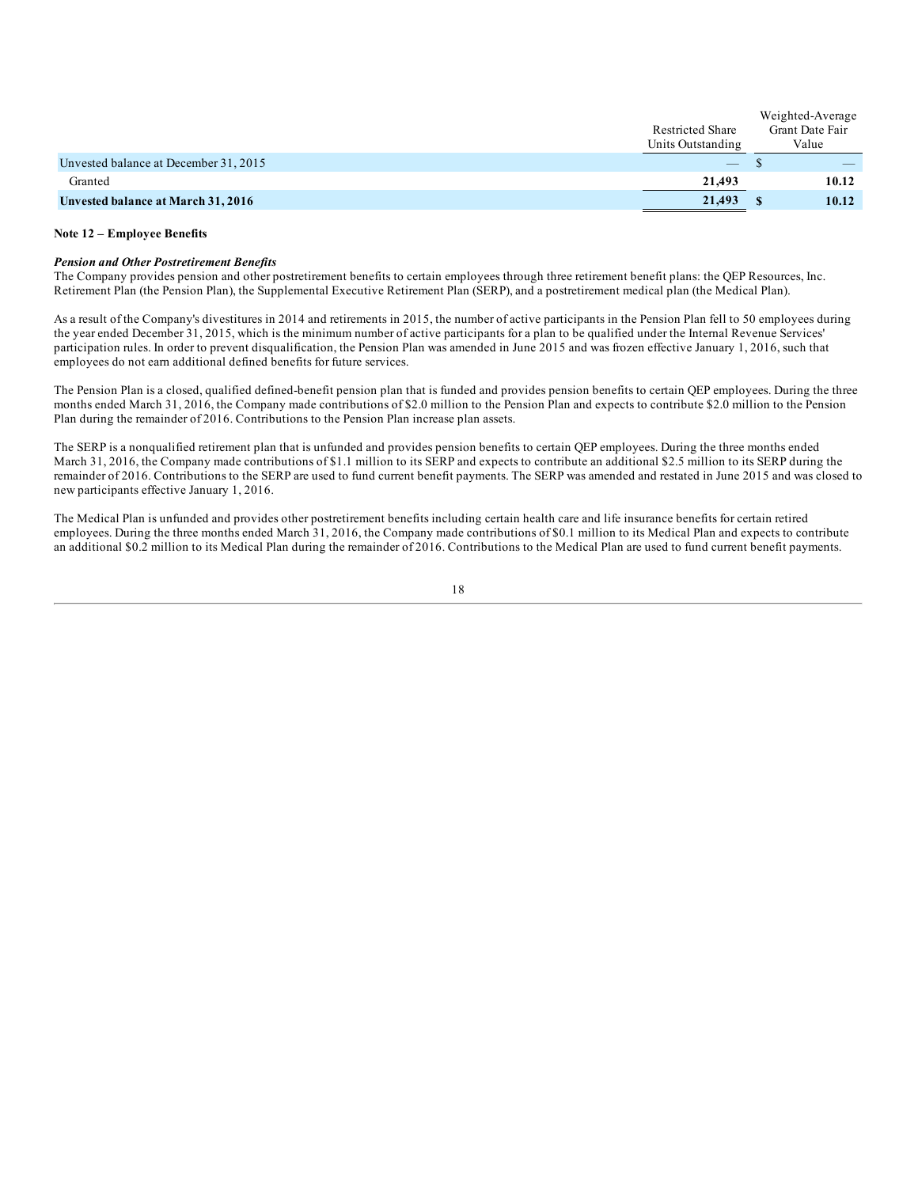|                                       | Restricted Share<br>Units Outstanding | Weighted-Average<br>Grant Date Fair<br>Value |
|---------------------------------------|---------------------------------------|----------------------------------------------|
| Unvested balance at December 31, 2015 |                                       |                                              |
| Granted                               | 21,493                                | 10.12                                        |
| Unvested balance at March 31, 2016    | 21,493                                | 10.12                                        |

#### **Note 12 – Employee Benefits**

#### *Pension and Other Postretirement Benefits*

The Company provides pension and other postretirement benefits to certain employees through three retirement benefit plans: the QEP Resources, Inc. Retirement Plan (the Pension Plan), the Supplemental Executive Retirement Plan (SERP), and a postretirement medical plan (the Medical Plan).

As a result of the Company's divestitures in 2014 and retirements in 2015, the number of active participants in the Pension Plan fell to 50 employees during the year ended December 31, 2015, which is the minimum number of active participants for a plan to be qualified under the Internal Revenue Services' participation rules. In order to prevent disqualification, the Pension Plan was amended in June 2015 and was frozen effective January 1, 2016, such that employees do not earn additional defined benefits for future services.

The Pension Plan is a closed, qualified defined-benefit pension plan that is funded and provides pension benefits to certain QEP employees. During the three months ended March 31, 2016, the Company made contributions of \$2.0 million to the Pension Plan and expects to contribute \$2.0 million to the Pension Plan during the remainder of 2016. Contributions to the Pension Plan increase plan assets.

The SERP is a nonqualified retirement plan that is unfunded and provides pension benefits to certain QEP employees. During the three months ended March 31, 2016, the Company made contributions of \$1.1 million to its SERP and expects to contribute an additional \$2.5 million to its SERP during the remainder of 2016. Contributions to the SERP are used to fund current benefit payments. The SERP was amended and restated in June 2015 and was closed to new participants effective January 1, 2016.

The Medical Plan is unfunded and provides other postretirement benefits including certain health care and life insurance benefits for certain retired employees. During the three months ended March 31, 2016, the Company made contributions of \$0.1 million to its Medical Plan and expects to contribute an additional \$0.2 million to its Medical Plan during the remainder of 2016. Contributions to the Medical Plan are used to fund current benefit payments.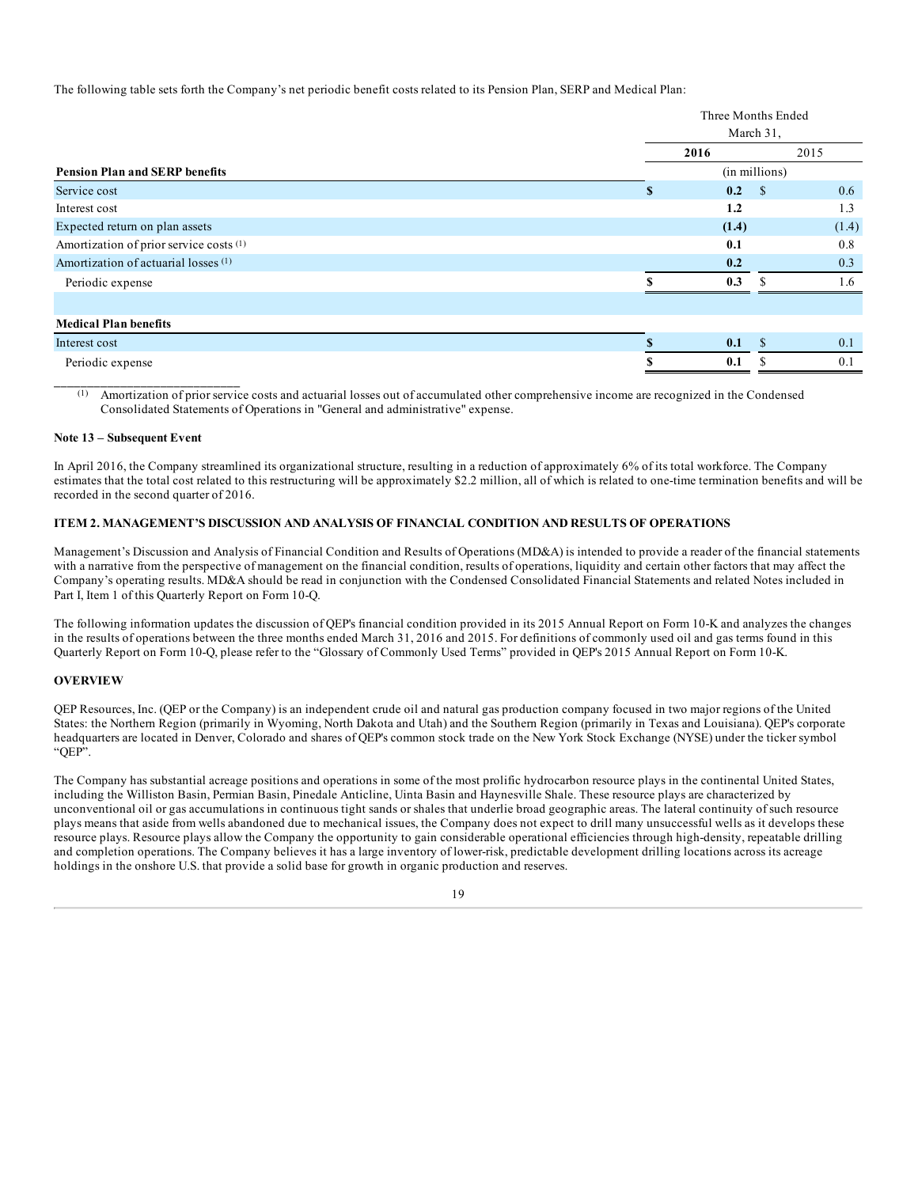<span id="page-20-0"></span>The following table sets forth the Company's net periodic benefit costs related to its Pension Plan, SERP and Medical Plan:

|                                                 |      | Three Months Ended |               |       |  |  |  |  |  |
|-------------------------------------------------|------|--------------------|---------------|-------|--|--|--|--|--|
|                                                 |      |                    | March 31,     |       |  |  |  |  |  |
|                                                 | 2016 |                    |               | 2015  |  |  |  |  |  |
| <b>Pension Plan and SERP benefits</b>           |      |                    | (in millions) |       |  |  |  |  |  |
| Service cost                                    | \$   | 0.2                | $\mathbf{s}$  | 0.6   |  |  |  |  |  |
| Interest cost                                   |      | 1.2                |               | 1.3   |  |  |  |  |  |
| Expected return on plan assets                  |      | (1.4)              |               | (1.4) |  |  |  |  |  |
| Amortization of prior service costs (1)         |      | 0.1                |               | 0.8   |  |  |  |  |  |
| Amortization of actuarial losses <sup>(1)</sup> |      | 0.2                |               | 0.3   |  |  |  |  |  |
| Periodic expense                                |      | 0.3                | S             | 1.6   |  |  |  |  |  |
|                                                 |      |                    |               |       |  |  |  |  |  |
| <b>Medical Plan benefits</b>                    |      |                    |               |       |  |  |  |  |  |
| Interest cost                                   | \$   | 0.1                | <sup>\$</sup> | 0.1   |  |  |  |  |  |
| Periodic expense                                |      | 0.1                | S             | 0.1   |  |  |  |  |  |
|                                                 |      |                    |               |       |  |  |  |  |  |

(1) Amortization of prior service costs and actuarial losses out of accumulated other comprehensive income are recognized in the Condensed Consolidated Statements of Operations in "General and administrative" expense.

#### **Note 13 – Subsequent Event**

In April 2016, the Company streamlined its organizational structure, resulting in a reduction of approximately 6% of its total workforce. The Company estimates that the total cost related to this restructuring will be approximately \$2.2 million, all of which is related to one-time termination benefits and will be recorded in the second quarter of 2016.

# **ITEM 2. MANAGEMENT'S DISCUSSION AND ANALYSIS OF FINANCIAL CONDITION AND RESULTS OF OPERATIONS**

Management's Discussion and Analysis of Financial Condition and Results of Operations (MD&A) is intended to provide a reader of the financial statements with a narrative from the perspective of management on the financial condition, results of operations, liquidity and certain other factors that may affect the Company's operating results. MD&A should be read in conjunction with the Condensed Consolidated Financial Statements and related Notes included in Part I, Item 1 of this Quarterly Report on Form 10-Q.

The following information updates the discussion of QEP's financial condition provided in its 2015 Annual Report on Form 10-K and analyzes the changes in the results of operations between the three months ended March 31, 2016 and 2015. For definitions of commonly used oil and gas terms found in this Quarterly Report on Form 10-Q, please refer to the "Glossary of Commonly Used Terms" provided in QEP's 2015 Annual Report on Form 10-K.

#### **OVERVIEW**

QEP Resources, Inc. (QEP or the Company) is an independent crude oil and natural gas production company focused in two major regions of the United States: the Northern Region (primarily in Wyoming, North Dakota and Utah) and the Southern Region (primarily in Texas and Louisiana). QEP's corporate headquarters are located in Denver, Colorado and shares of QEP's common stock trade on the New York Stock Exchange (NYSE) under the ticker symbol "QEP".

The Company has substantial acreage positions and operations in some of the most prolific hydrocarbon resource plays in the continental United States, including the Williston Basin, Permian Basin, Pinedale Anticline, Uinta Basin and Haynesville Shale. These resource plays are characterized by unconventional oil or gas accumulations in continuous tight sands or shales that underlie broad geographic areas. The lateral continuity of such resource plays means that aside from wells abandoned due to mechanical issues, the Company does not expect to drill many unsuccessful wells as it develops these resource plays. Resource plays allow the Company the opportunity to gain considerable operational efficiencies through high-density, repeatable drilling and completion operations. The Company believes it has a large inventory of lower-risk, predictable development drilling locations across its acreage holdings in the onshore U.S. that provide a solid base for growth in organic production and reserves.

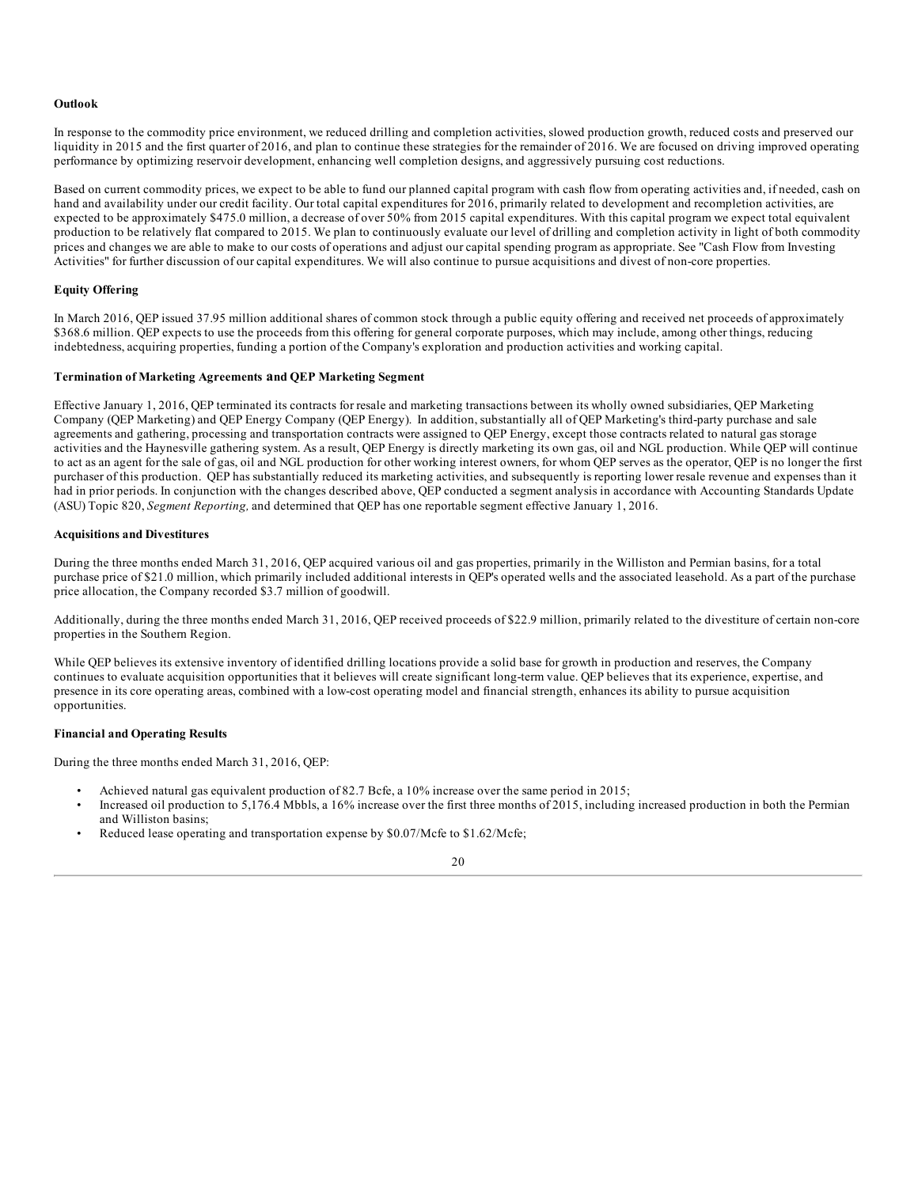#### **Outlook**

In response to the commodity price environment, we reduced drilling and completion activities, slowed production growth, reduced costs and preserved our liquidity in 2015 and the first quarter of 2016, and plan to continue these strategies for the remainder of 2016. We are focused on driving improved operating performance by optimizing reservoir development, enhancing well completion designs, and aggressively pursuing cost reductions.

Based on current commodity prices, we expect to be able to fund our planned capital program with cash flow from operating activities and, if needed, cash on hand and availability under our credit facility. Our total capital expenditures for 2016, primarily related to development and recompletion activities, are expected to be approximately \$475.0 million, a decrease of over 50% from 2015 capital expenditures. With this capital program we expect total equivalent production to be relatively flat compared to 2015. We plan to continuously evaluate our level of drilling and completion activity in light of both commodity prices and changes we are able to make to our costs of operations and adjust our capital spending program as appropriate. See "Cash Flow from Investing Activities" for further discussion of our capital expenditures. We will also continue to pursue acquisitions and divest of non-core properties.

#### **Equity Offering**

In March 2016, QEP issued 37.95 million additional shares of common stock through a public equity offering and received net proceeds of approximately \$368.6 million. OEP expects to use the proceeds from this offering for general corporate purposes, which may include, among other things, reducing indebtedness, acquiring properties, funding a portion of the Company's exploration and production activities and working capital.

# **Termination of Marketing Agreements and QEP Marketing Segment**

Effective January 1, 2016, QEP terminated its contracts for resale and marketing transactions between its wholly owned subsidiaries, QEP Marketing Company (QEP Marketing) and QEP Energy Company (QEP Energy). In addition, substantially all of QEP Marketing's third-party purchase and sale agreements and gathering, processing and transportation contracts were assigned to QEP Energy, except those contracts related to natural gas storage activities and the Haynesville gathering system. As a result, QEP Energy is directly marketing its own gas, oil and NGL production. While QEP will continue to act as an agent for the sale of gas, oil and NGL production for other working interest owners, for whom QEP serves as the operator, QEP is no longer the first purchaser of this production. QEP has substantially reduced its marketing activities, and subsequently is reporting lower resale revenue and expenses than it had in prior periods. In conjunction with the changes described above, QEP conducted a segment analysis in accordance with Accounting Standards Update (ASU) Topic 820, *Segment Reporting,* and determined that QEP has one reportable segment effective January 1, 2016.

# **Acquisitions and Divestitures**

During the three months ended March 31, 2016, QEP acquired various oil and gas properties, primarily in the Williston and Permian basins, for a total purchase price of \$21.0 million, which primarily included additional interests in QEP's operated wells and the associated leasehold. As a part of the purchase price allocation, the Company recorded \$3.7 million of goodwill.

Additionally, during the three months ended March 31, 2016, QEP received proceeds of \$22.9 million, primarily related to the divestiture of certain non-core properties in the Southern Region.

While QEP believes its extensive inventory of identified drilling locations provide a solid base for growth in production and reserves, the Company continues to evaluate acquisition opportunities that it believes will create significant long-term value. QEP believes that its experience, expertise, and presence in its core operating areas, combined with a low-cost operating model and financial strength, enhances its ability to pursue acquisition opportunities.

# **Financial and Operating Results**

During the three months ended March 31, 2016, QEP:

- Achieved natural gas equivalent production of 82.7 Bcfe, a 10% increase over the same period in 2015;
- Increased oil production to 5,176.4 Mbbls, a 16% increase over the first three months of 2015, including increased production in both the Permian and Williston basins;
- Reduced lease operating and transportation expense by \$0.07/Mcfe to \$1.62/Mcfe;

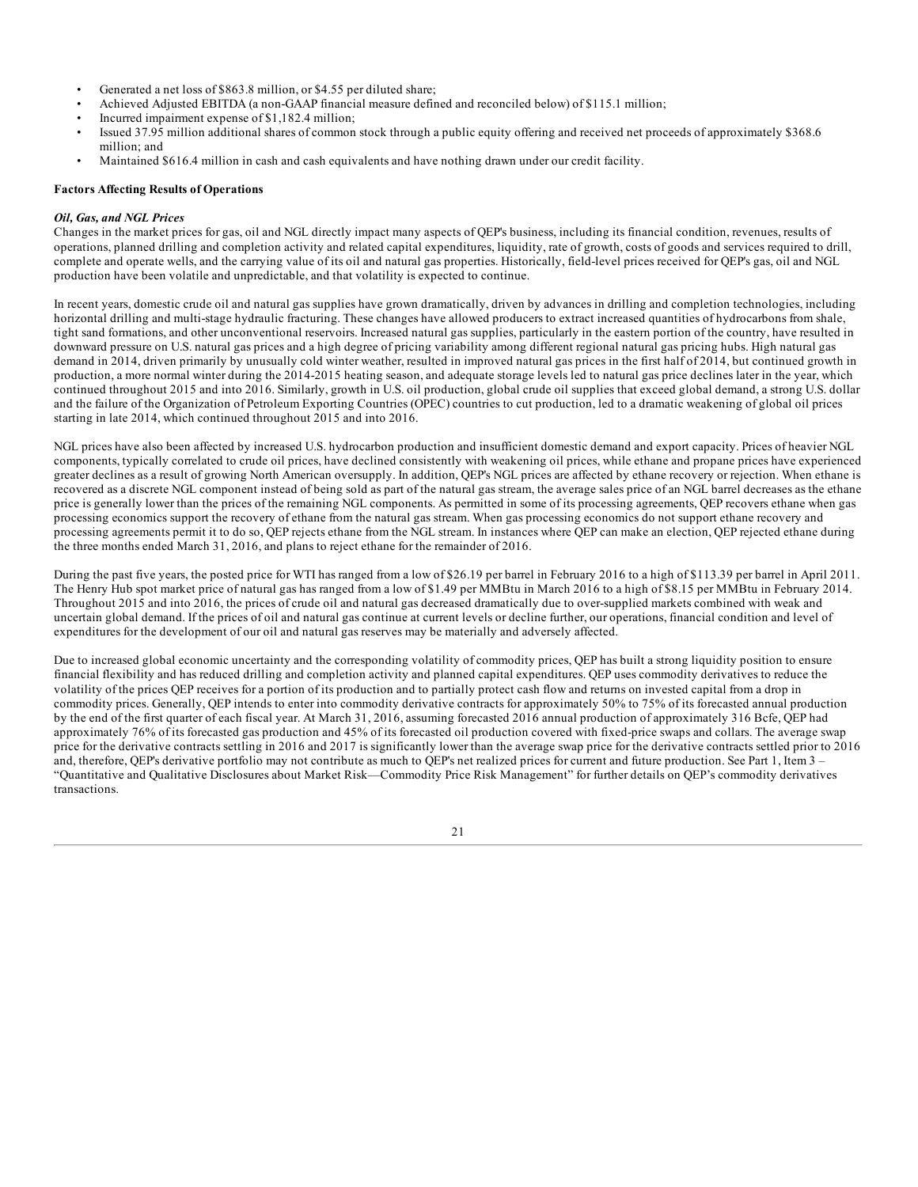- Generated a net loss of \$863.8 million, or \$4.55 per diluted share;
- Achieved Adjusted EBITDA (a non-GAAP financial measure defined and reconciled below) of \$115.1 million;
- Incurred impairment expense of \$1,182.4 million;
- Issued 37.95 million additional shares of common stock through a public equity offering and received net proceeds of approximately \$368.6 million; and
- Maintained \$616.4 million in cash and cash equivalents and have nothing drawn under our credit facility.

#### **Factors Affecting Results of Operations**

#### *Oil, Gas, and NGL Prices*

Changes in the market prices for gas, oil and NGL directly impact many aspects of QEP's business, including its financial condition, revenues, results of operations, planned drilling and completion activity and related capital expenditures, liquidity, rate of growth, costs of goods and services required to drill, complete and operate wells, and the carrying value of its oil and natural gas properties. Historically, field-level prices received for QEP's gas, oil and NGL production have been volatile and unpredictable, and that volatility is expected to continue.

In recent years, domestic crude oil and natural gas supplies have grown dramatically, driven by advances in drilling and completion technologies, including horizontal drilling and multi-stage hydraulic fracturing. These changes have allowed producers to extract increased quantities of hydrocarbons from shale, tight sand formations, and other unconventional reservoirs. Increased natural gas supplies, particularly in the eastern portion of the country, have resulted in downward pressure on U.S. natural gas prices and a high degree of pricing variability among different regional natural gas pricing hubs. High natural gas demand in 2014, driven primarily by unusually cold winter weather, resulted in improved natural gas prices in the first half of 2014, but continued growth in production, a more normal winter during the 2014-2015 heating season, and adequate storage levels led to natural gas price declines later in the year, which continued throughout 2015 and into 2016. Similarly, growth in U.S. oil production, global crude oil supplies that exceed global demand, a strong U.S. dollar and the failure of the Organization of Petroleum Exporting Countries (OPEC) countries to cut production, led to a dramatic weakening of global oil prices starting in late 2014, which continued throughout 2015 and into 2016.

NGL prices have also been affected by increased U.S. hydrocarbon production and insufficient domestic demand and export capacity. Prices of heavier NGL components, typically correlated to crude oil prices, have declined consistently with weakening oil prices, while ethane and propane prices have experienced greater declines as a result of growing North American oversupply. In addition, QEP's NGL prices are affected by ethane recovery or rejection. When ethane is recovered as a discrete NGL component instead of being sold as part of the natural gas stream, the average sales price of an NGL barrel decreases as the ethane price is generally lower than the prices of the remaining NGL components. As permitted in some of its processing agreements, QEP recovers ethane when gas processing economics support the recovery of ethane from the natural gas stream. When gas processing economics do not support ethane recovery and processing agreements permit it to do so, QEP rejects ethane from the NGL stream. In instances where QEP can make an election, QEP rejected ethane during the three months ended March 31, 2016, and plans to reject ethane for the remainder of 2016.

During the past five years, the posted price for WTI has ranged from a low of \$26.19 per barrel in February 2016 to a high of \$113.39 per barrel in April 2011. The Henry Hub spot market price of natural gas has ranged from a low of \$1.49 per MMBtu in March 2016 to a high of \$8.15 per MMBtu in February 2014. Throughout 2015 and into 2016, the prices of crude oil and natural gas decreased dramatically due to over-supplied markets combined with weak and uncertain global demand. If the prices of oil and natural gas continue at current levels or decline further, our operations, financial condition and level of expenditures for the development of our oil and natural gas reserves may be materially and adversely affected.

Due to increased global economic uncertainty and the corresponding volatility of commodity prices, QEP has built a strong liquidity position to ensure financial flexibility and has reduced drilling and completion activity and planned capital expenditures. QEP uses commodity derivatives to reduce the volatility of the prices QEP receives for a portion of its production and to partially protect cash flow and returns on invested capital from a drop in commodity prices. Generally, QEP intends to enter into commodity derivative contracts for approximately 50% to 75% of its forecasted annual production by the end of the first quarter of each fiscal year. At March 31, 2016, assuming forecasted 2016 annual production of approximately 316 Bcfe, QEP had approximately 76% of its forecasted gas production and 45% of its forecasted oil production covered with fixed-price swaps and collars. The average swap price for the derivative contracts settling in 2016 and 2017 is significantly lower than the average swap price for the derivative contracts settled prior to 2016 and, therefore, QEP's derivative portfolio may not contribute as much to QEP's net realized prices for current and future production. See Part 1, Item 3 – "Quantitative and Qualitative Disclosures about Market Risk—Commodity Price Risk Management" for further details on QEP's commodity derivatives transactions.

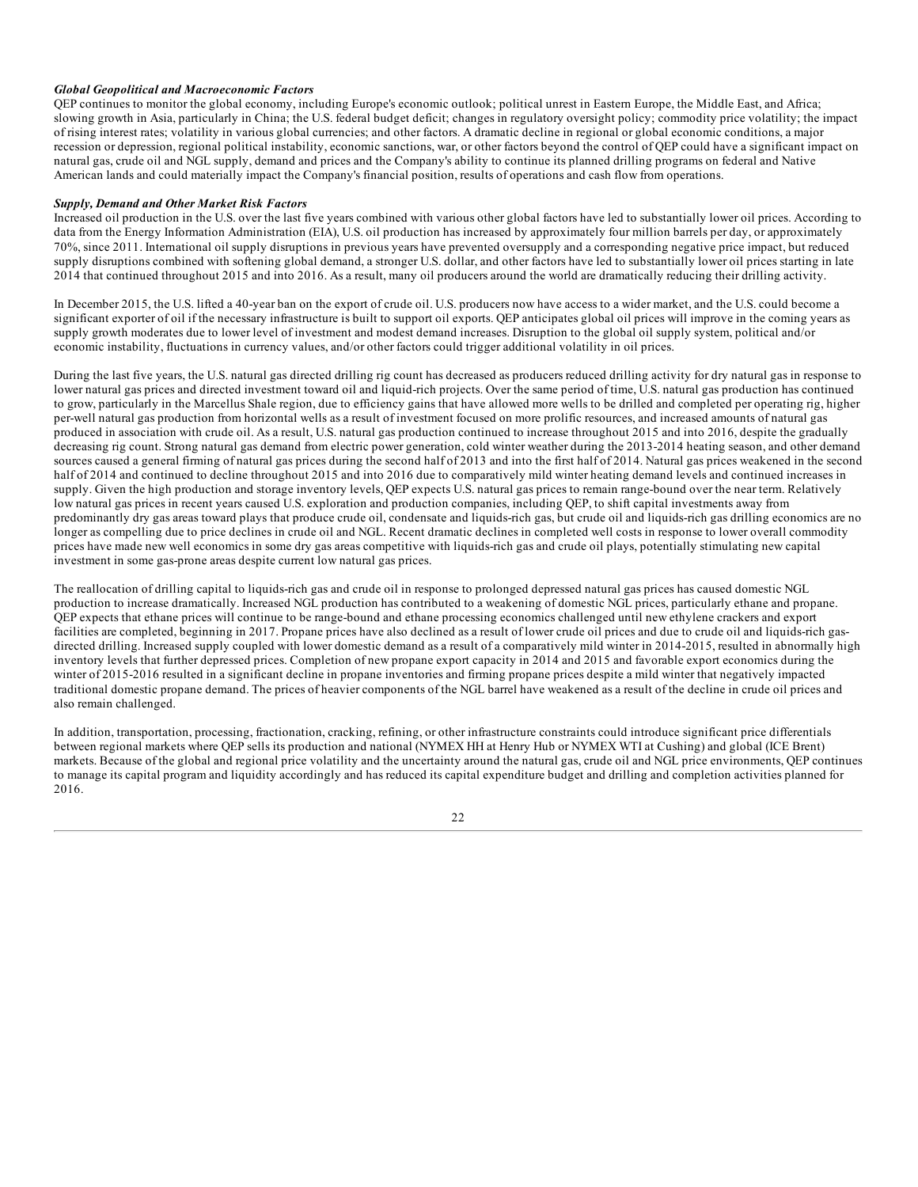#### *Global Geopolitical and Macroeconomic Factors*

QEP continues to monitor the global economy, including Europe's economic outlook; political unrest in Eastern Europe, the Middle East, and Africa; slowing growth in Asia, particularly in China; the U.S. federal budget deficit; changes in regulatory oversight policy; commodity price volatility; the impact of rising interest rates; volatility in various global currencies; and other factors. A dramatic decline in regional or global economic conditions, a major recession or depression, regional political instability, economic sanctions, war, or other factors beyond the control of QEP could have a significant impact on natural gas, crude oil and NGL supply, demand and prices and the Company's ability to continue its planned drilling programs on federal and Native American lands and could materially impact the Company's financial position, results of operations and cash flow from operations.

#### *Supply, Demand and Other Market Risk Factors*

Increased oil production in the U.S. over the last five years combined with various other global factors have led to substantially lower oil prices. According to data from the Energy Information Administration (EIA), U.S. oil production has increased by approximately four million barrels per day, or approximately 70%, since 2011. International oil supply disruptions in previous years have prevented oversupply and a corresponding negative price impact, but reduced supply disruptions combined with softening global demand, a stronger U.S. dollar, and other factors have led to substantially lower oil prices starting in late 2014 that continued throughout 2015 and into 2016. As a result, many oil producers around the world are dramatically reducing their drilling activity.

In December 2015, the U.S. lifted a 40-year ban on the export of crude oil. U.S. producers now have access to a wider market, and the U.S. could become a significant exporter of oil if the necessary infrastructure is built to support oil exports. QEP anticipates global oil prices will improve in the coming years as supply growth moderates due to lower level of investment and modest demand increases. Disruption to the global oil supply system, political and/or economic instability, fluctuations in currency values, and/or other factors could trigger additional volatility in oil prices.

During the last five years, the U.S. natural gas directed drilling rig count has decreased as producers reduced drilling activity for dry natural gas in response to lower natural gas prices and directed investment toward oil and liquid-rich projects. Over the same period of time, U.S. natural gas production has continued to grow, particularly in the Marcellus Shale region, due to efficiency gains that have allowed more wells to be drilled and completed per operating rig, higher per-well natural gas production from horizontal wells as a result of investment focused on more prolific resources, and increased amounts of natural gas produced in association with crude oil. As a result, U.S. natural gas production continued to increase throughout 2015 and into 2016, despite the gradually decreasing rig count. Strong natural gas demand from electric power generation, cold winter weather during the 2013-2014 heating season, and other demand sources caused a general firming of natural gas prices during the second half of 2013 and into the first half of 2014. Natural gas prices weakened in the second half of 2014 and continued to decline throughout 2015 and into 2016 due to comparatively mild winter heating demand levels and continued increases in supply. Given the high production and storage inventory levels, QEP expects U.S. natural gas prices to remain range-bound over the near term. Relatively low natural gas prices in recent years caused U.S. exploration and production companies, including QEP, to shift capital investments away from predominantly dry gas areas toward plays that produce crude oil, condensate and liquids-rich gas, but crude oil and liquids-rich gas drilling economics are no longer as compelling due to price declines in crude oil and NGL. Recent dramatic declines in completed well costs in response to lower overall commodity prices have made new well economics in some dry gas areas competitive with liquids-rich gas and crude oil plays, potentially stimulating new capital investment in some gas-prone areas despite current low natural gas prices.

The reallocation of drilling capital to liquids-rich gas and crude oil in response to prolonged depressed natural gas prices has caused domestic NGL production to increase dramatically. Increased NGL production has contributed to a weakening of domestic NGL prices, particularly ethane and propane. QEP expects that ethane prices will continue to be range-bound and ethane processing economics challenged until new ethylene crackers and export facilities are completed, beginning in 2017. Propane prices have also declined as a result of lower crude oil prices and due to crude oil and liquids-rich gasdirected drilling. Increased supply coupled with lower domestic demand as a result of a comparatively mild winter in 2014-2015, resulted in abnormally high inventory levels that further depressed prices. Completion of new propane export capacity in 2014 and 2015 and favorable export economics during the winter of 2015-2016 resulted in a significant decline in propane inventories and firming propane prices despite a mild winter that negatively impacted traditional domestic propane demand. The prices of heavier components of the NGL barrel have weakened as a result of the decline in crude oil prices and also remain challenged.

In addition, transportation, processing, fractionation, cracking, refining, or other infrastructure constraints could introduce significant price differentials between regional markets where QEP sells its production and national (NYMEX HH at Henry Hub or NYMEX WTI at Cushing) and global (ICE Brent) markets. Because of the global and regional price volatility and the uncertainty around the natural gas, crude oil and NGL price environments, QEP continues to manage its capital program and liquidity accordingly and has reduced its capital expenditure budget and drilling and completion activities planned for 2016.

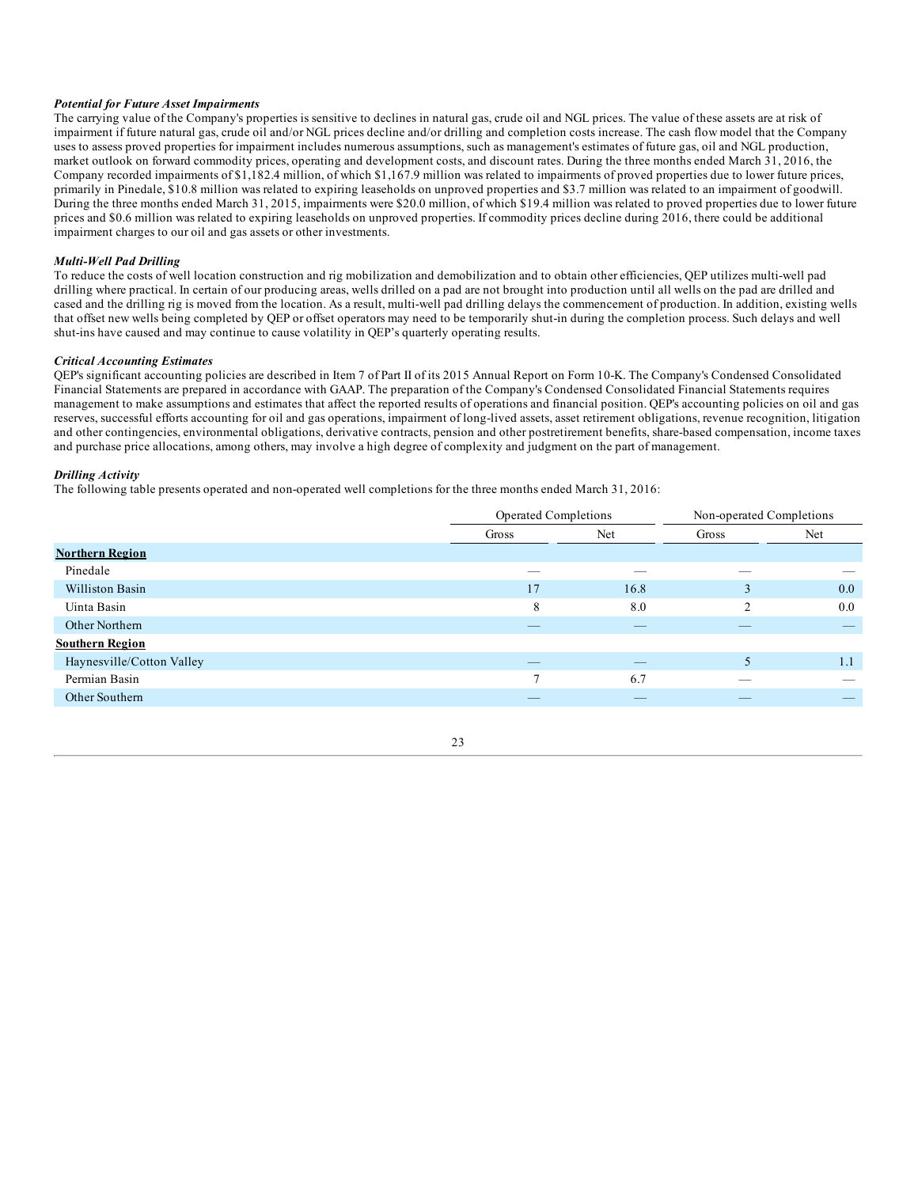#### *Potential for Future Asset Impairments*

The carrying value of the Company's properties is sensitive to declines in natural gas, crude oil and NGL prices. The value of these assets are at risk of impairment if future natural gas, crude oil and/or NGL prices decline and/or drilling and completion costs increase. The cash flow model that the Company uses to assess proved properties for impairment includes numerous assumptions, such as management's estimates of future gas, oil and NGL production, market outlook on forward commodity prices, operating and development costs, and discount rates. During the three months ended March 31, 2016, the Company recorded impairments of \$1,182.4 million, of which \$1,167.9 million was related to impairments of proved properties due to lower future prices, primarily in Pinedale, \$10.8 million was related to expiring leaseholds on unproved properties and \$3.7 million was related to an impairment of goodwill. During the three months ended March 31, 2015, impairments were \$20.0 million, of which \$19.4 million was related to proved properties due to lower future prices and \$0.6 million was related to expiring leaseholds on unproved properties. If commodity prices decline during 2016, there could be additional impairment charges to our oil and gas assets or other investments.

#### *Multi-Well Pad Drilling*

To reduce the costs of well location construction and rig mobilization and demobilization and to obtain other efficiencies, QEP utilizes multi-well pad drilling where practical. In certain of our producing areas, wells drilled on a pad are not brought into production until all wells on the pad are drilled and cased and the drilling rig is moved from the location. As a result, multi-well pad drilling delays the commencement of production. In addition, existing wells that offset new wells being completed by QEP or offset operators may need to be temporarily shut-in during the completion process. Such delays and well shut-ins have caused and may continue to cause volatility in QEP's quarterly operating results.

# *Critical Accounting Estimates*

QEP's significant accounting policies are described in Item 7 of Part II of its 2015 Annual Report on Form 10-K. The Company's Condensed Consolidated Financial Statements are prepared in accordance with GAAP. The preparation of the Company's Condensed Consolidated Financial Statements requires management to make assumptions and estimates that affect the reported results of operations and financial position. QEP's accounting policies on oil and gas reserves, successful efforts accounting for oil and gas operations, impairment of long-lived assets, asset retirement obligations, revenue recognition, litigation and other contingencies, environmental obligations, derivative contracts, pension and other postretirement benefits, share-based compensation, income taxes and purchase price allocations, among others, may involve a high degree of complexity and judgment on the part of management.

#### *Drilling Activity*

The following table presents operated and non-operated well completions for the three months ended March 31, 2016:

|                           |                          | Operated Completions |                          | Non-operated Completions |
|---------------------------|--------------------------|----------------------|--------------------------|--------------------------|
|                           | Gross<br>Net             |                      | Gross                    | Net                      |
| <b>Northern Region</b>    |                          |                      |                          |                          |
| Pinedale                  | $\overline{\phantom{a}}$ | __                   | $\overline{\phantom{a}}$ | __                       |
| Williston Basin           | 17                       | 16.8                 | 3                        | 0.0                      |
| Uinta Basin               | 8                        | 8.0                  | $\mathcal{L}$            | 0.0                      |
| Other Northern            |                          |                      |                          |                          |
| <b>Southern Region</b>    |                          |                      |                          |                          |
| Haynesville/Cotton Valley |                          | --                   |                          | 1.1                      |
| Permian Basin             | π                        | 6.7                  | __                       | __                       |
| Other Southern            |                          |                      |                          |                          |

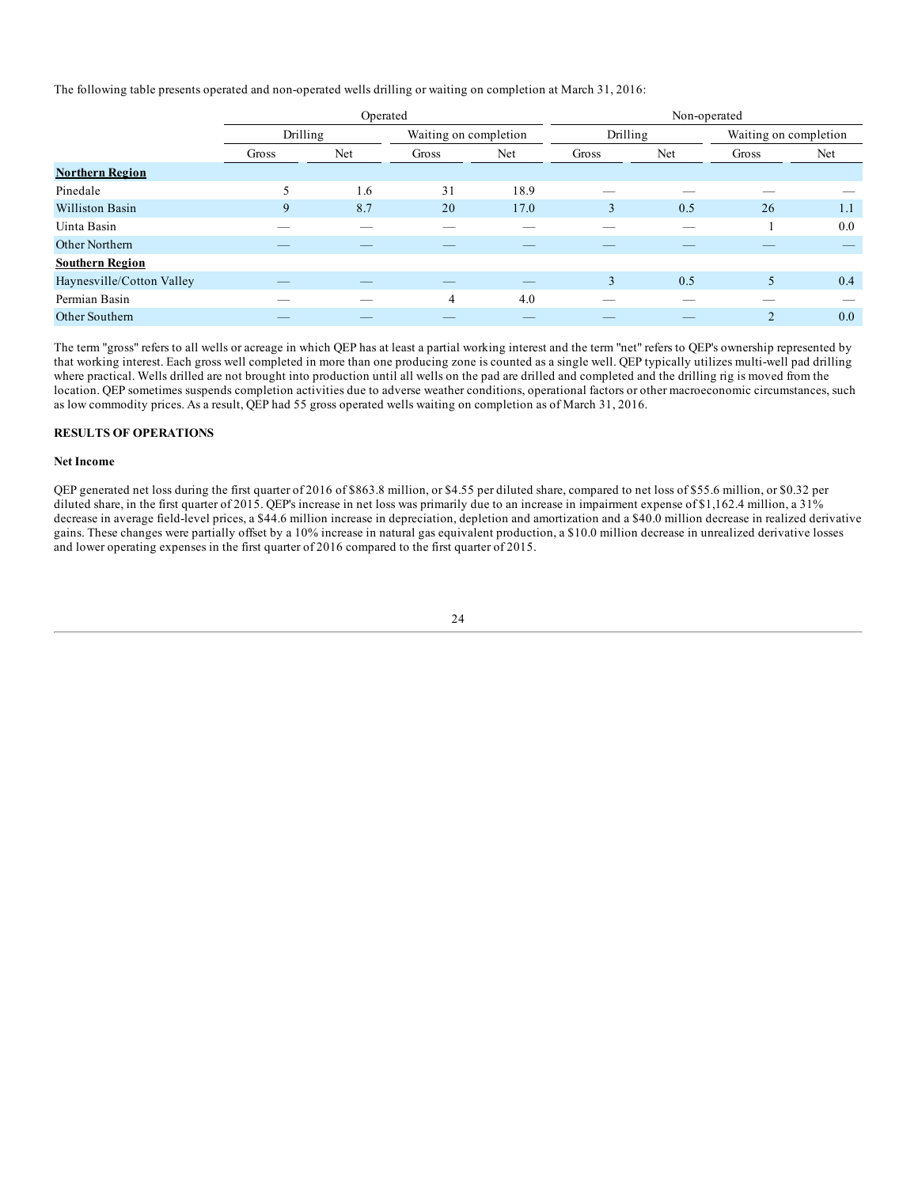The following table presents operated and non-operated wells drilling or waiting on completion at March 31, 2016:

|                           |          | Operated                 |                       |      | Non-operated |            |                |                       |  |  |  |
|---------------------------|----------|--------------------------|-----------------------|------|--------------|------------|----------------|-----------------------|--|--|--|
|                           | Drilling |                          | Waiting on completion |      |              | Drilling   |                | Waiting on completion |  |  |  |
|                           | Gross    | Net                      | Gross                 | Net  | Gross        | <b>Net</b> |                | Net.                  |  |  |  |
| <b>Northern Region</b>    |          |                          |                       |      |              |            |                |                       |  |  |  |
| Pinedale                  | 5        | 1.6                      | 31                    | 18.9 |              |            |                |                       |  |  |  |
| <b>Williston Basin</b>    | 9        | 8.7                      | 20                    | 17.0 | 3            | 0.5        | 26             | 1.1                   |  |  |  |
| Uinta Basin               |          |                          |                       |      |              |            |                | 0.0                   |  |  |  |
| Other Northern            |          |                          |                       |      |              |            |                |                       |  |  |  |
| <b>Southern Region</b>    |          |                          |                       |      |              |            |                |                       |  |  |  |
| Haynesville/Cotton Valley |          |                          |                       |      | 3            | 0.5        | 5              | 0.4                   |  |  |  |
| Permian Basin             |          | $\overline{\phantom{a}}$ | 4                     | 4.0  |              | __         |                |                       |  |  |  |
| Other Southern            |          |                          |                       |      |              |            | $\overline{2}$ | 0.0                   |  |  |  |

The term "gross" refers to all wells or acreage in which QEP has at least a partial working interest and the term "net" refers to QEP's ownership represented by that working interest. Each gross well completed in more than one producing zone is counted as a single well. QEP typically utilizes multi-well pad drilling where practical. Wells drilled are not brought into production until all wells on the pad are drilled and completed and the drilling rig is moved from the location. QEP sometimes suspends completion activities due to adverse weather conditions, operational factors or other macroeconomic circumstances, such as low commodity prices. As a result, QEP had 55 gross operated wells waiting on completion as of March 31, 2016.

# **RESULTS OF OPERATIONS**

#### **Net Income**

QEP generated net loss during the first quarter of 2016 of \$863.8 million, or \$4.55 per diluted share, compared to net loss of \$55.6 million, or \$0.32 per diluted share, in the first quarter of 2015. QEP's increase in net loss was primarily due to an increase in impairment expense of \$1,162.4 million, a 31% decrease in average field-level prices, a \$44.6 million increase in depreciation, depletion and amortization and a \$40.0 million decrease in realized derivative gains. These changes were partially offset by a 10% increase in natural gas equivalent production, a \$10.0 million decrease in unrealized derivative losses and lower operating expenses in the first quarter of 2016 compared to the first quarter of 2015.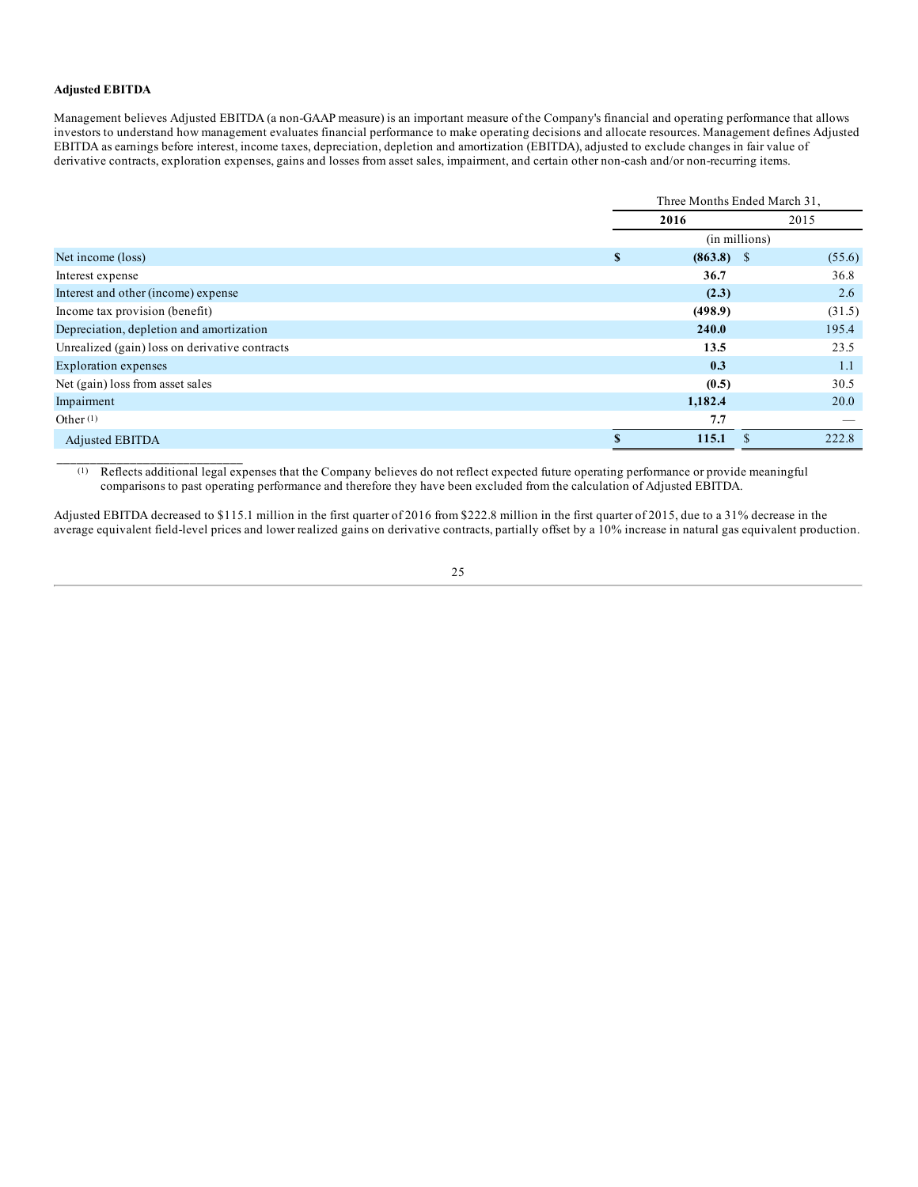# **Adjusted EBITDA**

**\_\_\_\_\_\_\_\_\_\_\_\_\_\_\_\_\_\_\_\_\_\_\_\_\_\_\_\_**

Management believes Adjusted EBITDA (a non-GAAP measure) is an important measure of the Company's financial and operating performance that allows investors to understand how management evaluates financial performance to make operating decisions and allocate resources. Management defines Adjusted EBITDA as earnings before interest, income taxes, depreciation, depletion and amortization (EBITDA), adjusted to exclude changes in fair value of derivative contracts, exploration expenses, gains and losses from asset sales, impairment, and certain other non-cash and/or non-recurring items.

|                                                | Three Months Ended March 31, |               |        |  |  |
|------------------------------------------------|------------------------------|---------------|--------|--|--|
|                                                | 2016<br>2015                 |               |        |  |  |
|                                                |                              | (in millions) |        |  |  |
| Net income (loss)                              | \$<br>$(863.8)$ \$           |               | (55.6) |  |  |
| Interest expense                               | 36.7                         |               | 36.8   |  |  |
| Interest and other (income) expense            | (2.3)                        |               | 2.6    |  |  |
| Income tax provision (benefit)                 | (498.9)                      |               | (31.5) |  |  |
| Depreciation, depletion and amortization       | 240.0                        |               | 195.4  |  |  |
| Unrealized (gain) loss on derivative contracts | 13.5                         |               | 23.5   |  |  |
| <b>Exploration</b> expenses                    | 0.3                          |               | 1.1    |  |  |
| Net (gain) loss from asset sales               | (0.5)                        |               | 30.5   |  |  |
| Impairment                                     | 1,182.4                      |               | 20.0   |  |  |
| Other $(1)$                                    | 7.7                          |               |        |  |  |
| <b>Adjusted EBITDA</b>                         | 115.1                        |               | 222.8  |  |  |

(1) Reflects additional legal expenses that the Company believes do not reflect expected future operating performance or provide meaningful comparisons to past operating performance and therefore they have been excluded from the calculation of Adjusted EBITDA.

Adjusted EBITDA decreased to \$115.1 million in the first quarter of 2016 from \$222.8 million in the first quarter of 2015, due to a 31% decrease in the average equivalent field-level prices and lower realized gains on derivative contracts, partially offset by a 10% increase in natural gas equivalent production.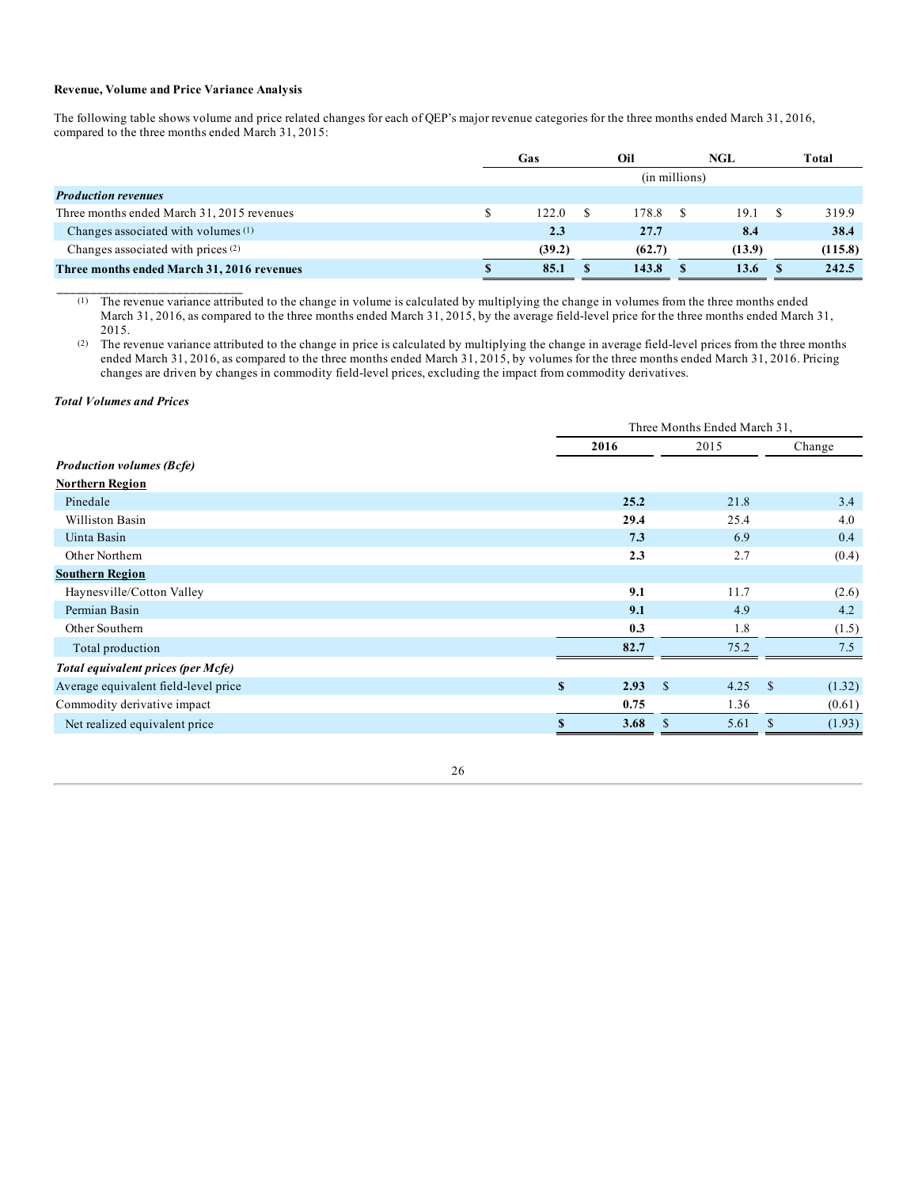# **Revenue, Volume and Price Variance Analysis**

The following table shows volume and price related changes for each of QEP's major revenue categories for the three months ended March 31, 2016, compared to the three months ended March 31, 2015:

|                                            | Gas    | Oil    |               | <b>NGL</b> | Total   |
|--------------------------------------------|--------|--------|---------------|------------|---------|
|                                            |        |        | (in millions) |            |         |
| <b>Production revenues</b>                 |        |        |               |            |         |
| Three months ended March 31, 2015 revenues | 122.0  | 178.8  |               | 19.1       | 319.9   |
| Changes associated with volumes (1)        | 2.3    | 27.7   |               | 8.4        | 38.4    |
| Changes associated with prices $(2)$       | (39.2) | (62.7) |               | (13.9)     | (115.8) |
| Three months ended March 31, 2016 revenues | 85.1   | 143.8  |               | 13.6       | 242.5   |

**\_\_\_\_\_\_\_\_\_\_\_\_\_\_\_\_\_\_\_\_\_\_\_\_\_\_\_\_** (1) The revenue variance attributed to the change in volume is calculated by multiplying the change in volumes from the three months ended March 31, 2016, as compared to the three months ended March 31, 2015, by the average field-level price for the three months ended March 31, 2015.

(2) The revenue variance attributed to the change in price is calculated by multiplying the change in average field-level prices from the three months ended March 31, 2016, as compared to the three months ended March 31, 2015, by volumes for the three months ended March 31, 2016. Pricing changes are driven by changes in commodity field-level prices, excluding the impact from commodity derivatives.

*Total Volumes and Prices*

|                                      | Three Months Ended March 31, |      |                       |                        |  |  |  |
|--------------------------------------|------------------------------|------|-----------------------|------------------------|--|--|--|
|                                      |                              | 2016 | 2015                  | Change                 |  |  |  |
| <b>Production volumes (Bcfe)</b>     |                              |      |                       |                        |  |  |  |
| <b>Northern Region</b>               |                              |      |                       |                        |  |  |  |
| Pinedale                             |                              | 25.2 | 21.8                  | 3.4                    |  |  |  |
| Williston Basin                      |                              | 29.4 | 25.4                  | 4.0                    |  |  |  |
| Uinta Basin                          |                              | 7.3  | 6.9                   | 0.4                    |  |  |  |
| Other Northern                       |                              | 2.3  | 2.7                   | (0.4)                  |  |  |  |
| <b>Southern Region</b>               |                              |      |                       |                        |  |  |  |
| Haynesville/Cotton Valley            |                              | 9.1  | 11.7                  | (2.6)                  |  |  |  |
| Permian Basin                        |                              | 9.1  | 4.9                   | 4.2                    |  |  |  |
| Other Southern                       |                              | 0.3  | 1.8                   | (1.5)                  |  |  |  |
| Total production                     |                              | 82.7 | 75.2                  | 7.5                    |  |  |  |
| Total equivalent prices (per Mcfe)   |                              |      |                       |                        |  |  |  |
| Average equivalent field-level price | $\mathbf{s}$                 | 2.93 | <sup>\$</sup><br>4.25 | <sup>S</sup><br>(1.32) |  |  |  |
| Commodity derivative impact          |                              | 0.75 | 1.36                  | (0.61)                 |  |  |  |
| Net realized equivalent price        | $\mathbf{s}$                 | 3.68 | \$<br>5.61            | $\mathbb{S}$<br>(1.93) |  |  |  |

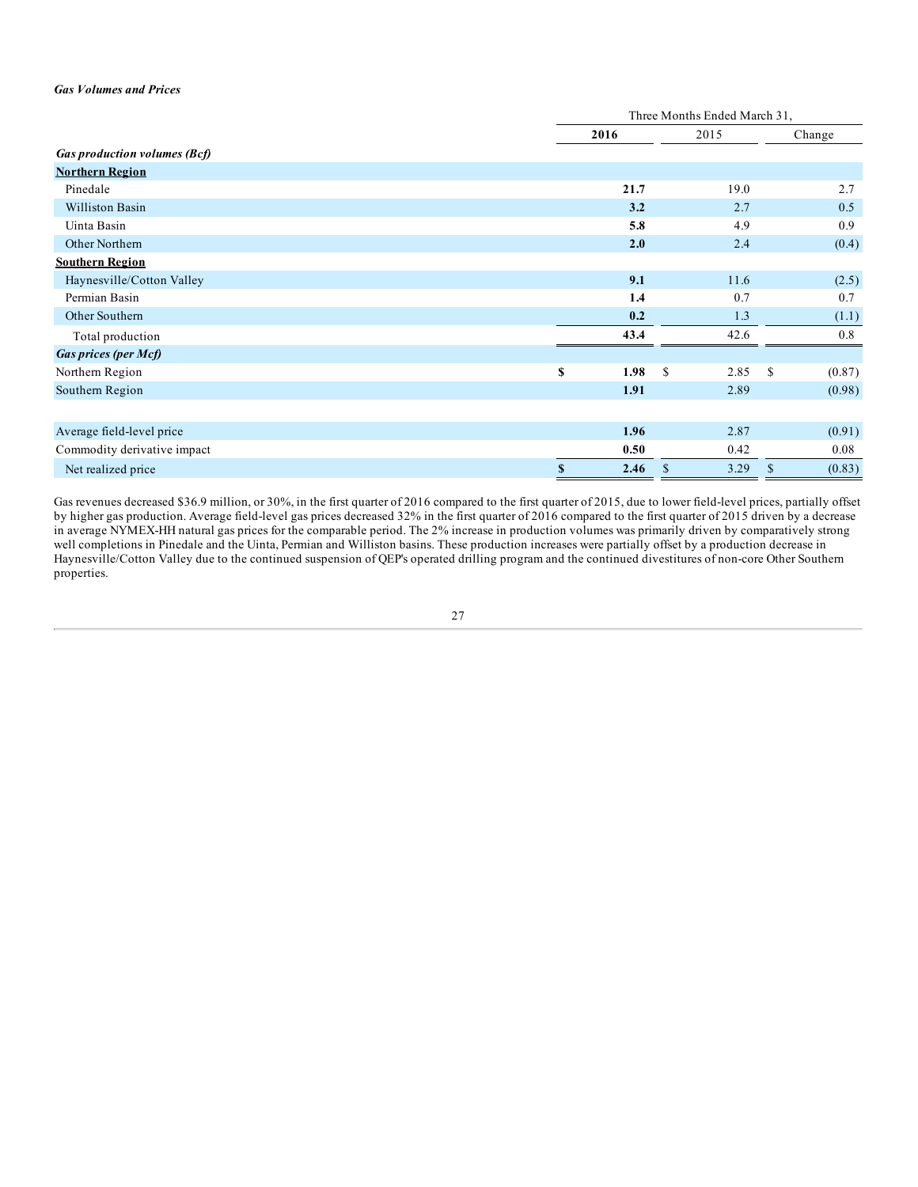#### *Gas Volumes and Prices*

|                                     |              | Three Months Ended March 31, |            |               |        |  |  |
|-------------------------------------|--------------|------------------------------|------------|---------------|--------|--|--|
|                                     | 2016         |                              | 2015       |               | Change |  |  |
| <b>Gas production volumes (Bcf)</b> |              |                              |            |               |        |  |  |
| <b>Northern Region</b>              |              |                              |            |               |        |  |  |
| Pinedale                            |              | 21.7                         | 19.0       |               | 2.7    |  |  |
| <b>Williston Basin</b>              |              | 3.2                          | 2.7        |               | 0.5    |  |  |
| Uinta Basin                         |              | 5.8                          | 4.9        |               | 0.9    |  |  |
| Other Northern                      |              | 2.0                          | 2.4        |               | (0.4)  |  |  |
| <b>Southern Region</b>              |              |                              |            |               |        |  |  |
| Haynesville/Cotton Valley           |              | 9.1                          | 11.6       |               | (2.5)  |  |  |
| Permian Basin                       |              | 1.4                          | 0.7        |               | 0.7    |  |  |
| Other Southern                      |              | 0.2                          | 1.3        |               | (1.1)  |  |  |
| Total production                    |              | 43.4                         | 42.6       |               | 0.8    |  |  |
| Gas prices (per Mcf)                |              |                              |            |               |        |  |  |
| Northern Region                     | \$           | 1.98                         | \$<br>2.85 | <sup>\$</sup> | (0.87) |  |  |
| Southern Region                     |              | 1.91                         | 2.89       |               | (0.98) |  |  |
|                                     |              |                              |            |               |        |  |  |
| Average field-level price           |              | 1.96                         | 2.87       |               | (0.91) |  |  |
| Commodity derivative impact         |              | 0.50                         | 0.42       |               | 0.08   |  |  |
| Net realized price                  | $\mathbf{s}$ | 2.46                         | 3.29<br>S  | $\mathbb{S}$  | (0.83) |  |  |

Gas revenues decreased \$36.9 million, or 30%, in the first quarter of 2016 compared to the first quarter of 2015, due to lower field-level prices, partially offset by higher gas production. Average field-level gas prices decreased 32% in the first quarter of 2016 compared to the first quarter of 2015 driven by a decrease in average NYMEX-HH natural gas prices for the comparable period. The 2% increase in production volumes was primarily driven by comparatively strong well completions in Pinedale and the Uinta, Permian and Williston basins. These production increases were partially offset by a production decrease in Haynesville/Cotton Valley due to the continued suspension of QEP's operated drilling program and the continued divestitures of non-core Other Southern properties.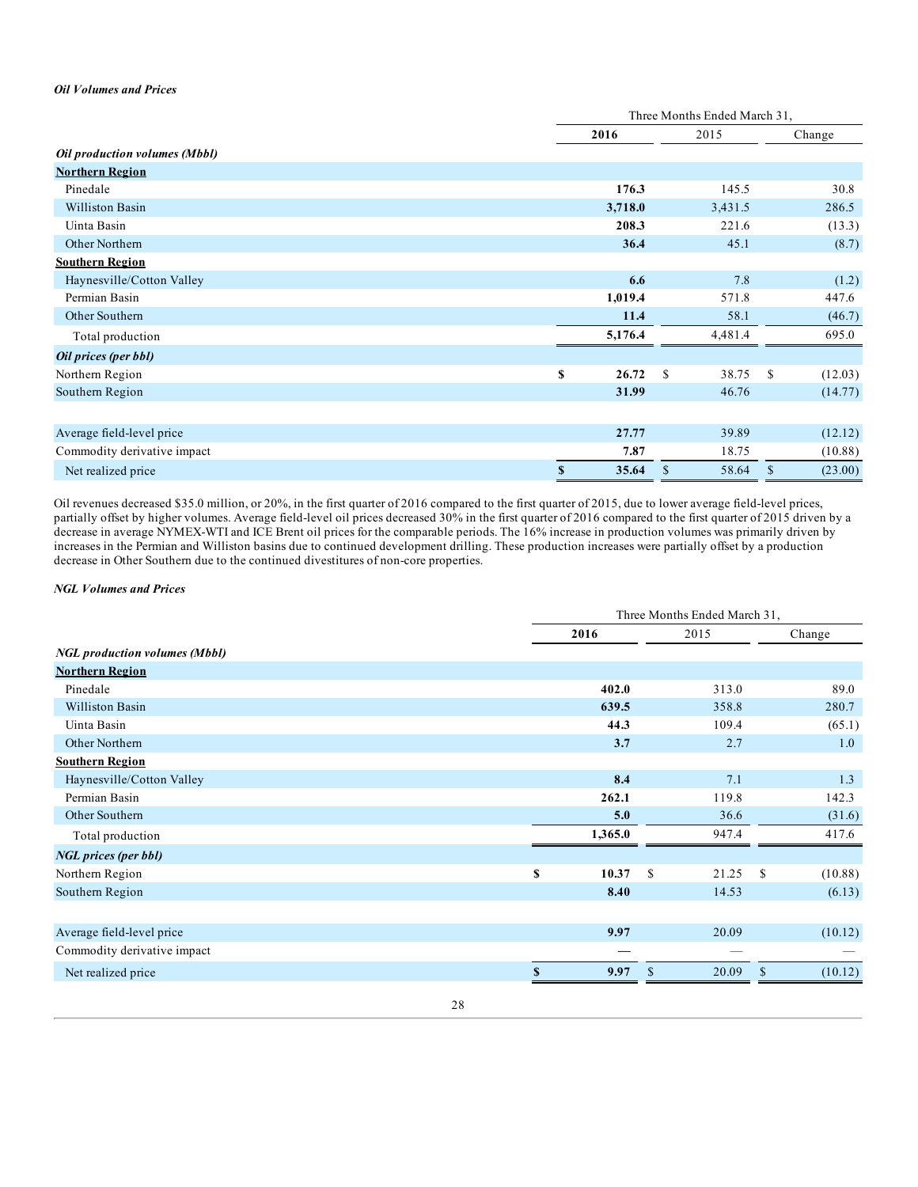#### *Oil Volumes and Prices*

|                               |      | Three Months Ended March 31, |               |         |               |         |  |
|-------------------------------|------|------------------------------|---------------|---------|---------------|---------|--|
|                               | 2016 |                              |               | 2015    |               | Change  |  |
| Oil production volumes (Mbbl) |      |                              |               |         |               |         |  |
| <b>Northern Region</b>        |      |                              |               |         |               |         |  |
| Pinedale                      |      | 176.3                        |               | 145.5   |               | 30.8    |  |
| <b>Williston Basin</b>        |      | 3,718.0                      |               | 3,431.5 |               | 286.5   |  |
| Uinta Basin                   |      | 208.3                        |               | 221.6   |               | (13.3)  |  |
| Other Northern                |      | 36.4                         |               | 45.1    |               | (8.7)   |  |
| <b>Southern Region</b>        |      |                              |               |         |               |         |  |
| Haynesville/Cotton Valley     |      | 6.6                          |               | 7.8     |               | (1.2)   |  |
| Permian Basin                 |      | 1,019.4                      |               | 571.8   |               | 447.6   |  |
| Other Southern                |      | 11.4                         |               | 58.1    |               | (46.7)  |  |
| Total production              |      | 5,176.4                      |               | 4,481.4 |               | 695.0   |  |
| Oil prices (per bbl)          |      |                              |               |         |               |         |  |
| Northern Region               | \$   | 26.72                        | <sup>\$</sup> | 38.75   | <sup>\$</sup> | (12.03) |  |
| Southern Region               |      | 31.99                        |               | 46.76   |               | (14.77) |  |
|                               |      |                              |               |         |               |         |  |
| Average field-level price     |      | 27.77                        |               | 39.89   |               | (12.12) |  |
| Commodity derivative impact   |      | 7.87                         |               | 18.75   |               | (10.88) |  |
| Net realized price            | \$   | 35.64                        | S             | 58.64   | $\mathbf{s}$  | (23.00) |  |

Oil revenues decreased \$35.0 million, or 20%, in the first quarter of 2016 compared to the first quarter of 2015, due to lower average field-level prices, partially offset by higher volumes. Average field-level oil prices decreased 30% in the first quarter of 2016 compared to the first quarter of 2015 driven by a decrease in average NYMEX-WTI and ICE Brent oil prices for the comparable periods. The 16% increase in production volumes was primarily driven by increases in the Permian and Williston basins due to continued development drilling. These production increases were partially offset by a production decrease in Other Southern due to the continued divestitures of non-core properties.

#### *NGL Volumes and Prices*

|                                      | Three Months Ended March 31, |         |      |       |               |         |  |
|--------------------------------------|------------------------------|---------|------|-------|---------------|---------|--|
|                                      |                              | 2016    | 2015 |       |               | Change  |  |
| <b>NGL</b> production volumes (Mbbl) |                              |         |      |       |               |         |  |
| <b>Northern Region</b>               |                              |         |      |       |               |         |  |
| Pinedale                             |                              | 402.0   |      | 313.0 |               | 89.0    |  |
| <b>Williston Basin</b>               |                              | 639.5   |      | 358.8 |               | 280.7   |  |
| Uinta Basin                          |                              | 44.3    |      | 109.4 |               | (65.1)  |  |
| Other Northern                       |                              | 3.7     |      | 2.7   |               | 1.0     |  |
| <b>Southern Region</b>               |                              |         |      |       |               |         |  |
| Haynesville/Cotton Valley            |                              | 8.4     |      | 7.1   |               | 1.3     |  |
| Permian Basin                        |                              | 262.1   |      | 119.8 |               | 142.3   |  |
| Other Southern                       |                              | 5.0     |      | 36.6  |               | (31.6)  |  |
| Total production                     |                              | 1,365.0 |      | 947.4 |               | 417.6   |  |
| <b>NGL</b> prices (per bbl)          |                              |         |      |       |               |         |  |
| Northern Region                      | \$                           | 10.37   | \$   | 21.25 | S             | (10.88) |  |
| Southern Region                      |                              | 8.40    |      | 14.53 |               | (6.13)  |  |
|                                      |                              |         |      |       |               |         |  |
| Average field-level price            |                              | 9.97    |      | 20.09 |               | (10.12) |  |
| Commodity derivative impact          |                              |         |      |       |               |         |  |
| Net realized price                   | $\mathbf{s}$                 | 9.97    |      | 20.09 | $\mathcal{S}$ | (10.12) |  |
|                                      |                              |         |      |       |               |         |  |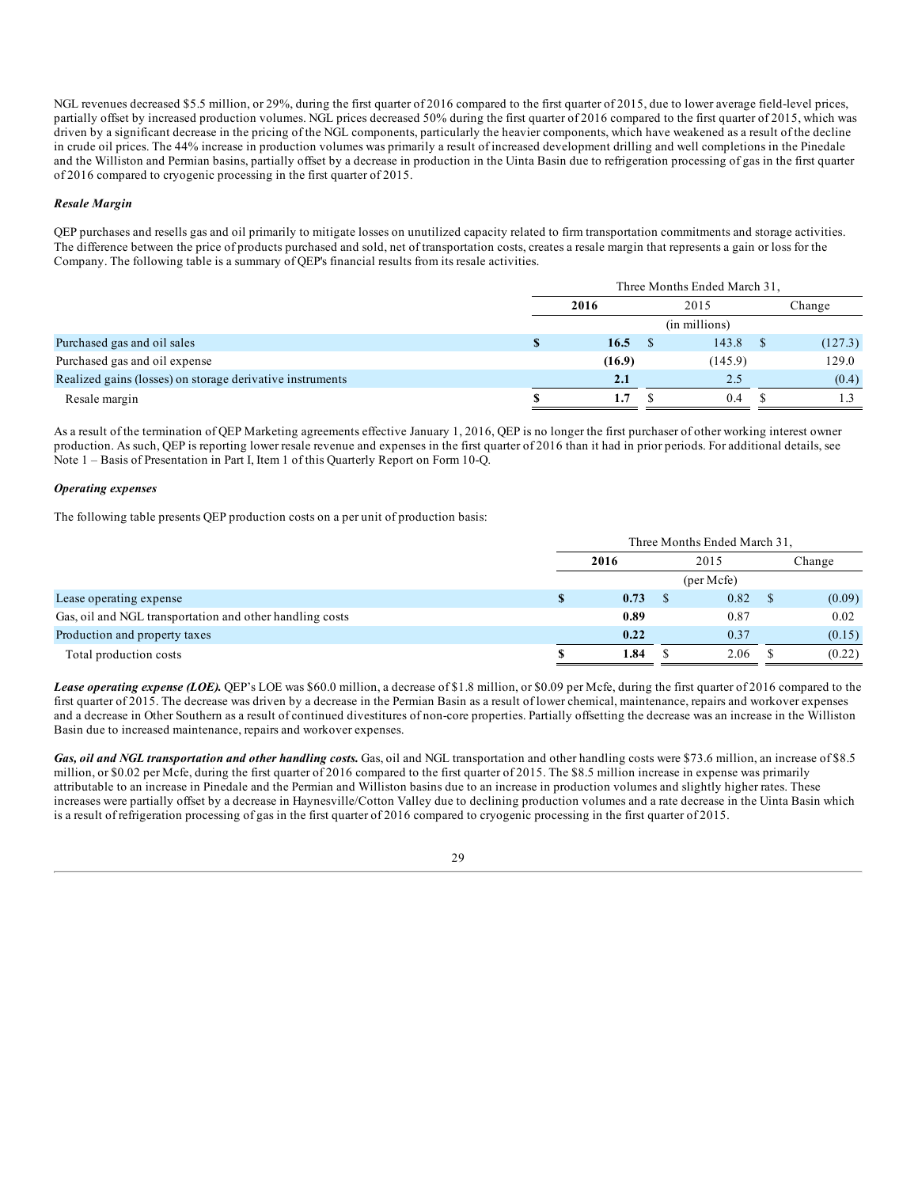NGL revenues decreased \$5.5 million, or 29%, during the first quarter of 2016 compared to the first quarter of 2015, due to lower average field-level prices, partially offset by increased production volumes. NGL prices decreased 50% during the first quarter of 2016 compared to the first quarter of 2015, which was driven by a significant decrease in the pricing of the NGL components, particularly the heavier components, which have weakened as a result of the decline in crude oil prices. The 44% increase in production volumes was primarily a result of increased development drilling and well completions in the Pinedale and the Williston and Permian basins, partially offset by a decrease in production in the Uinta Basin due to refrigeration processing of gas in the first quarter of 2016 compared to cryogenic processing in the first quarter of 2015.

#### *Resale Margin*

QEP purchases and resells gas and oil primarily to mitigate losses on unutilized capacity related to firm transportation commitments and storage activities. The difference between the price of products purchased and sold, net of transportation costs, creates a resale margin that represents a gain or loss for the Company. The following table is a summary of QEP's financial results from its resale activities.

|                                                           | Three Months Ended March 31, |  |               |  |         |  |  |  |
|-----------------------------------------------------------|------------------------------|--|---------------|--|---------|--|--|--|
|                                                           | 2016                         |  | 2015          |  | Change  |  |  |  |
|                                                           |                              |  | (in millions) |  |         |  |  |  |
| Purchased gas and oil sales                               | 16.5                         |  | 143.8         |  | (127.3) |  |  |  |
| Purchased gas and oil expense                             | (16.9)                       |  | (145.9)       |  | 129.0   |  |  |  |
| Realized gains (losses) on storage derivative instruments | 2.1                          |  | 2.5           |  | (0.4)   |  |  |  |
| Resale margin                                             | 1.7                          |  | 0.4           |  |         |  |  |  |

As a result of the termination of QEP Marketing agreements effective January 1, 2016, QEP is no longer the first purchaser of other working interest owner production. As such, QEP is reporting lower resale revenue and expenses in the first quarter of 2016 than it had in prior periods. For additional details, see Note 1 – Basis of Presentation in Part I, Item 1 of this Quarterly Report on Form 10-Q.

#### *Operating expenses*

The following table presents QEP production costs on a per unit of production basis:

|                                                          | Three Months Ended March 31, |  |            |  |        |  |
|----------------------------------------------------------|------------------------------|--|------------|--|--------|--|
|                                                          | 2016                         |  |            |  | Change |  |
|                                                          |                              |  | (per Mcfe) |  |        |  |
| Lease operating expense                                  | 0.73                         |  | 0.82       |  | (0.09) |  |
| Gas, oil and NGL transportation and other handling costs | 0.89                         |  | 0.87       |  | 0.02   |  |
| Production and property taxes                            | 0.22                         |  | 0.37       |  | (0.15) |  |
| Total production costs                                   | 1.84                         |  | 2.06       |  | (0.22) |  |

*Lease operating expense (LOE).* QEP's LOE was \$60.0 million, a decrease of \$1.8 million, or \$0.09 per Mcfe, during the first quarter of 2016 compared to the first quarter of 2015. The decrease was driven by a decrease in the Permian Basin as a result of lower chemical, maintenance, repairs and workover expenses and a decrease in Other Southern as a result of continued divestitures of non-core properties. Partially offsetting the decrease was an increase in the Williston Basin due to increased maintenance, repairs and workover expenses.

*Gas, oil and NGL transportation and other handling costs.* Gas, oil and NGL transportation and other handling costs were \$73.6 million, an increase of \$8.5 million, or \$0.02 per Mcfe, during the first quarter of 2016 compared to the first quarter of 2015. The \$8.5 million increase in expense was primarily attributable to an increase in Pinedale and the Permian and Williston basins due to an increase in production volumes and slightly higher rates. These increases were partially offset by a decrease in Haynesville/Cotton Valley due to declining production volumes and a rate decrease in the Uinta Basin which is a result of refrigeration processing of gas in the first quarter of 2016 compared to cryogenic processing in the first quarter of 2015.

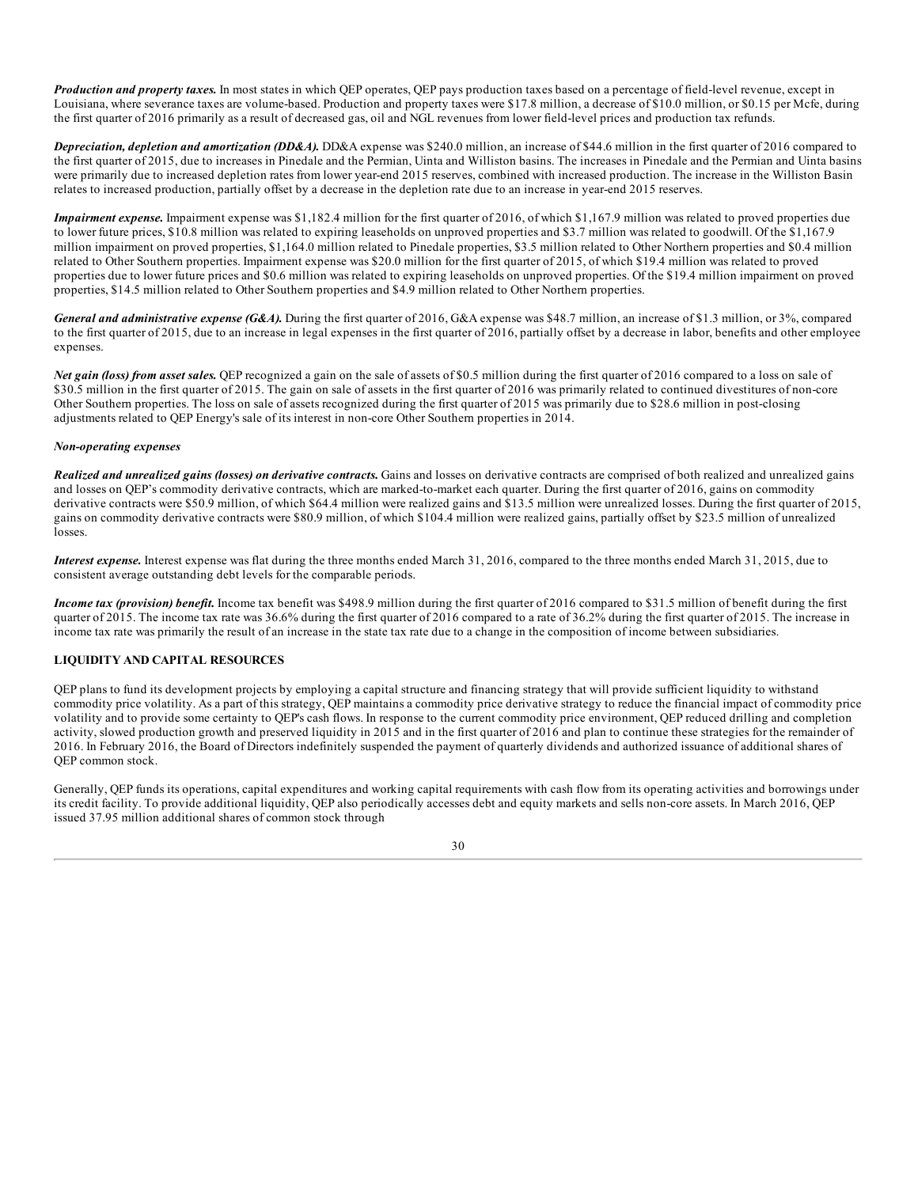*Production and property taxes.* In most states in which QEP operates, QEP pays production taxes based on a percentage of field-level revenue, except in Louisiana, where severance taxes are volume-based. Production and property taxes were \$17.8 million, a decrease of \$10.0 million, or \$0.15 per Mcfe, during the first quarter of 2016 primarily as a result of decreased gas, oil and NGL revenues from lower field-level prices and production tax refunds.

*Depreciation, depletion and amortization (DD&A).* DD&A expense was \$240.0 million, an increase of \$44.6 million in the first quarter of 2016 compared to the first quarter of 2015, due to increases in Pinedale and the Permian, Uinta and Williston basins. The increases in Pinedale and the Permian and Uinta basins were primarily due to increased depletion rates from lower year-end 2015 reserves, combined with increased production. The increase in the Williston Basin relates to increased production, partially offset by a decrease in the depletion rate due to an increase in year-end 2015 reserves.

*Impairment expense*. Impairment expense was \$1,182.4 million for the first quarter of 2016, of which \$1,167.9 million was related to proved properties due to lower future prices, \$10.8 million was related to expiring leaseholds on unproved properties and \$3.7 million was related to goodwill. Of the \$1,167.9 million impairment on proved properties, \$1,164.0 million related to Pinedale properties, \$3.5 million related to Other Northern properties and \$0.4 million related to Other Southern properties. Impairment expense was \$20.0 million for the first quarter of 2015, of which \$19.4 million was related to proved properties due to lower future prices and \$0.6 million was related to expiring leaseholds on unproved properties. Of the \$19.4 million impairment on proved properties, \$14.5 million related to Other Southern properties and \$4.9 million related to Other Northern properties.

*General and administrative expense (G&A).* During the first quarter of 2016, G&A expense was \$48.7 million, an increase of \$1.3 million, or 3%, compared to the first quarter of 2015, due to an increase in legal expenses in the first quarter of 2016, partially offset by a decrease in labor, benefits and other employee expenses.

*Net gain (loss) from asset sales.* QEP recognized a gain on the sale of assets of \$0.5 million during the first quarter of 2016 compared to a loss on sale of \$30.5 million in the first quarter of 2015. The gain on sale of assets in the first quarter of 2016 was primarily related to continued divestitures of non-core Other Southern properties. The loss on sale of assets recognized during the first quarter of 2015 was primarily due to \$28.6 million in post-closing adjustments related to QEP Energy's sale of its interest in non-core Other Southern properties in 2014.

#### *Non-operating expenses*

*Realized and unrealized gains (losses) on derivative contracts.* Gains and losses on derivative contracts are comprised of both realized and unrealized gains and losses on QEP's commodity derivative contracts, which are marked-to-market each quarter. During the first quarter of 2016, gains on commodity derivative contracts were \$50.9 million, of which \$64.4 million were realized gains and \$13.5 million were unrealized losses. During the first quarter of 2015, gains on commodity derivative contracts were \$80.9 million, of which \$104.4 million were realized gains, partially offset by \$23.5 million of unrealized losses.

*Interest expense.* Interest expense was flat during the three months ended March 31, 2016, compared to the three months ended March 31, 2015, due to consistent average outstanding debt levels for the comparable periods.

*Income tax (provision) benefit.* Income tax benefit was \$498.9 million during the first quarter of 2016 compared to \$31.5 million of benefit during the first quarter of 2015. The income tax rate was 36.6% during the first quarter of 2016 compared to a rate of 36.2% during the first quarter of 2015. The increase in income tax rate was primarily the result of an increase in the state tax rate due to a change in the composition of income between subsidiaries.

# **LIQUIDITY AND CAPITAL RESOURCES**

QEP plans to fund its development projects by employing a capital structure and financing strategy that will provide sufficient liquidity to withstand commodity price volatility. As a part of this strategy, QEP maintains a commodity price derivative strategy to reduce the financial impact of commodity price volatility and to provide some certainty to QEP's cash flows. In response to the current commodity price environment, QEP reduced drilling and completion activity, slowed production growth and preserved liquidity in 2015 and in the first quarter of 2016 and plan to continue these strategies for the remainder of 2016. In February 2016, the Board of Directors indefinitely suspended the payment of quarterly dividends and authorized issuance of additional shares of QEP common stock.

Generally, QEP funds its operations, capital expenditures and working capital requirements with cash flow from its operating activities and borrowings under its credit facility. To provide additional liquidity, QEP also periodically accesses debt and equity markets and sells non-core assets. In March 2016, QEP issued 37.95 million additional shares of common stock through

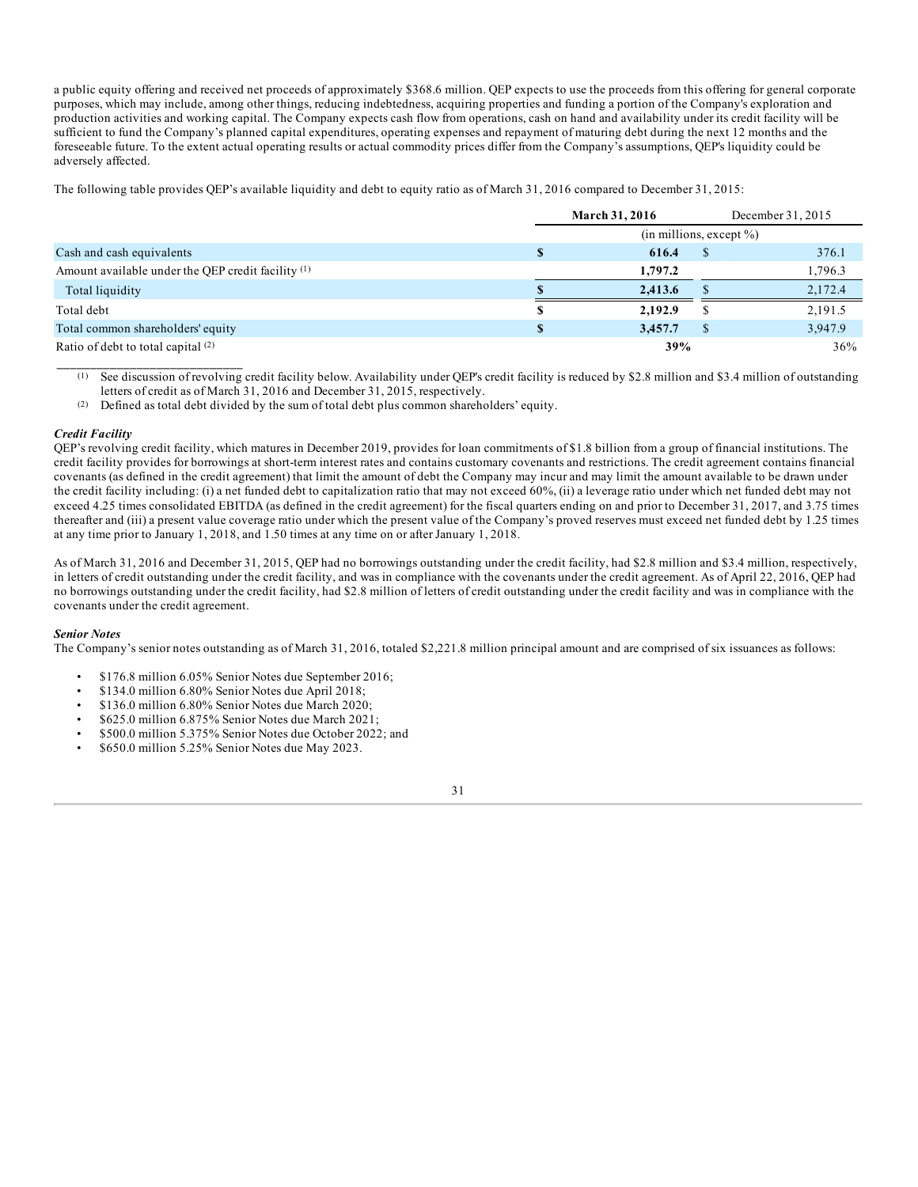a public equity offering and received net proceeds of approximately \$368.6 million. QEP expects to use the proceeds from this offering for general corporate purposes, which may include, among other things, reducing indebtedness, acquiring properties and funding a portion of the Company's exploration and production activities and working capital. The Company expects cash flow from operations, cash on hand and availability under its credit facility will be sufficient to fund the Company's planned capital expenditures, operating expenses and repayment of maturing debt during the next 12 months and the foreseeable future. To the extent actual operating results or actual commodity prices differ from the Company's assumptions, QEP's liquidity could be adversely affected.

The following table provides QEP's available liquidity and debt to equity ratio as of March 31, 2016 compared to December 31, 2015:

|                                                    | March 31, 2016                |   | December 31, 2015 |
|----------------------------------------------------|-------------------------------|---|-------------------|
|                                                    | $(in$ millions, except $\%$ ) |   |                   |
| Cash and cash equivalents                          | 616.4                         | S | 376.1             |
| Amount available under the OEP credit facility (1) | 1,797.2                       |   | 1,796.3           |
| Total liquidity                                    | 2,413.6                       |   | 2,172.4           |
| Total debt                                         | 2,192.9                       | S | 2,191.5           |
| Total common shareholders' equity                  | 3,457.7                       | S | 3,947.9           |
| Ratio of debt to total capital (2)                 | 39%                           |   | 36%               |

(1) See discussion of revolving credit facility below. Availability under QEP's credit facility is reduced by \$2.8 million and \$3.4 million of outstanding letters of credit as of March 31, 2016 and December 31, 2015, respectively.

(2) Defined as total debt divided by the sum of total debt plus common shareholders' equity.

#### *Credit Facility*

**\_\_\_\_\_\_\_\_\_\_\_\_\_\_\_\_\_\_\_\_\_\_\_\_\_\_\_\_**

QEP's revolving credit facility, which matures in December 2019, provides for loan commitments of \$1.8 billion from a group of financial institutions. The credit facility provides for borrowings at short-term interest rates and contains customary covenants and restrictions. The credit agreement contains financial covenants (as defined in the credit agreement) that limit the amount of debt the Company may incur and may limit the amount available to be drawn under the credit facility including: (i) a net funded debt to capitalization ratio that may not exceed 60%, (ii) a leverage ratio under which net funded debt may not exceed 4.25 times consolidated EBITDA (as defined in the credit agreement) for the fiscal quarters ending on and prior to December 31, 2017, and 3.75 times thereafter and (iii) a present value coverage ratio under which the present value of the Company's proved reserves must exceed net funded debt by 1.25 times at any time prior to January 1, 2018, and 1.50 times at any time on or after January 1, 2018.

As of March 31, 2016 and December 31, 2015, QEP had no borrowings outstanding under the credit facility, had \$2.8 million and \$3.4 million, respectively, in letters of credit outstanding under the credit facility, and was in compliance with the covenants under the credit agreement. As of April 22, 2016, QEP had no borrowings outstanding under the credit facility, had \$2.8 million of letters of credit outstanding under the credit facility and was in compliance with the covenants under the credit agreement.

#### *Senior Notes*

The Company's senior notes outstanding as of March 31, 2016, totaled \$2,221.8 million principal amount and are comprised of six issuances as follows:

- \$176.8 million 6.05% Senior Notes due September 2016;
- \$134.0 million 6.80% Senior Notes due April 2018;
- \$136.0 million 6.80% Senior Notes due March 2020;
- \$625.0 million 6.875% Senior Notes due March 2021;
- \$500.0 million 5.375% Senior Notes due October 2022; and
- \$650.0 million 5.25% Senior Notes due May 2023.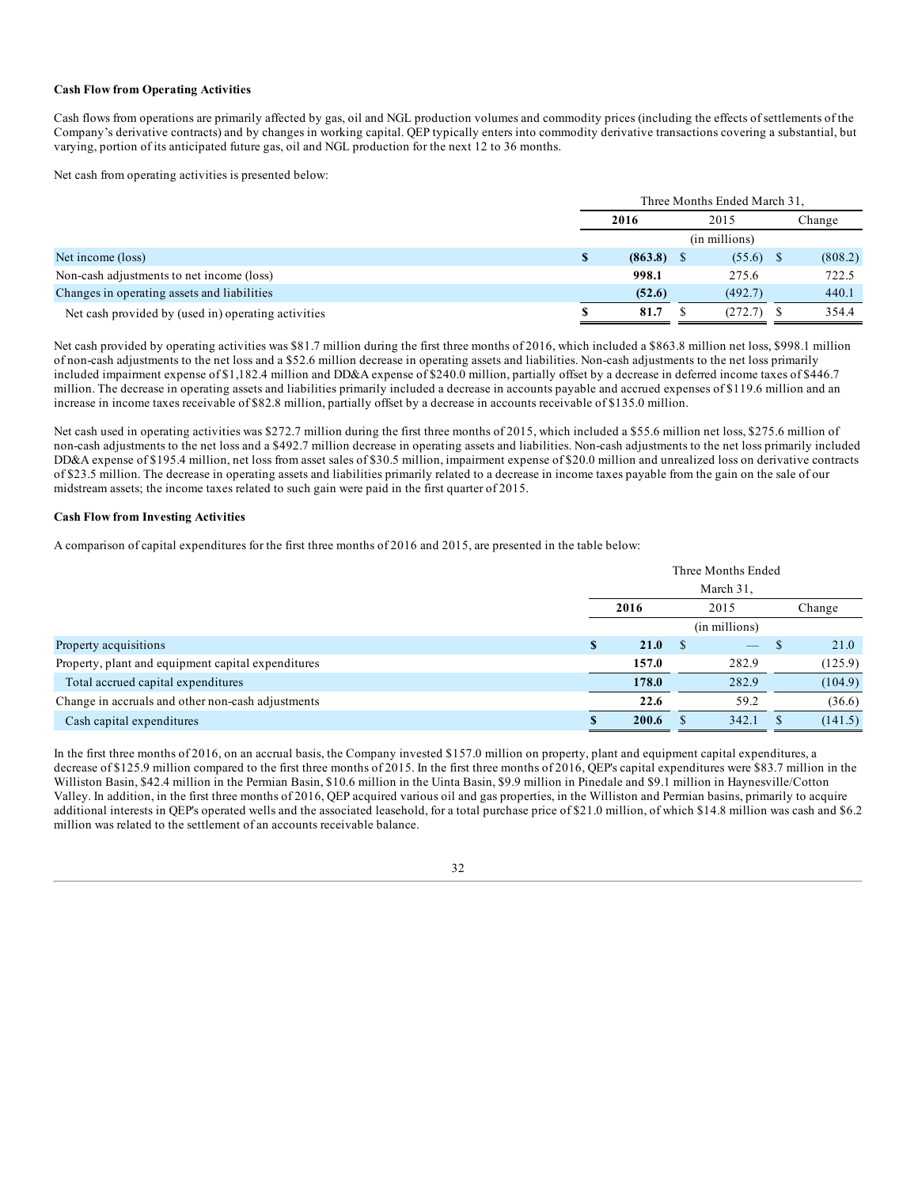#### **Cash Flow from Operating Activities**

Cash flows from operations are primarily affected by gas, oil and NGL production volumes and commodity prices (including the effects of settlements of the Company's derivative contracts) and by changes in working capital. QEP typically enters into commodity derivative transactions covering a substantial, but varying, portion of its anticipated future gas, oil and NGL production for the next 12 to 36 months.

Net cash from operating activities is presented below:

|                                                     | Three Months Ended March 31, |              |  |         |  |
|-----------------------------------------------------|------------------------------|--------------|--|---------|--|
|                                                     | 2015<br>2016                 |              |  | Change  |  |
|                                                     |                              |              |  |         |  |
| Net income (loss)                                   | (863.8)                      | $(55.6)$ \$  |  | (808.2) |  |
| Non-cash adjustments to net income (loss)           | 998.1                        | 275.6        |  | 722.5   |  |
| Changes in operating assets and liabilities         | (52.6)                       | (492.7)      |  | 440.1   |  |
| Net cash provided by (used in) operating activities | 81.7                         | $(272.7)$ \$ |  | 354.4   |  |

Net cash provided by operating activities was \$81.7 million during the first three months of 2016, which included a \$863.8 million net loss, \$998.1 million of non-cash adjustments to the net loss and a \$52.6 million decrease in operating assets and liabilities. Non-cash adjustments to the net loss primarily included impairment expense of \$1,182.4 million and DD&A expense of \$240.0 million, partially offset by a decrease in deferred income taxes of \$446.7 million. The decrease in operating assets and liabilities primarily included a decrease in accounts payable and accrued expenses of \$119.6 million and an increase in income taxes receivable of \$82.8 million, partially offset by a decrease in accounts receivable of \$135.0 million.

Net cash used in operating activities was \$272.7 million during the first three months of 2015, which included a \$55.6 million net loss, \$275.6 million of non-cash adjustments to the net loss and a \$492.7 million decrease in operating assets and liabilities. Non-cash adjustments to the net loss primarily included DD&A expense of \$195.4 million, net loss from asset sales of \$30.5 million, impairment expense of \$20.0 million and unrealized loss on derivative contracts of \$23.5 million. The decrease in operating assets and liabilities primarily related to a decrease in income taxes payable from the gain on the sale of our midstream assets; the income taxes related to such gain were paid in the first quarter of 2015.

#### **Cash Flow from Investing Activities**

A comparison of capital expenditures for the first three months of 2016 and 2015, are presented in the table below:

|                                                    |               | Three Months Ended<br>March 31,<br>2016<br>2015<br>Change |  |       |  |         |
|----------------------------------------------------|---------------|-----------------------------------------------------------|--|-------|--|---------|
|                                                    |               |                                                           |  |       |  |         |
|                                                    |               |                                                           |  |       |  |         |
|                                                    | (in millions) |                                                           |  |       |  |         |
| Property acquisitions                              | S.            | <b>21.0</b>                                               |  |       |  | 21.0    |
| Property, plant and equipment capital expenditures |               | 157.0                                                     |  | 282.9 |  | (125.9) |
| Total accrued capital expenditures                 |               | 178.0                                                     |  | 282.9 |  | (104.9) |
| Change in accruals and other non-cash adjustments  |               | 22.6                                                      |  | 59.2  |  | (36.6)  |
| Cash capital expenditures                          |               | 200.6                                                     |  | 342.1 |  | (141.5) |

In the first three months of 2016, on an accrual basis, the Company invested \$157.0 million on property, plant and equipment capital expenditures, a decrease of \$125.9 million compared to the first three months of 2015. In the first three months of 2016, QEP's capital expenditures were \$83.7 million in the Williston Basin, \$42.4 million in the Permian Basin, \$10.6 million in the Uinta Basin, \$9.9 million in Pinedale and \$9.1 million in Haynesville/Cotton Valley. In addition, in the first three months of 2016, QEP acquired various oil and gas properties, in the Williston and Permian basins, primarily to acquire additional interests in QEP's operated wells and the associated leasehold, for a total purchase price of \$21.0 million, of which \$14.8 million was cash and \$6.2 million was related to the settlement of an accounts receivable balance.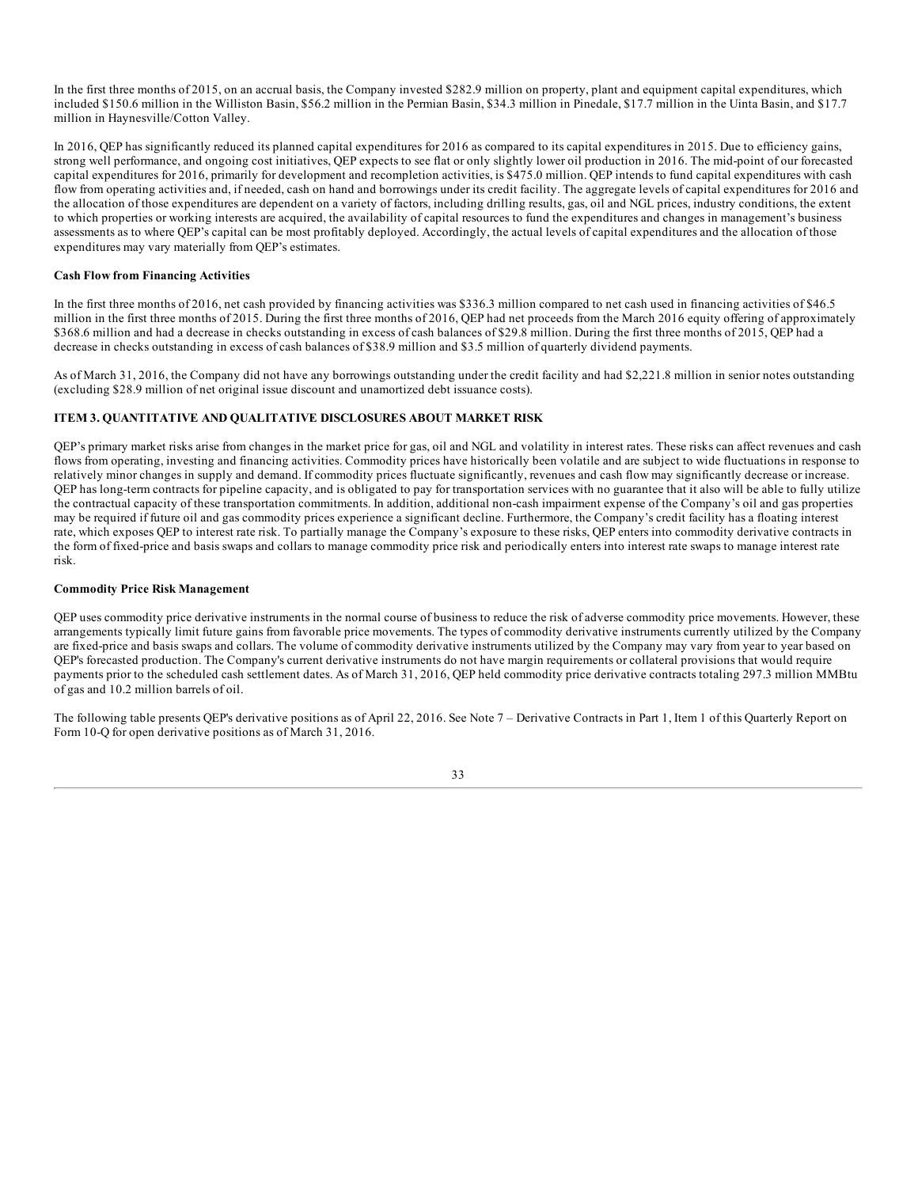<span id="page-34-0"></span>In the first three months of 2015, on an accrual basis, the Company invested \$282.9 million on property, plant and equipment capital expenditures, which included \$150.6 million in the Williston Basin, \$56.2 million in the Permian Basin, \$34.3 million in Pinedale, \$17.7 million in the Uinta Basin, and \$17.7 million in Haynesville/Cotton Valley.

In 2016, QEP has significantly reduced its planned capital expenditures for 2016 as compared to its capital expenditures in 2015. Due to efficiency gains, strong well performance, and ongoing cost initiatives, QEP expects to see flat or only slightly lower oil production in 2016. The mid-point of our forecasted capital expenditures for 2016, primarily for development and recompletion activities, is \$475.0 million. QEP intends to fund capital expenditures with cash flow from operating activities and, if needed, cash on hand and borrowings under its credit facility. The aggregate levels of capital expenditures for 2016 and the allocation of those expenditures are dependent on a variety of factors, including drilling results, gas, oil and NGL prices, industry conditions, the extent to which properties or working interests are acquired, the availability of capital resources to fund the expenditures and changes in management's business assessments as to where QEP's capital can be most profitably deployed. Accordingly, the actual levels of capital expenditures and the allocation of those expenditures may vary materially from QEP's estimates.

#### **Cash Flow from Financing Activities**

In the first three months of 2016, net cash provided by financing activities was \$336.3 million compared to net cash used in financing activities of \$46.5 million in the first three months of 2015. During the first three months of 2016, QEP had net proceeds from the March 2016 equity offering of approximately \$368.6 million and had a decrease in checks outstanding in excess of cash balances of \$29.8 million. During the first three months of 2015, OEP had a decrease in checks outstanding in excess of cash balances of \$38.9 million and \$3.5 million of quarterly dividend payments.

As of March 31, 2016, the Company did not have any borrowings outstanding under the credit facility and had \$2,221.8 million in senior notes outstanding (excluding \$28.9 million of net original issue discount and unamortized debt issuance costs).

# **ITEM 3. QUANTITATIVE AND QUALITATIVE DISCLOSURES ABOUT MARKET RISK**

QEP's primary market risks arise from changes in the market price for gas, oil and NGL and volatility in interest rates. These risks can affect revenues and cash flows from operating, investing and financing activities. Commodity prices have historically been volatile and are subject to wide fluctuations in response to relatively minor changes in supply and demand. If commodity prices fluctuate significantly, revenues and cash flow may significantly decrease or increase. QEP has long-term contracts for pipeline capacity, and is obligated to pay for transportation services with no guarantee that it also will be able to fully utilize the contractual capacity of these transportation commitments. In addition, additional non-cash impairment expense of the Company's oil and gas properties may be required if future oil and gas commodity prices experience a significant decline. Furthermore, the Company's credit facility has a floating interest rate, which exposes QEP to interest rate risk. To partially manage the Company's exposure to these risks, QEP enters into commodity derivative contracts in the form of fixed-price and basis swaps and collars to manage commodity price risk and periodically enters into interest rate swaps to manage interest rate risk.

#### **Commodity Price Risk Management**

QEP uses commodity price derivative instruments in the normal course of business to reduce the risk of adverse commodity price movements. However, these arrangements typically limit future gains from favorable price movements. The types of commodity derivative instruments currently utilized by the Company are fixed-price and basis swaps and collars. The volume of commodity derivative instruments utilized by the Company may vary from year to year based on QEP's forecasted production. The Company's current derivative instruments do not have margin requirements or collateral provisions that would require payments prior to the scheduled cash settlement dates. As of March 31, 2016, QEP held commodity price derivative contracts totaling 297.3 million MMBtu of gas and 10.2 million barrels of oil.

The following table presents QEP's derivative positions as of April 22, 2016. See Note 7 – Derivative Contracts in Part 1, Item 1 of this Quarterly Report on Form 10-Q for open derivative positions as of March 31, 2016.

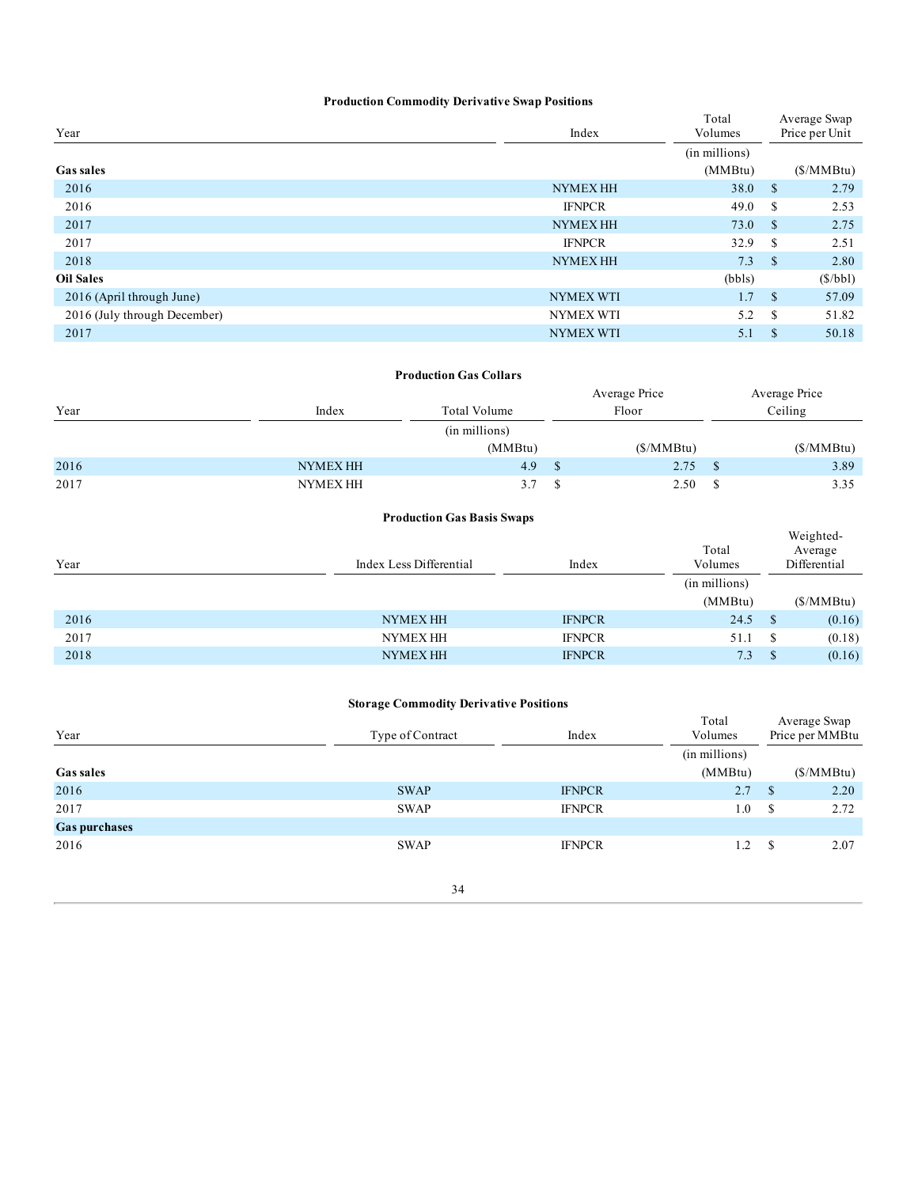# **Production Commodity Derivative Swap Positions**

| Year                         | Index            | Total<br>Volumes | Average Swap<br>Price per Unit |            |  |
|------------------------------|------------------|------------------|--------------------------------|------------|--|
|                              |                  | (in millions)    |                                |            |  |
| <b>Gas sales</b>             |                  | (MMBtu)          |                                | (S/MMBtu)  |  |
| 2016                         | <b>NYMEX HH</b>  | 38.0             | -S                             | 2.79       |  |
| 2016                         | <b>IFNPCR</b>    | 49.0             | -S                             | 2.53       |  |
| 2017                         | <b>NYMEX HH</b>  | 73.0             | -S                             | 2.75       |  |
| 2017                         | <b>IFNPCR</b>    | 32.9             | -S                             | 2.51       |  |
| 2018                         | <b>NYMEX HH</b>  | 7.3              | -S                             | 2.80       |  |
| <b>Oil Sales</b>             |                  | (bbls)           |                                | $(\$/bbl)$ |  |
| 2016 (April through June)    | <b>NYMEX WTI</b> | 1.7              | <sup>\$</sup>                  | 57.09      |  |
| 2016 (July through December) | <b>NYMEX WTI</b> | 5.2              | -S                             | 51.82      |  |
| 2017                         | <b>NYMEX WTI</b> | 5.1              | <sup>\$</sup>                  | 50.18      |  |

# **Production Gas Collars**

|      |                 |               |  | Average Price |  | Average Price |
|------|-----------------|---------------|--|---------------|--|---------------|
| Year | Index           | Total Volume  |  | Floor         |  | Ceiling       |
|      |                 | (in millions) |  |               |  |               |
|      |                 | (MMBtu)       |  | (S/MM)        |  | (S/MMBtu)     |
| 2016 | <b>NYMEX HH</b> | 4.9           |  | 2.75          |  | 3.89          |
| 2017 | NYMEX HH        | 3.7           |  | 2.50          |  | 3.35          |

| <b>Production Gas Basis Swaps</b> |  |  |  |
|-----------------------------------|--|--|--|
|-----------------------------------|--|--|--|

| Year | Index Less Differential | Index         | Total<br>Volumes | Weighted-<br>Average<br>Differential |
|------|-------------------------|---------------|------------------|--------------------------------------|
|      |                         |               | (in millions)    |                                      |
|      |                         |               | (MMBtu)          | (S/MMBtu)                            |
| 2016 | <b>NYMEX HH</b>         | <b>IFNPCR</b> | 24.5             | (0.16)<br>- \$                       |
| 2017 | <b>NYMEX HH</b>         | <b>IFNPCR</b> | 51.1             | (0.18)<br>-S                         |
| 2018 | <b>NYMEX HH</b>         | <b>IFNPCR</b> | 7.3              | (0.16)<br>S                          |
|      |                         |               |                  |                                      |

# **Storage Commodity Derivative Positions**

| Year                 | Index<br>Type of Contract |               | Total<br>Volumes | Average Swap<br>Price per MMBtu |                     |
|----------------------|---------------------------|---------------|------------------|---------------------------------|---------------------|
|                      |                           |               | (in millions)    |                                 |                     |
| <b>Gas sales</b>     |                           |               | (MMBtu)          |                                 | $(\frac{S}{MMBtu})$ |
| 2016                 | <b>SWAP</b>               | <b>IFNPCR</b> | 2.7              | - \$                            | 2.20                |
| 2017                 | <b>SWAP</b>               | <b>IFNPCR</b> | 1.0              | -S                              | 2.72                |
| <b>Gas purchases</b> |                           |               |                  |                                 |                     |
| 2016                 | <b>SWAP</b>               | <b>IFNPCR</b> | 1.2              | -S                              | 2.07                |

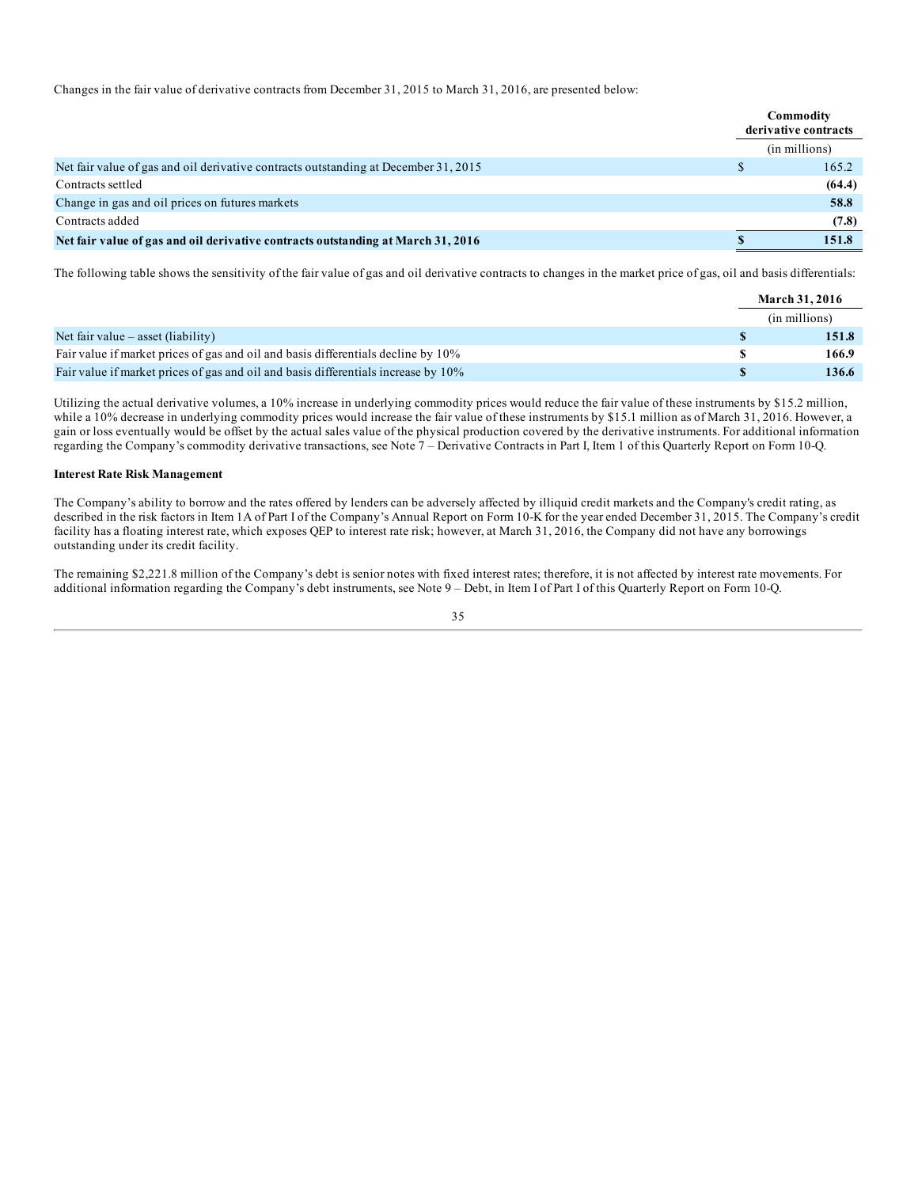Changes in the fair value of derivative contracts from December 31, 2015 to March 31, 2016, are presented below:

|                                                                                     | Commodity<br>derivative contracts |
|-------------------------------------------------------------------------------------|-----------------------------------|
|                                                                                     | (in millions)                     |
| Net fair value of gas and oil derivative contracts outstanding at December 31, 2015 | 165.2                             |
| Contracts settled                                                                   | (64.4)                            |
| Change in gas and oil prices on futures markets                                     | 58.8                              |
| Contracts added                                                                     | (7.8)                             |
| Net fair value of gas and oil derivative contracts outstanding at March 31, 2016    | 151.8                             |

The following table shows the sensitivity of the fair value of gas and oil derivative contracts to changes in the market price of gas, oil and basis differentials:

|                                                                                    | <b>March 31, 2016</b> |
|------------------------------------------------------------------------------------|-----------------------|
|                                                                                    | (in millions)         |
| Net fair value $-\$ asset (liability)                                              | 151.8                 |
| Fair value if market prices of gas and oil and basis differentials decline by 10%  | 166.9                 |
| Fair value if market prices of gas and oil and basis differentials increase by 10% | 136.6                 |

Utilizing the actual derivative volumes, a 10% increase in underlying commodity prices would reduce the fair value of these instruments by \$15.2 million, while a 10% decrease in underlying commodity prices would increase the fair value of these instruments by \$15.1 million as of March 31, 2016. However, a gain or loss eventually would be offset by the actual sales value of the physical production covered by the derivative instruments. For additional information regarding the Company's commodity derivative transactions, see Note 7 – Derivative Contracts in Part I, Item 1 of this Quarterly Report on Form 10-Q.

#### **Interest Rate Risk Management**

The Company's ability to borrow and the rates offered by lenders can be adversely affected by illiquid credit markets and the Company's credit rating, as described in the risk factors in Item 1A of Part I of the Company's Annual Report on Form 10-K for the year ended December 31, 2015. The Company's credit facility has a floating interest rate, which exposes QEP to interest rate risk; however, at March 31, 2016, the Company did not have any borrowings outstanding under its credit facility.

The remaining \$2,221.8 million of the Company's debt is senior notes with fixed interest rates; therefore, it is not affected by interest rate movements. For additional information regarding the Company's debt instruments, see Note 9 – Debt, in Item I of Part I of this Quarterly Report on Form 10-Q.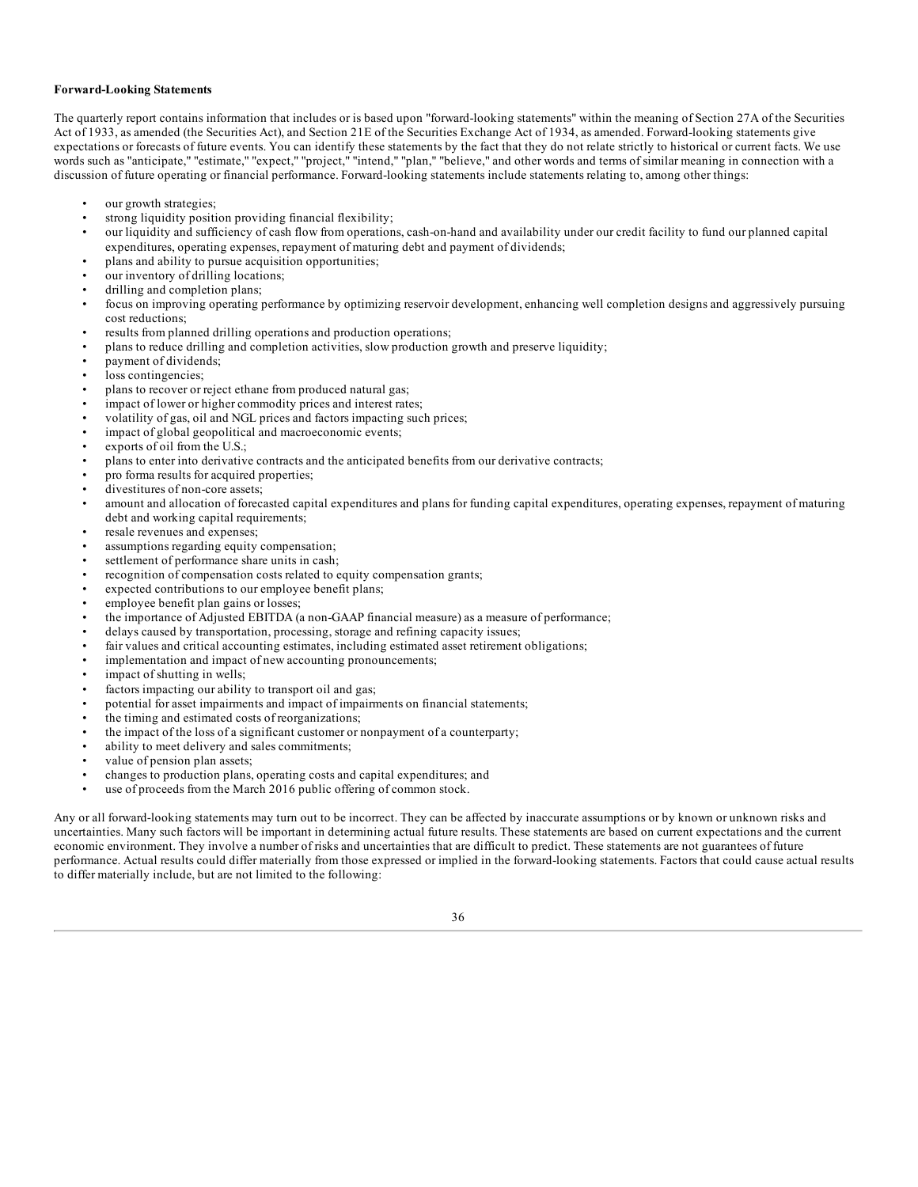#### **Forward-Looking Statements**

The quarterly report contains information that includes or is based upon "forward-looking statements" within the meaning of Section 27A of the Securities Act of 1933, as amended (the Securities Act), and Section 21E of the Securities Exchange Act of 1934, as amended. Forward-looking statements give expectations or forecasts of future events. You can identify these statements by the fact that they do not relate strictly to historical or current facts. We use words such as "anticipate," "estimate," "expect," "project," "intend," "plan," "believe," and other words and terms of similar meaning in connection with a discussion of future operating or financial performance. Forward-looking statements include statements relating to, among other things:

- our growth strategies;
- strong liquidity position providing financial flexibility;
- our liquidity and sufficiency of cash flow from operations, cash-on-hand and availability under our credit facility to fund our planned capital expenditures, operating expenses, repayment of maturing debt and payment of dividends;
- plans and ability to pursue acquisition opportunities;
- our inventory of drilling locations;
- drilling and completion plans;
- focus on improving operating performance by optimizing reservoir development, enhancing well completion designs and aggressively pursuing cost reductions;
- results from planned drilling operations and production operations;
- plans to reduce drilling and completion activities, slow production growth and preserve liquidity;
- payment of dividends;
- loss contingencies;
- plans to recover or reject ethane from produced natural gas;
- impact of lower or higher commodity prices and interest rates;
- volatility of gas, oil and NGL prices and factors impacting such prices;
- impact of global geopolitical and macroeconomic events;
- exports of oil from the U.S.;
- plans to enter into derivative contracts and the anticipated benefits from our derivative contracts;
- pro forma results for acquired properties;
- divestitures of non-core assets;
- amount and allocation of forecasted capital expenditures and plans for funding capital expenditures, operating expenses, repayment of maturing debt and working capital requirements;
- resale revenues and expenses;
- assumptions regarding equity compensation;
- settlement of performance share units in cash;
- recognition of compensation costs related to equity compensation grants;
- expected contributions to our employee benefit plans;
- employee benefit plan gains or losses;
- the importance of Adjusted EBITDA (a non-GAAP financial measure) as a measure of performance;
- delays caused by transportation, processing, storage and refining capacity issues;
- fair values and critical accounting estimates, including estimated asset retirement obligations;
- implementation and impact of new accounting pronouncements;
- impact of shutting in wells;
- factors impacting our ability to transport oil and gas;
- potential for asset impairments and impact of impairments on financial statements;
- the timing and estimated costs of reorganizations;
- the impact of the loss of a significant customer or nonpayment of a counterparty;
- ability to meet delivery and sales commitments;
- value of pension plan assets;
- changes to production plans, operating costs and capital expenditures; and
- use of proceeds from the March 2016 public offering of common stock.

Any or all forward-looking statements may turn out to be incorrect. They can be affected by inaccurate assumptions or by known or unknown risks and uncertainties. Many such factors will be important in determining actual future results. These statements are based on current expectations and the current economic environment. They involve a number of risks and uncertainties that are difficult to predict. These statements are not guarantees of future performance. Actual results could differ materially from those expressed or implied in the forward-looking statements. Factors that could cause actual results to differ materially include, but are not limited to the following: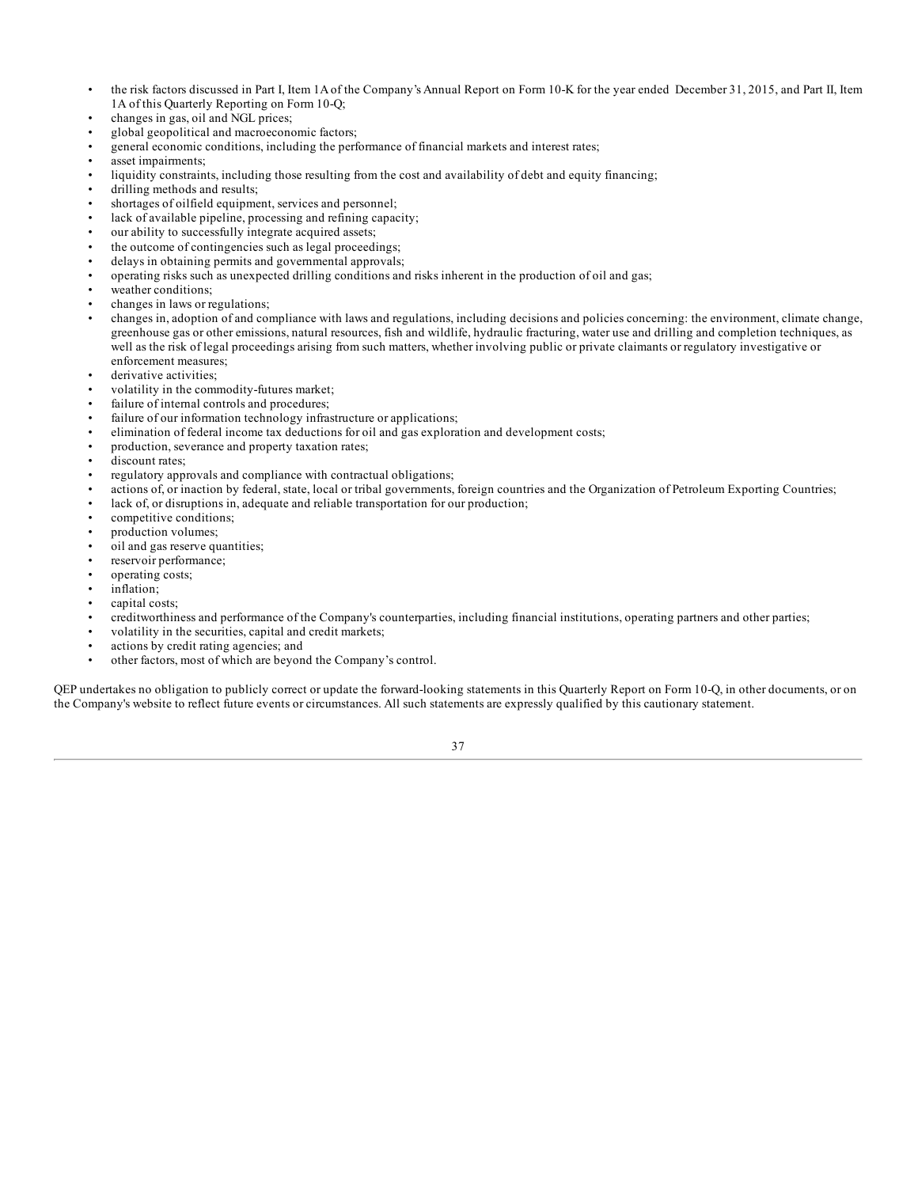- the risk factors discussed in Part I, Item 1Aof the Company's Annual Report on Form 10-K for the year ended December 31, 2015, and Part II, Item 1A of this Quarterly Reporting on Form 10-Q;
- changes in gas, oil and NGL prices;
- global geopolitical and macroeconomic factors;
- general economic conditions, including the performance of financial markets and interest rates;
- asset impairments;
- liquidity constraints, including those resulting from the cost and availability of debt and equity financing;
- drilling methods and results;
- shortages of oilfield equipment, services and personnel;
- lack of available pipeline, processing and refining capacity;
- our ability to successfully integrate acquired assets;
- the outcome of contingencies such as legal proceedings;
- delays in obtaining permits and governmental approvals;
- operating risks such as unexpected drilling conditions and risks inherent in the production of oil and gas;
- weather conditions;
- changes in laws or regulations;
- changes in, adoption of and compliance with laws and regulations, including decisions and policies concerning: the environment, climate change, greenhouse gas or other emissions, natural resources, fish and wildlife, hydraulic fracturing, water use and drilling and completion techniques, as well as the risk of legal proceedings arising from such matters, whether involving public or private claimants or regulatory investigative or enforcement measures;
- derivative activities;
- volatility in the commodity-futures market;
- failure of internal controls and procedures;
- failure of our information technology infrastructure or applications;
- elimination of federal income tax deductions for oil and gas exploration and development costs;
- production, severance and property taxation rates;
- discount rates;
- regulatory approvals and compliance with contractual obligations;
- actions of, or inaction by federal, state, local or tribal governments, foreign countries and the Organization of Petroleum Exporting Countries;
- lack of, or disruptions in, adequate and reliable transportation for our production;
- competitive conditions;
- production volumes;
- oil and gas reserve quantities;
- reservoir performance;
- operating costs;
- inflation:
- capital costs;
- creditworthiness and performance of the Company's counterparties, including financial institutions, operating partners and other parties;
- volatility in the securities, capital and credit markets;
- actions by credit rating agencies; and
- other factors, most of which are beyond the Company's control.

QEP undertakes no obligation to publicly correct or update the forward-looking statements in this Quarterly Report on Form 10-Q, in other documents, or on the Company's website to reflect future events or circumstances. All such statements are expressly qualified by this cautionary statement.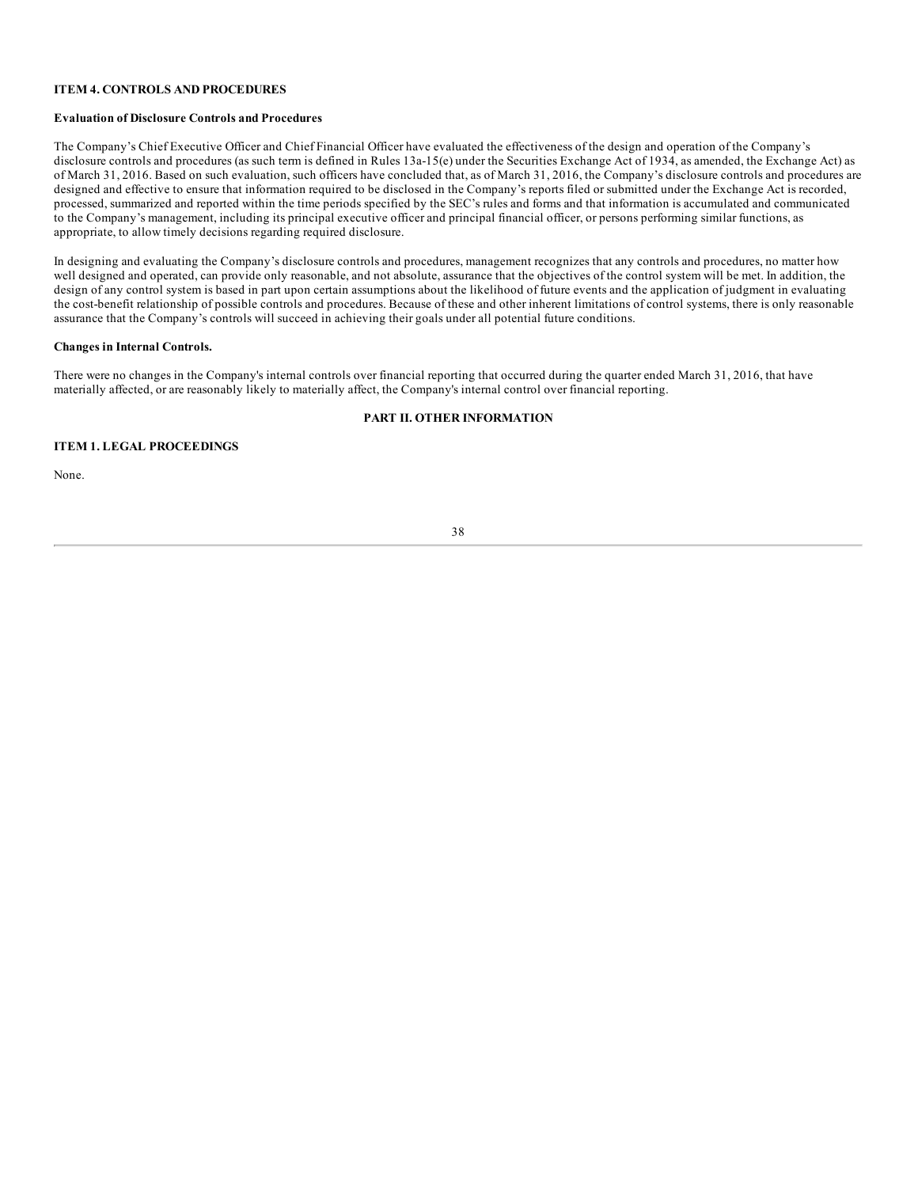#### <span id="page-39-0"></span>**ITEM 4. CONTROLS AND PROCEDURES**

#### **Evaluation of Disclosure Controls and Procedures**

The Company's Chief Executive Officer and Chief Financial Officer have evaluated the effectiveness of the design and operation of the Company's disclosure controls and procedures (as such term is defined in Rules 13a-15(e) under the Securities Exchange Act of 1934, as amended, the Exchange Act) as of March 31, 2016. Based on such evaluation, such officers have concluded that, as of March 31, 2016, the Company's disclosure controls and procedures are designed and effective to ensure that information required to be disclosed in the Company's reports filed or submitted under the Exchange Act is recorded, processed, summarized and reported within the time periods specified by the SEC's rules and forms and that information is accumulated and communicated to the Company's management, including its principal executive officer and principal financial officer, or persons performing similar functions, as appropriate, to allow timely decisions regarding required disclosure.

In designing and evaluating the Company's disclosure controls and procedures, management recognizes that any controls and procedures, no matter how well designed and operated, can provide only reasonable, and not absolute, assurance that the objectives of the control system will be met. In addition, the design of any control system is based in part upon certain assumptions about the likelihood of future events and the application of judgment in evaluating the cost-benefit relationship of possible controls and procedures. Because of these and other inherent limitations of control systems, there is only reasonable assurance that the Company's controls will succeed in achieving their goals under all potential future conditions.

#### **Changes in Internal Controls.**

There were no changes in the Company's internal controls over financial reporting that occurred during the quarter ended March 31, 2016, that have materially affected, or are reasonably likely to materially affect, the Company's internal control over financial reporting.

#### **PART II. OTHER INFORMATION**

#### **ITEM 1. LEGAL PROCEEDINGS**

None.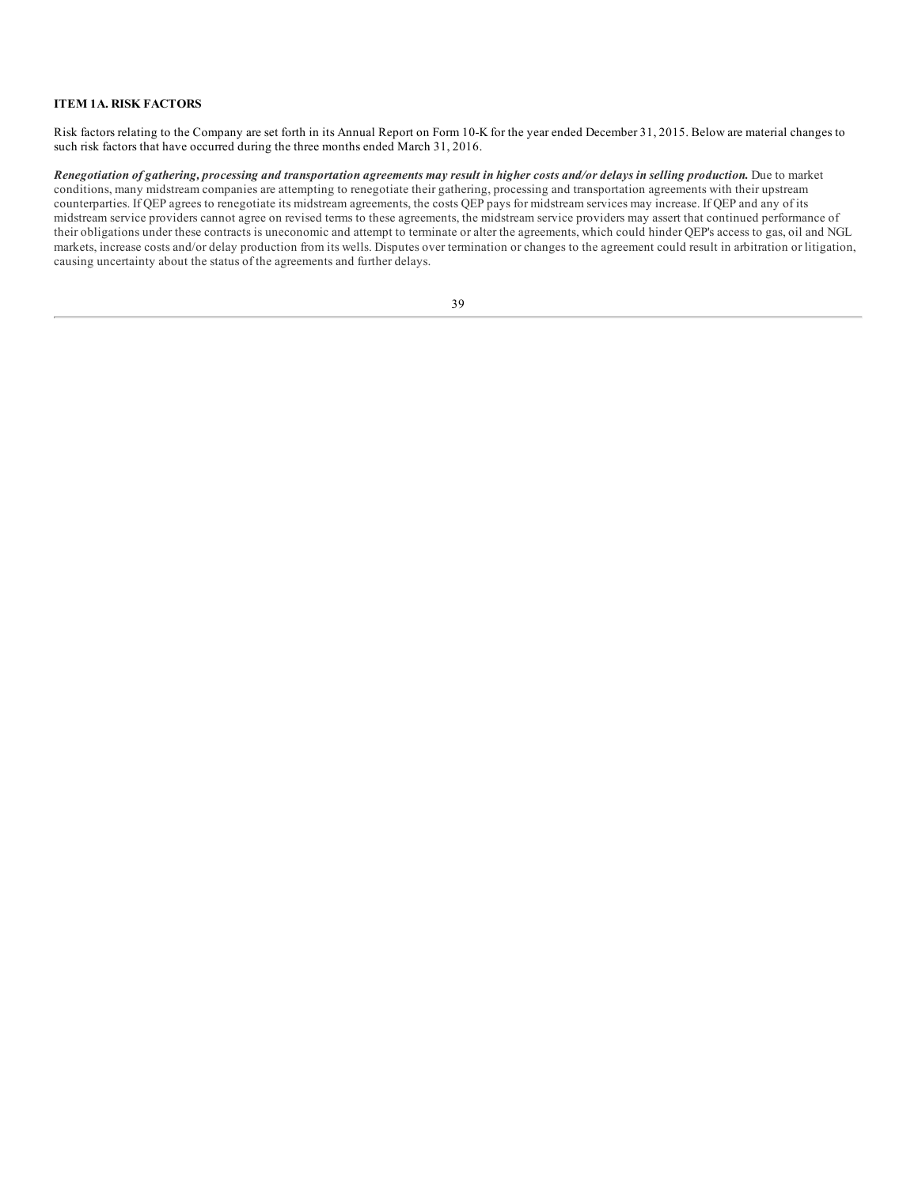# <span id="page-40-0"></span>**ITEM 1A. RISK FACTORS**

Risk factors relating to the Company are set forth in its Annual Report on Form 10-K for the year ended December 31, 2015. Below are material changes to such risk factors that have occurred during the three months ended March 31, 2016.

Renegotiation of gathering, processing and transportation agreements may result in higher costs and/or delays in selling production. Due to market conditions, many midstream companies are attempting to renegotiate their gathering, processing and transportation agreements with their upstream counterparties. If QEP agrees to renegotiate its midstream agreements, the costs QEP pays for midstream services may increase. If QEP and any of its midstream service providers cannot agree on revised terms to these agreements, the midstream service providers may assert that continued performance of their obligations under these contracts is uneconomic and attempt to terminate or alter the agreements, which could hinder QEP's access to gas, oil and NGL markets, increase costs and/or delay production from its wells. Disputes over termination or changes to the agreement could result in arbitration or litigation, causing uncertainty about the status of the agreements and further delays.

| ٠  | ۰. |
|----|----|
|    |    |
|    |    |
|    | I  |
|    | I  |
| ۰. | I  |
| ×  | ۰. |
| ۰. | v  |
|    |    |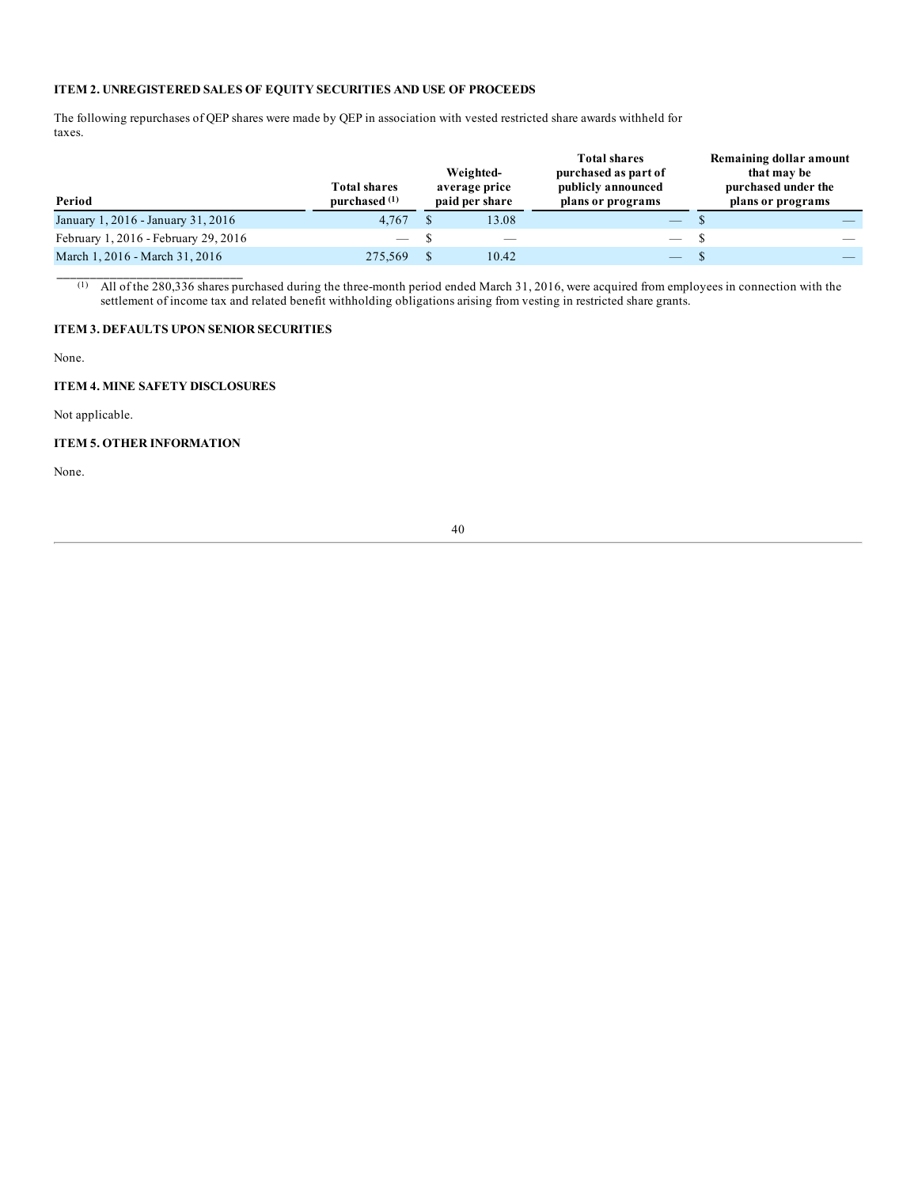# <span id="page-41-0"></span>**ITEM 2. UNREGISTERED SALES OF EQUITY SECURITIES AND USE OF PROCEEDS**

The following repurchases of QEP shares were made by QEP in association with vested restricted share awards withheld for taxes.

| Period                               | <b>Total shares</b><br>purchased $(1)$ | Weighted-<br>average price<br>paid per share | <b>Total shares</b><br>purchased as part of<br>publicly announced<br>plans or programs |  | Remaining dollar amount<br>that may be<br>purchased under the<br>plans or programs |  |  |
|--------------------------------------|----------------------------------------|----------------------------------------------|----------------------------------------------------------------------------------------|--|------------------------------------------------------------------------------------|--|--|
| January 1, 2016 - January 31, 2016   | 4.767                                  | 13.08                                        |                                                                                        |  |                                                                                    |  |  |
| February 1, 2016 - February 29, 2016 | $\overbrace{\phantom{aaaaa}}$          |                                              |                                                                                        |  |                                                                                    |  |  |
| March 1, 2016 - March 31, 2016       | 275,569                                | 10.42                                        |                                                                                        |  |                                                                                    |  |  |

(1) All of the 280,336 shares purchased during the three-month period ended March 31, 2016, were acquired from employees in connection with the settlement of income tax and related benefit withholding obligations arising from vesting in restricted share grants.

# **ITEM 3. DEFAULTS UPON SENIOR SECURITIES**

None.

# **ITEM 4. MINE SAFETY DISCLOSURES**

**\_\_\_\_\_\_\_\_\_\_\_\_\_\_\_\_\_\_\_\_\_\_\_\_\_\_\_\_**

Not applicable.

# **ITEM 5. OTHER INFORMATION**

None.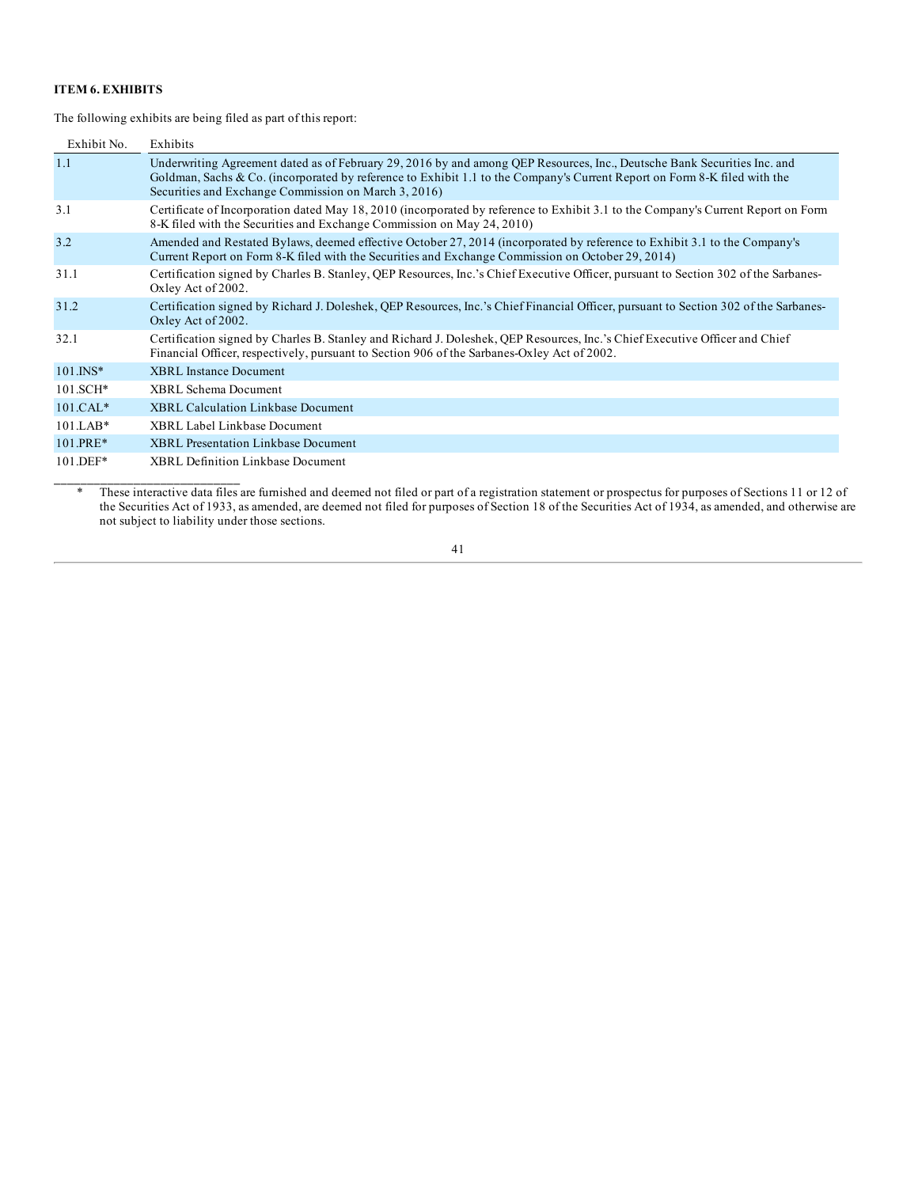# <span id="page-42-0"></span>**ITEM 6. EXHIBITS**

The following exhibits are being filed as part of this report:

| Exhibit No.  | Exhibits                                                                                                                                                                                                                                                                                                      |
|--------------|---------------------------------------------------------------------------------------------------------------------------------------------------------------------------------------------------------------------------------------------------------------------------------------------------------------|
| 1.1          | Underwriting Agreement dated as of February 29, 2016 by and among QEP Resources, Inc., Deutsche Bank Securities Inc. and<br>Goldman, Sachs & Co. (incorporated by reference to Exhibit 1.1 to the Company's Current Report on Form 8-K filed with the<br>Securities and Exchange Commission on March 3, 2016) |
| 3.1          | Certificate of Incorporation dated May 18, 2010 (incorporated by reference to Exhibit 3.1 to the Company's Current Report on Form<br>8-K filed with the Securities and Exchange Commission on May 24, 2010)                                                                                                   |
| 3.2          | Amended and Restated Bylaws, deemed effective October 27, 2014 (incorporated by reference to Exhibit 3.1 to the Company's<br>Current Report on Form 8-K filed with the Securities and Exchange Commission on October 29, 2014)                                                                                |
| 31.1         | Certification signed by Charles B. Stanley, QEP Resources, Inc.'s Chief Executive Officer, pursuant to Section 302 of the Sarbanes-<br>Oxley Act of 2002.                                                                                                                                                     |
| 31.2         | Certification signed by Richard J. Doleshek, QEP Resources, Inc.'s Chief Financial Officer, pursuant to Section 302 of the Sarbanes-<br>Oxley Act of 2002.                                                                                                                                                    |
| 32.1         | Certification signed by Charles B. Stanley and Richard J. Doleshek, QEP Resources, Inc.'s Chief Executive Officer and Chief<br>Financial Officer, respectively, pursuant to Section 906 of the Sarbanes-Oxley Act of 2002.                                                                                    |
| $101$ . INS* | <b>XBRL</b> Instance Document                                                                                                                                                                                                                                                                                 |
| $101.SCH*$   | <b>XBRL Schema Document</b>                                                                                                                                                                                                                                                                                   |
| $101.CAL*$   | <b>XBRL Calculation Linkbase Document</b>                                                                                                                                                                                                                                                                     |
| $101.LAB*$   | XBRL Label Linkbase Document                                                                                                                                                                                                                                                                                  |
| 101.PRE*     | <b>XBRL Presentation Linkbase Document</b>                                                                                                                                                                                                                                                                    |
| $101.$ DEF*  | XBRL Definition Linkbase Document                                                                                                                                                                                                                                                                             |

\* These interactive data files are furnished and deemed not filed or part of a registration statement or prospectus for purposes of Sections 11 or 12 of the Securities Act of 1933, as amended, are deemed not filed for purposes of Section 18 of the Securities Act of 1934, as amended, and otherwise are not subject to liability under those sections.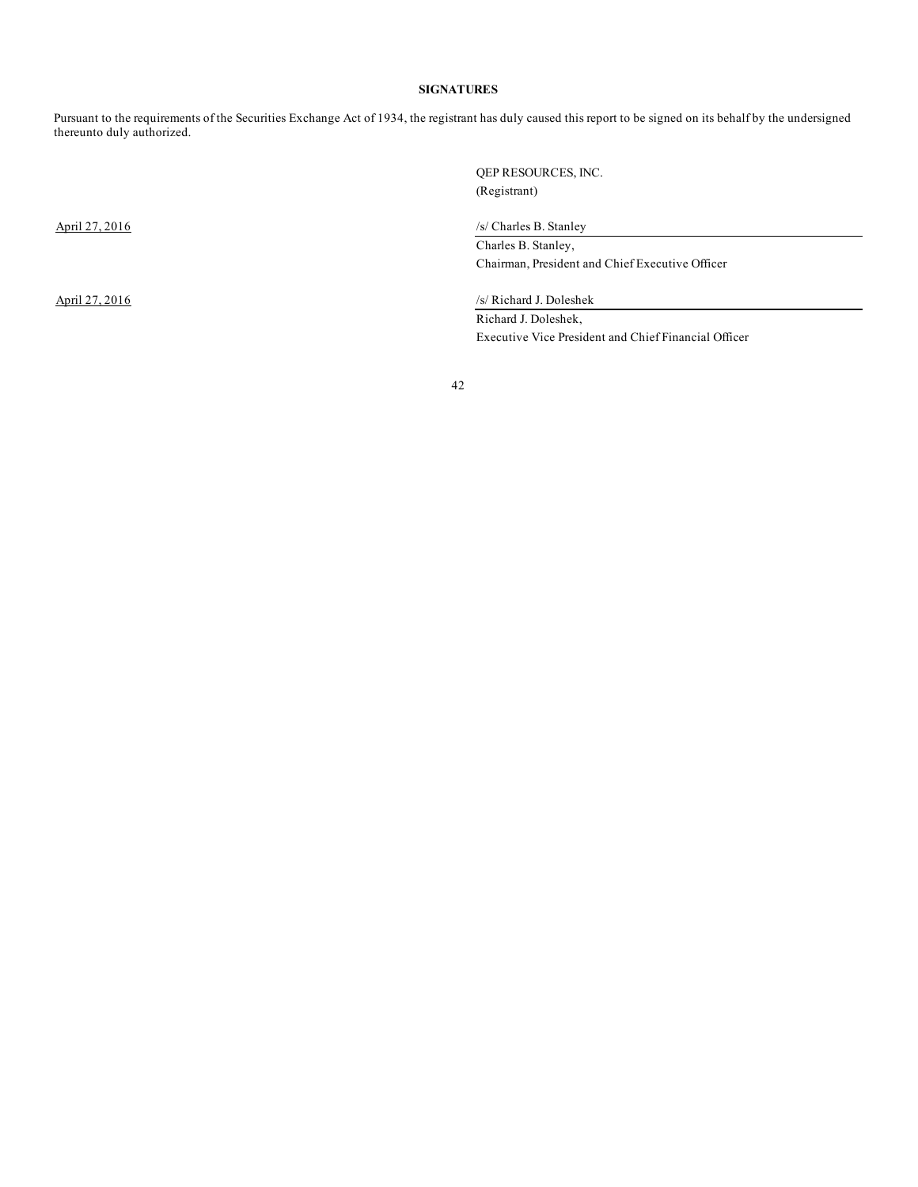# **SIGNATURES**

Pursuant to the requirements of the Securities Exchange Act of 1934, the registrant has duly caused this report to be signed on its behalf by the undersigned thereunto duly authorized.

QEP RESOURCES, INC. (Registrant)

April 27, 2016 /s/ Charles B. Stanley

Charles B. Stanley, Chairman, President and Chief Executive Officer

April 27, 2016 /s/ Richard J. Doleshek

Richard J. Doleshek, Executive Vice President and Chief Financial Officer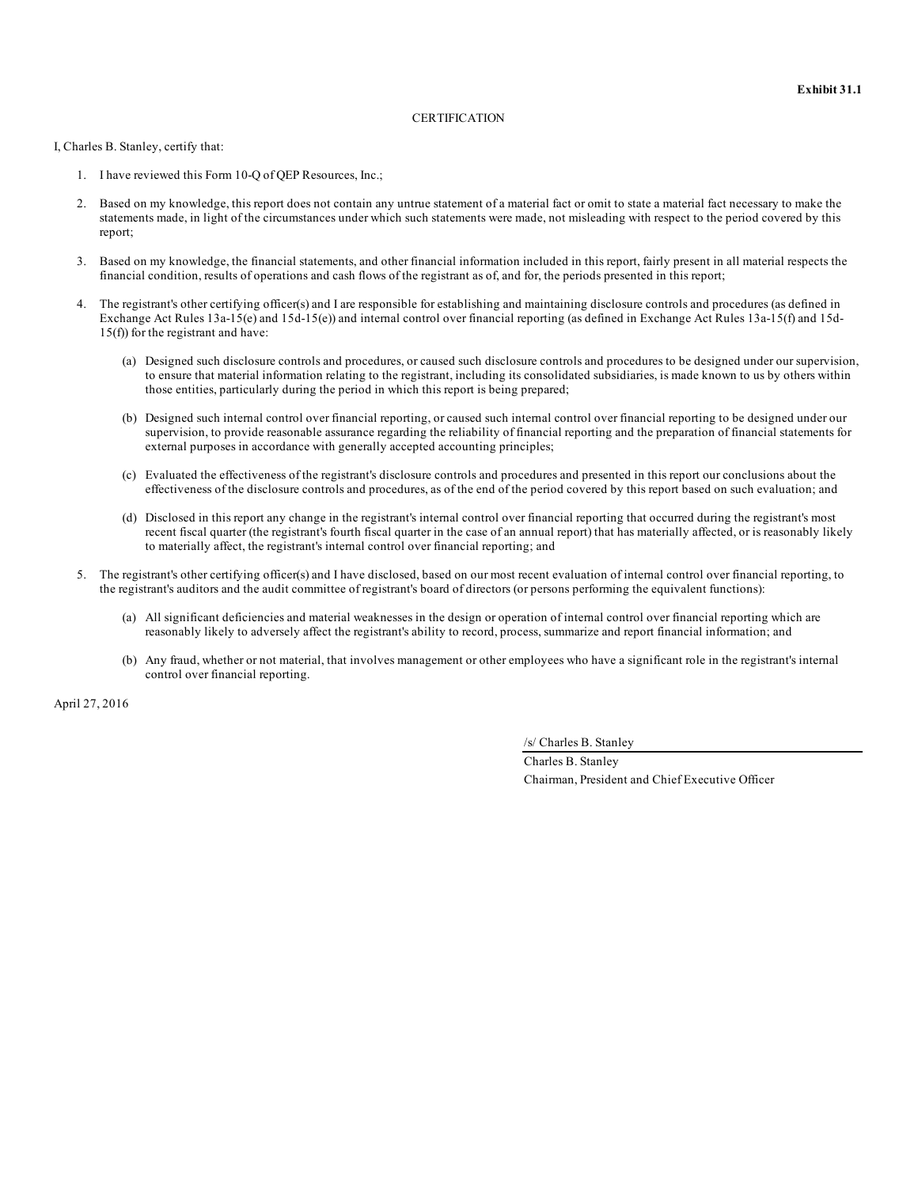#### **CERTIFICATION**

I, Charles B. Stanley, certify that:

- 1. I have reviewed this Form 10-Q of QEP Resources, Inc.;
- 2. Based on my knowledge, this report does not contain any untrue statement of a material fact or omit to state a material fact necessary to make the statements made, in light of the circumstances under which such statements were made, not misleading with respect to the period covered by this report;
- 3. Based on my knowledge, the financial statements, and other financial information included in this report, fairly present in all material respects the financial condition, results of operations and cash flows of the registrant as of, and for, the periods presented in this report;
- 4. The registrant's other certifying officer(s) and I are responsible for establishing and maintaining disclosure controls and procedures (as defined in Exchange Act Rules 13a-15(e) and 15d-15(e)) and internal control over financial reporting (as defined in Exchange Act Rules 13a-15(f) and 15d-15(f)) for the registrant and have:
	- (a) Designed such disclosure controls and procedures, or caused such disclosure controls and procedures to be designed under our supervision, to ensure that material information relating to the registrant, including its consolidated subsidiaries, is made known to us by others within those entities, particularly during the period in which this report is being prepared;
	- (b) Designed such internal control over financial reporting, or caused such internal control over financial reporting to be designed under our supervision, to provide reasonable assurance regarding the reliability of financial reporting and the preparation of financial statements for external purposes in accordance with generally accepted accounting principles;
	- (c) Evaluated the effectiveness of the registrant's disclosure controls and procedures and presented in this report our conclusions about the effectiveness of the disclosure controls and procedures, as of the end of the period covered by this report based on such evaluation; and
	- (d) Disclosed in this report any change in the registrant's internal control over financial reporting that occurred during the registrant's most recent fiscal quarter (the registrant's fourth fiscal quarter in the case of an annual report) that has materially affected, or is reasonably likely to materially affect, the registrant's internal control over financial reporting; and
- 5. The registrant's other certifying officer(s) and I have disclosed, based on our most recent evaluation of internal control over financial reporting, to the registrant's auditors and the audit committee of registrant's board of directors (or persons performing the equivalent functions):
	- (a) All significant deficiencies and material weaknesses in the design or operation of internal control over financial reporting which are reasonably likely to adversely affect the registrant's ability to record, process, summarize and report financial information; and
	- (b) Any fraud, whether or not material, that involves management or other employees who have a significant role in the registrant's internal control over financial reporting.

April 27, 2016

/s/ Charles B. Stanley

Charles B. Stanley Chairman, President and Chief Executive Officer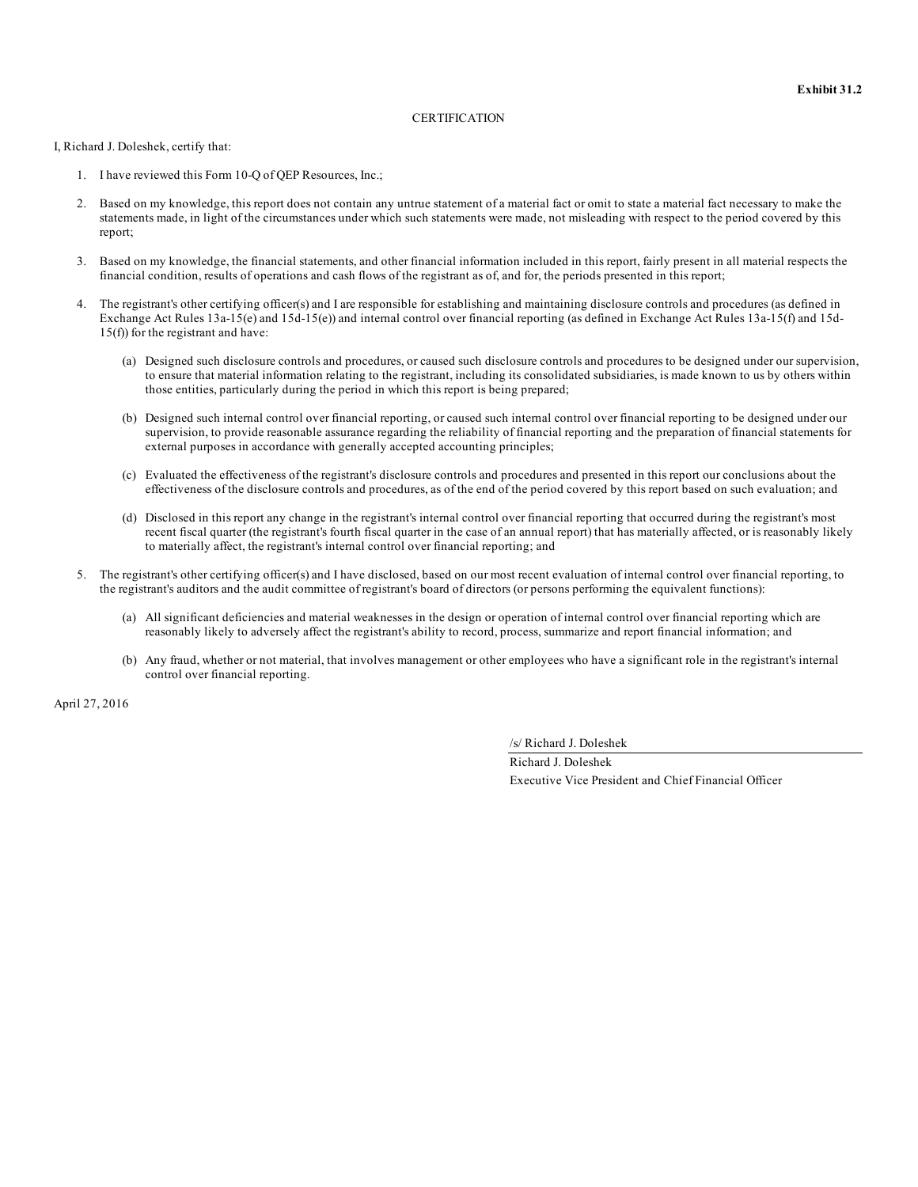#### **CERTIFICATION**

I, Richard J. Doleshek, certify that:

- 1. I have reviewed this Form 10-Q of QEP Resources, Inc.;
- 2. Based on my knowledge, this report does not contain any untrue statement of a material fact or omit to state a material fact necessary to make the statements made, in light of the circumstances under which such statements were made, not misleading with respect to the period covered by this report;
- 3. Based on my knowledge, the financial statements, and other financial information included in this report, fairly present in all material respects the financial condition, results of operations and cash flows of the registrant as of, and for, the periods presented in this report;
- 4. The registrant's other certifying officer(s) and I are responsible for establishing and maintaining disclosure controls and procedures (as defined in Exchange Act Rules 13a-15(e) and 15d-15(e)) and internal control over financial reporting (as defined in Exchange Act Rules 13a-15(f) and 15d-15(f)) for the registrant and have:
	- (a) Designed such disclosure controls and procedures, or caused such disclosure controls and procedures to be designed under our supervision, to ensure that material information relating to the registrant, including its consolidated subsidiaries, is made known to us by others within those entities, particularly during the period in which this report is being prepared;
	- (b) Designed such internal control over financial reporting, or caused such internal control over financial reporting to be designed under our supervision, to provide reasonable assurance regarding the reliability of financial reporting and the preparation of financial statements for external purposes in accordance with generally accepted accounting principles;
	- (c) Evaluated the effectiveness of the registrant's disclosure controls and procedures and presented in this report our conclusions about the effectiveness of the disclosure controls and procedures, as of the end of the period covered by this report based on such evaluation; and
	- (d) Disclosed in this report any change in the registrant's internal control over financial reporting that occurred during the registrant's most recent fiscal quarter (the registrant's fourth fiscal quarter in the case of an annual report) that has materially affected, or is reasonably likely to materially affect, the registrant's internal control over financial reporting; and
- 5. The registrant's other certifying officer(s) and I have disclosed, based on our most recent evaluation of internal control over financial reporting, to the registrant's auditors and the audit committee of registrant's board of directors (or persons performing the equivalent functions):
	- (a) All significant deficiencies and material weaknesses in the design or operation of internal control over financial reporting which are reasonably likely to adversely affect the registrant's ability to record, process, summarize and report financial information; and
	- (b) Any fraud, whether or not material, that involves management or other employees who have a significant role in the registrant's internal control over financial reporting.

April 27, 2016

/s/ Richard J. Doleshek

Richard J. Doleshek Executive Vice President and Chief Financial Officer